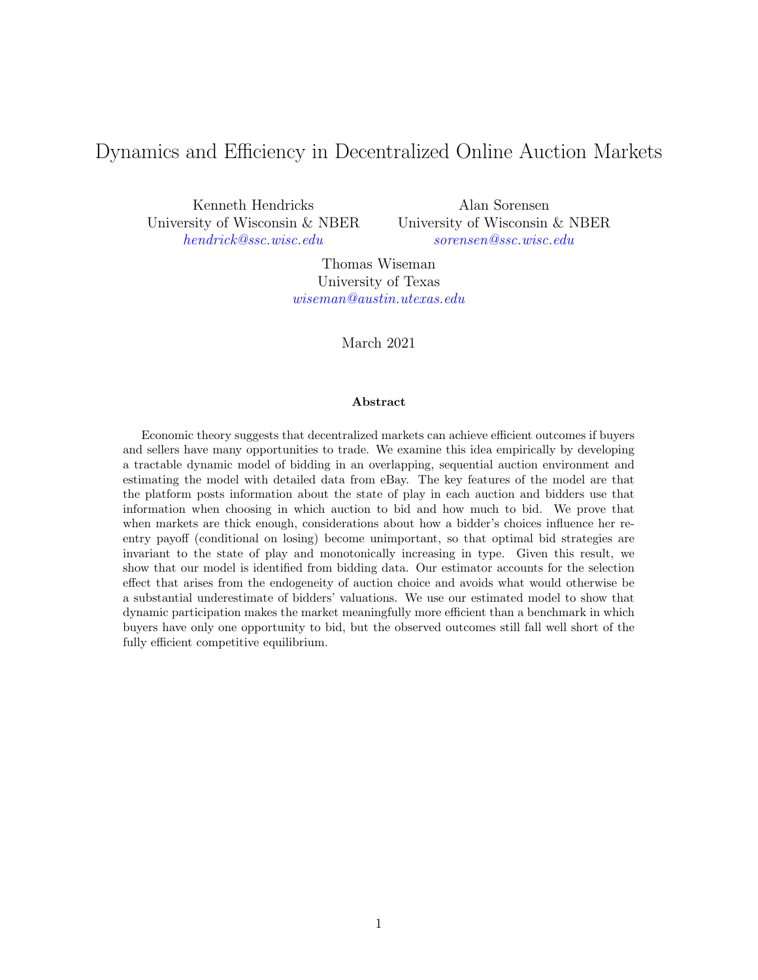# Dynamics and Efficiency in Decentralized Online Auction Markets

Kenneth Hendricks University of Wisconsin & NBER [hendrick@ssc.wisc.edu](mailto:hendrick@ssc.wisc.edu)

Alan Sorensen University of Wisconsin & NBER [sorensen@ssc.wisc.edu](mailto:sorensen@ssc.wisc.edu)

Thomas Wiseman University of Texas [wiseman@austin.utexas.edu](mailto:wiseman@austin.utexas.edu)

March 2021

#### Abstract

Economic theory suggests that decentralized markets can achieve efficient outcomes if buyers and sellers have many opportunities to trade. We examine this idea empirically by developing a tractable dynamic model of bidding in an overlapping, sequential auction environment and estimating the model with detailed data from eBay. The key features of the model are that the platform posts information about the state of play in each auction and bidders use that information when choosing in which auction to bid and how much to bid. We prove that when markets are thick enough, considerations about how a bidder's choices influence her reentry payoff (conditional on losing) become unimportant, so that optimal bid strategies are invariant to the state of play and monotonically increasing in type. Given this result, we show that our model is identified from bidding data. Our estimator accounts for the selection effect that arises from the endogeneity of auction choice and avoids what would otherwise be a substantial underestimate of bidders' valuations. We use our estimated model to show that dynamic participation makes the market meaningfully more efficient than a benchmark in which buyers have only one opportunity to bid, but the observed outcomes still fall well short of the fully efficient competitive equilibrium.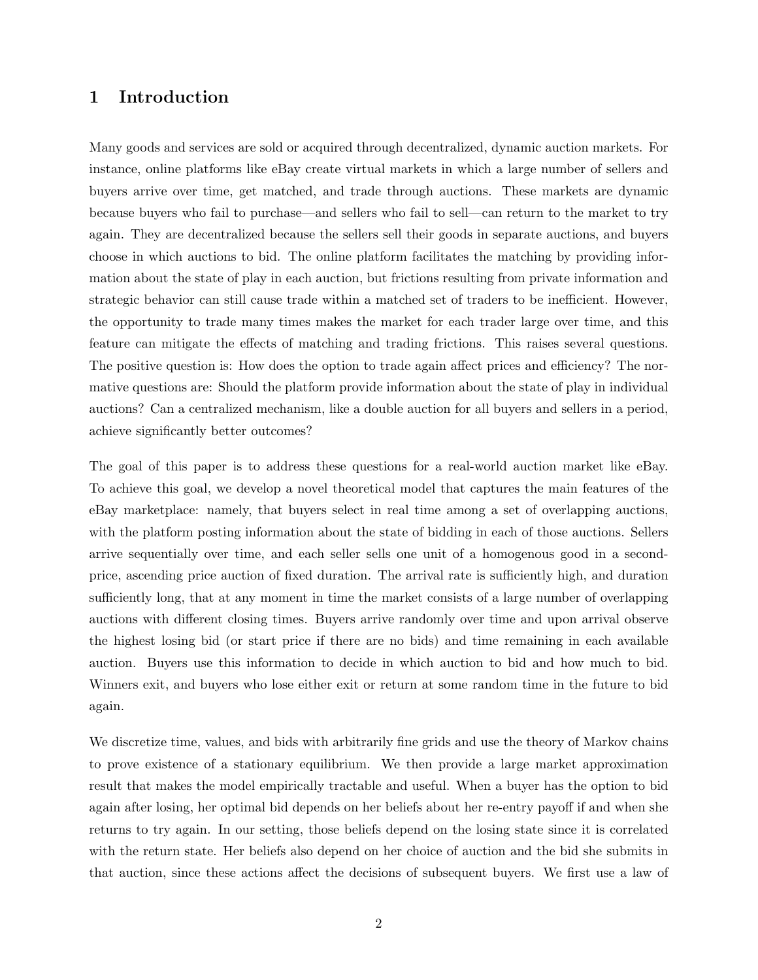## 1 Introduction

Many goods and services are sold or acquired through decentralized, dynamic auction markets. For instance, online platforms like eBay create virtual markets in which a large number of sellers and buyers arrive over time, get matched, and trade through auctions. These markets are dynamic because buyers who fail to purchase—and sellers who fail to sell—can return to the market to try again. They are decentralized because the sellers sell their goods in separate auctions, and buyers choose in which auctions to bid. The online platform facilitates the matching by providing information about the state of play in each auction, but frictions resulting from private information and strategic behavior can still cause trade within a matched set of traders to be inefficient. However, the opportunity to trade many times makes the market for each trader large over time, and this feature can mitigate the effects of matching and trading frictions. This raises several questions. The positive question is: How does the option to trade again affect prices and efficiency? The normative questions are: Should the platform provide information about the state of play in individual auctions? Can a centralized mechanism, like a double auction for all buyers and sellers in a period, achieve significantly better outcomes?

The goal of this paper is to address these questions for a real-world auction market like eBay. To achieve this goal, we develop a novel theoretical model that captures the main features of the eBay marketplace: namely, that buyers select in real time among a set of overlapping auctions, with the platform posting information about the state of bidding in each of those auctions. Sellers arrive sequentially over time, and each seller sells one unit of a homogenous good in a secondprice, ascending price auction of fixed duration. The arrival rate is sufficiently high, and duration sufficiently long, that at any moment in time the market consists of a large number of overlapping auctions with different closing times. Buyers arrive randomly over time and upon arrival observe the highest losing bid (or start price if there are no bids) and time remaining in each available auction. Buyers use this information to decide in which auction to bid and how much to bid. Winners exit, and buyers who lose either exit or return at some random time in the future to bid again.

We discretize time, values, and bids with arbitrarily fine grids and use the theory of Markov chains to prove existence of a stationary equilibrium. We then provide a large market approximation result that makes the model empirically tractable and useful. When a buyer has the option to bid again after losing, her optimal bid depends on her beliefs about her re-entry payoff if and when she returns to try again. In our setting, those beliefs depend on the losing state since it is correlated with the return state. Her beliefs also depend on her choice of auction and the bid she submits in that auction, since these actions affect the decisions of subsequent buyers. We first use a law of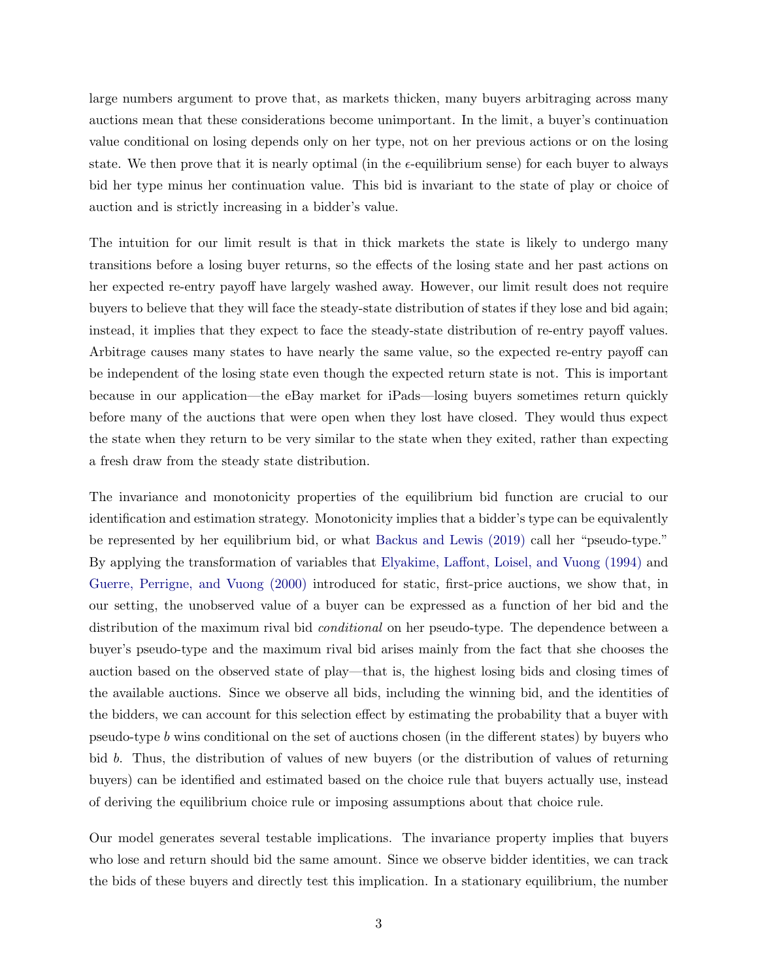large numbers argument to prove that, as markets thicken, many buyers arbitraging across many auctions mean that these considerations become unimportant. In the limit, a buyer's continuation value conditional on losing depends only on her type, not on her previous actions or on the losing state. We then prove that it is nearly optimal (in the  $\epsilon$ -equilibrium sense) for each buyer to always bid her type minus her continuation value. This bid is invariant to the state of play or choice of auction and is strictly increasing in a bidder's value.

The intuition for our limit result is that in thick markets the state is likely to undergo many transitions before a losing buyer returns, so the effects of the losing state and her past actions on her expected re-entry payoff have largely washed away. However, our limit result does not require buyers to believe that they will face the steady-state distribution of states if they lose and bid again; instead, it implies that they expect to face the steady-state distribution of re-entry payoff values. Arbitrage causes many states to have nearly the same value, so the expected re-entry payoff can be independent of the losing state even though the expected return state is not. This is important because in our application—the eBay market for iPads—losing buyers sometimes return quickly before many of the auctions that were open when they lost have closed. They would thus expect the state when they return to be very similar to the state when they exited, rather than expecting a fresh draw from the steady state distribution.

The invariance and monotonicity properties of the equilibrium bid function are crucial to our identification and estimation strategy. Monotonicity implies that a bidder's type can be equivalently be represented by her equilibrium bid, or what [Backus and Lewis \(2019\)](#page-43-0) call her "pseudo-type." By applying the transformation of variables that [Elyakime, Laffont, Loisel, and Vuong \(1994\)](#page-44-0) and [Guerre, Perrigne, and Vuong \(2000\)](#page-44-1) introduced for static, first-price auctions, we show that, in our setting, the unobserved value of a buyer can be expressed as a function of her bid and the distribution of the maximum rival bid *conditional* on her pseudo-type. The dependence between a buyer's pseudo-type and the maximum rival bid arises mainly from the fact that she chooses the auction based on the observed state of play—that is, the highest losing bids and closing times of the available auctions. Since we observe all bids, including the winning bid, and the identities of the bidders, we can account for this selection effect by estimating the probability that a buyer with pseudo-type b wins conditional on the set of auctions chosen (in the different states) by buyers who bid b. Thus, the distribution of values of new buyers (or the distribution of values of returning buyers) can be identified and estimated based on the choice rule that buyers actually use, instead of deriving the equilibrium choice rule or imposing assumptions about that choice rule.

Our model generates several testable implications. The invariance property implies that buyers who lose and return should bid the same amount. Since we observe bidder identities, we can track the bids of these buyers and directly test this implication. In a stationary equilibrium, the number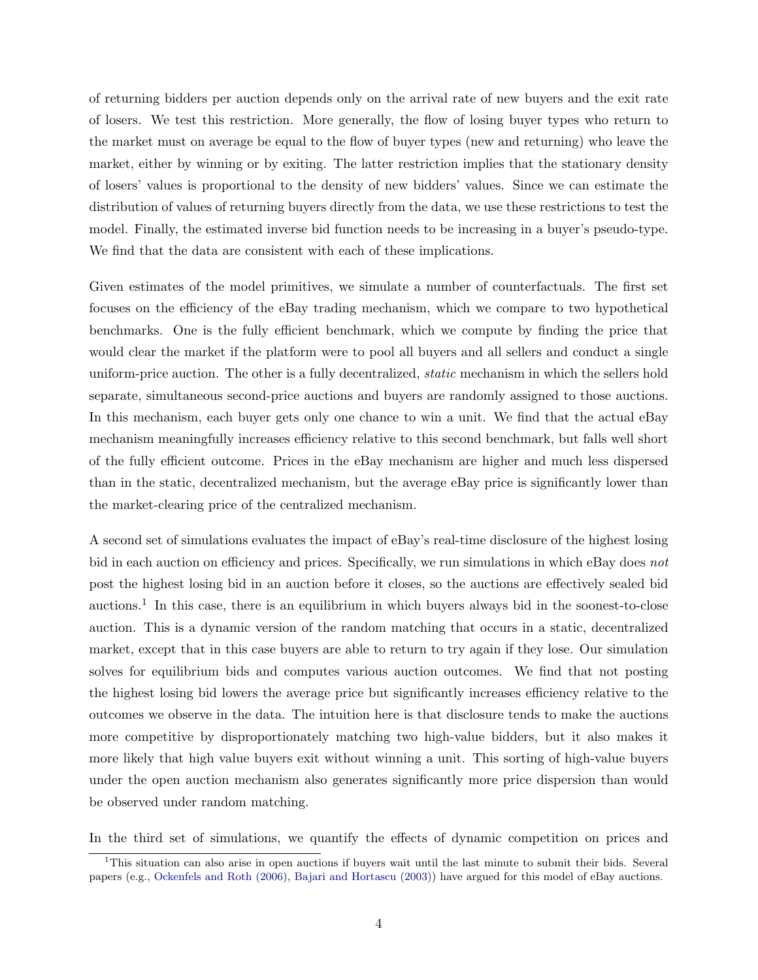of returning bidders per auction depends only on the arrival rate of new buyers and the exit rate of losers. We test this restriction. More generally, the flow of losing buyer types who return to the market must on average be equal to the flow of buyer types (new and returning) who leave the market, either by winning or by exiting. The latter restriction implies that the stationary density of losers' values is proportional to the density of new bidders' values. Since we can estimate the distribution of values of returning buyers directly from the data, we use these restrictions to test the model. Finally, the estimated inverse bid function needs to be increasing in a buyer's pseudo-type. We find that the data are consistent with each of these implications.

Given estimates of the model primitives, we simulate a number of counterfactuals. The first set focuses on the efficiency of the eBay trading mechanism, which we compare to two hypothetical benchmarks. One is the fully efficient benchmark, which we compute by finding the price that would clear the market if the platform were to pool all buyers and all sellers and conduct a single uniform-price auction. The other is a fully decentralized, static mechanism in which the sellers hold separate, simultaneous second-price auctions and buyers are randomly assigned to those auctions. In this mechanism, each buyer gets only one chance to win a unit. We find that the actual eBay mechanism meaningfully increases efficiency relative to this second benchmark, but falls well short of the fully efficient outcome. Prices in the eBay mechanism are higher and much less dispersed than in the static, decentralized mechanism, but the average eBay price is significantly lower than the market-clearing price of the centralized mechanism.

A second set of simulations evaluates the impact of eBay's real-time disclosure of the highest losing bid in each auction on efficiency and prices. Specifically, we run simulations in which eBay does not post the highest losing bid in an auction before it closes, so the auctions are effectively sealed bid auctions.<sup>1</sup> In this case, there is an equilibrium in which buyers always bid in the soonest-to-close auction. This is a dynamic version of the random matching that occurs in a static, decentralized market, except that in this case buyers are able to return to try again if they lose. Our simulation solves for equilibrium bids and computes various auction outcomes. We find that not posting the highest losing bid lowers the average price but significantly increases efficiency relative to the outcomes we observe in the data. The intuition here is that disclosure tends to make the auctions more competitive by disproportionately matching two high-value bidders, but it also makes it more likely that high value buyers exit without winning a unit. This sorting of high-value buyers under the open auction mechanism also generates significantly more price dispersion than would be observed under random matching.

In the third set of simulations, we quantify the effects of dynamic competition on prices and

<sup>1</sup>This situation can also arise in open auctions if buyers wait until the last minute to submit their bids. Several papers (e.g., [Ockenfels and Roth \(2006\),](#page-45-0) [Bajari and Hortascu \(2003\)\)](#page-43-1) have argued for this model of eBay auctions.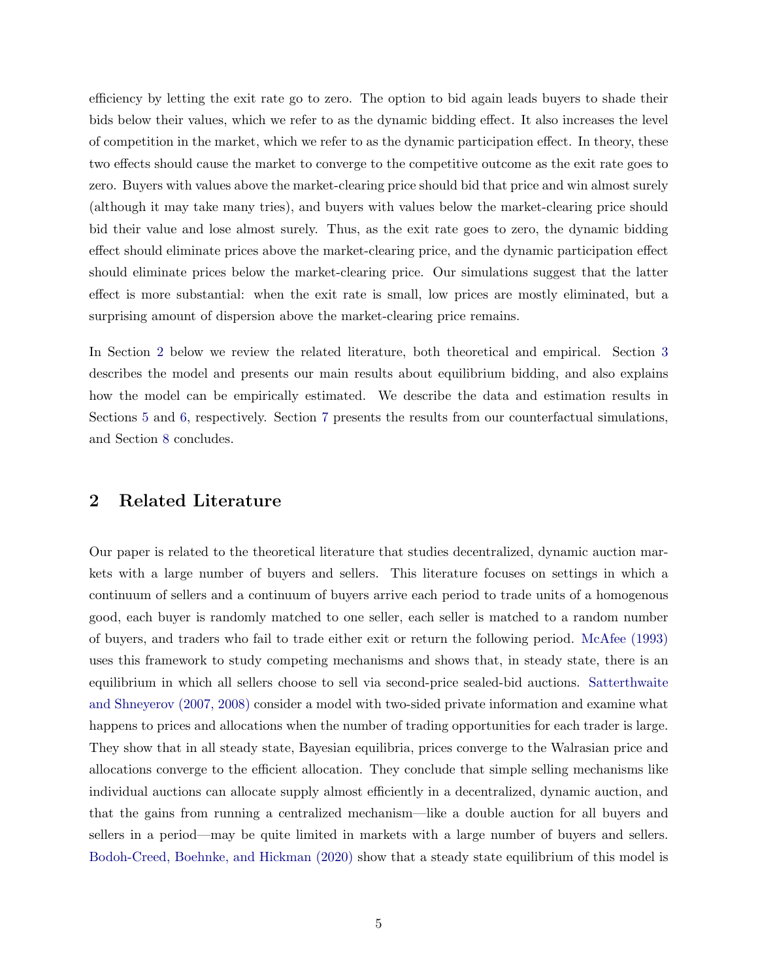efficiency by letting the exit rate go to zero. The option to bid again leads buyers to shade their bids below their values, which we refer to as the dynamic bidding effect. It also increases the level of competition in the market, which we refer to as the dynamic participation effect. In theory, these two effects should cause the market to converge to the competitive outcome as the exit rate goes to zero. Buyers with values above the market-clearing price should bid that price and win almost surely (although it may take many tries), and buyers with values below the market-clearing price should bid their value and lose almost surely. Thus, as the exit rate goes to zero, the dynamic bidding effect should eliminate prices above the market-clearing price, and the dynamic participation effect should eliminate prices below the market-clearing price. Our simulations suggest that the latter effect is more substantial: when the exit rate is small, low prices are mostly eliminated, but a surprising amount of dispersion above the market-clearing price remains.

In Section [2](#page-4-0) below we review the related literature, both theoretical and empirical. Section [3](#page-8-0) describes the model and presents our main results about equilibrium bidding, and also explains how the model can be empirically estimated. We describe the data and estimation results in Sections [5](#page-22-0) and [6,](#page-26-0) respectively. Section [7](#page-34-0) presents the results from our counterfactual simulations, and Section [8](#page-41-0) concludes.

### <span id="page-4-0"></span>2 Related Literature

Our paper is related to the theoretical literature that studies decentralized, dynamic auction markets with a large number of buyers and sellers. This literature focuses on settings in which a continuum of sellers and a continuum of buyers arrive each period to trade units of a homogenous good, each buyer is randomly matched to one seller, each seller is matched to a random number of buyers, and traders who fail to trade either exit or return the following period. [McAfee \(1993\)](#page-45-1) uses this framework to study competing mechanisms and shows that, in steady state, there is an equilibrium in which all sellers choose to sell via second-price sealed-bid auctions. [Satterthwaite](#page-45-2) [and Shneyerov \(2007, 2008\)](#page-45-2) consider a model with two-sided private information and examine what happens to prices and allocations when the number of trading opportunities for each trader is large. They show that in all steady state, Bayesian equilibria, prices converge to the Walrasian price and allocations converge to the efficient allocation. They conclude that simple selling mechanisms like individual auctions can allocate supply almost efficiently in a decentralized, dynamic auction, and that the gains from running a centralized mechanism—like a double auction for all buyers and sellers in a period—may be quite limited in markets with a large number of buyers and sellers. [Bodoh-Creed, Boehnke, and Hickman \(2020\)](#page-43-2) show that a steady state equilibrium of this model is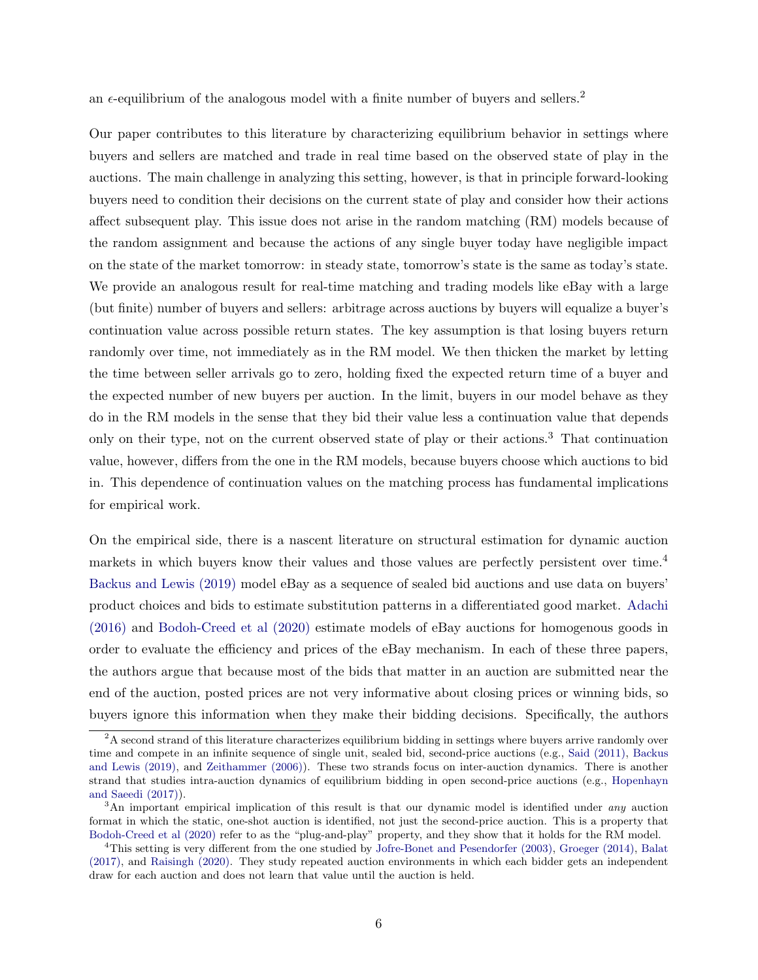an  $\epsilon$ -equilibrium of the analogous model with a finite number of buyers and sellers.<sup>2</sup>

Our paper contributes to this literature by characterizing equilibrium behavior in settings where buyers and sellers are matched and trade in real time based on the observed state of play in the auctions. The main challenge in analyzing this setting, however, is that in principle forward-looking buyers need to condition their decisions on the current state of play and consider how their actions affect subsequent play. This issue does not arise in the random matching (RM) models because of the random assignment and because the actions of any single buyer today have negligible impact on the state of the market tomorrow: in steady state, tomorrow's state is the same as today's state. We provide an analogous result for real-time matching and trading models like eBay with a large (but finite) number of buyers and sellers: arbitrage across auctions by buyers will equalize a buyer's continuation value across possible return states. The key assumption is that losing buyers return randomly over time, not immediately as in the RM model. We then thicken the market by letting the time between seller arrivals go to zero, holding fixed the expected return time of a buyer and the expected number of new buyers per auction. In the limit, buyers in our model behave as they do in the RM models in the sense that they bid their value less a continuation value that depends only on their type, not on the current observed state of play or their actions.<sup>3</sup> That continuation value, however, differs from the one in the RM models, because buyers choose which auctions to bid in. This dependence of continuation values on the matching process has fundamental implications for empirical work.

On the empirical side, there is a nascent literature on structural estimation for dynamic auction markets in which buyers know their values and those values are perfectly persistent over time.<sup>4</sup> [Backus and Lewis \(2019\)](#page-43-0) model eBay as a sequence of sealed bid auctions and use data on buyers' product choices and bids to estimate substitution patterns in a differentiated good market. [Adachi](#page-43-3) [\(2016\)](#page-43-3) and [Bodoh-Creed et al \(2020\)](#page-43-2) estimate models of eBay auctions for homogenous goods in order to evaluate the efficiency and prices of the eBay mechanism. In each of these three papers, the authors argue that because most of the bids that matter in an auction are submitted near the end of the auction, posted prices are not very informative about closing prices or winning bids, so buyers ignore this information when they make their bidding decisions. Specifically, the authors

 ${}^{2}$ A second strand of this literature characterizes equilibrium bidding in settings where buyers arrive randomly over time and compete in an infinite sequence of single unit, sealed bid, second-price auctions (e.g., [Said \(2011\),](#page-45-3) [Backus](#page-43-0) [and Lewis \(2019\),](#page-43-0) and [Zeithammer \(2006\)\)](#page-46-0). These two strands focus on inter-auction dynamics. There is another strand that studies intra-auction dynamics of equilibrium bidding in open second-price auctions (e.g., [Hopenhayn](#page-44-2) [and Saeedi \(2017\)\)](#page-44-2).

<sup>&</sup>lt;sup>3</sup>An important empirical implication of this result is that our dynamic model is identified under *any* auction format in which the static, one-shot auction is identified, not just the second-price auction. This is a property that [Bodoh-Creed et al \(2020\)](#page-43-2) refer to as the "plug-and-play" property, and they show that it holds for the RM model.

<sup>4</sup>This setting is very different from the one studied by [Jofre-Bonet and Pesendorfer \(2003\),](#page-44-3) [Groeger \(2014\),](#page-44-4) [Balat](#page-43-4) [\(2017\),](#page-43-4) and [Raisingh \(2020\).](#page-45-4) They study repeated auction environments in which each bidder gets an independent draw for each auction and does not learn that value until the auction is held.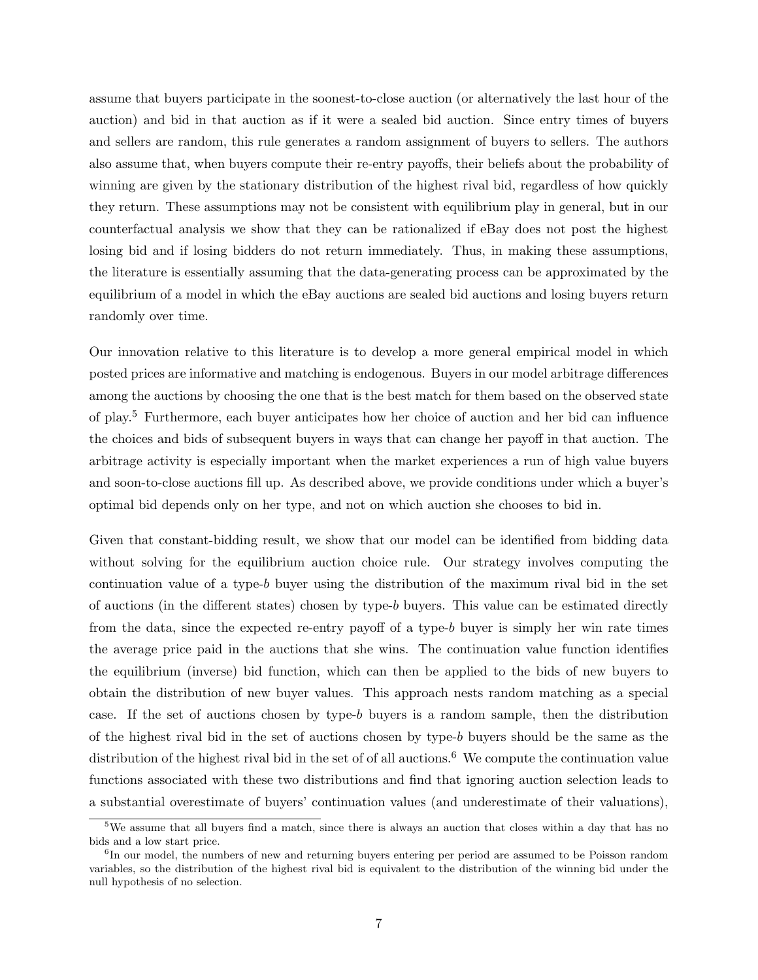assume that buyers participate in the soonest-to-close auction (or alternatively the last hour of the auction) and bid in that auction as if it were a sealed bid auction. Since entry times of buyers and sellers are random, this rule generates a random assignment of buyers to sellers. The authors also assume that, when buyers compute their re-entry payoffs, their beliefs about the probability of winning are given by the stationary distribution of the highest rival bid, regardless of how quickly they return. These assumptions may not be consistent with equilibrium play in general, but in our counterfactual analysis we show that they can be rationalized if eBay does not post the highest losing bid and if losing bidders do not return immediately. Thus, in making these assumptions, the literature is essentially assuming that the data-generating process can be approximated by the equilibrium of a model in which the eBay auctions are sealed bid auctions and losing buyers return randomly over time.

Our innovation relative to this literature is to develop a more general empirical model in which posted prices are informative and matching is endogenous. Buyers in our model arbitrage differences among the auctions by choosing the one that is the best match for them based on the observed state of play.<sup>5</sup> Furthermore, each buyer anticipates how her choice of auction and her bid can influence the choices and bids of subsequent buyers in ways that can change her payoff in that auction. The arbitrage activity is especially important when the market experiences a run of high value buyers and soon-to-close auctions fill up. As described above, we provide conditions under which a buyer's optimal bid depends only on her type, and not on which auction she chooses to bid in.

Given that constant-bidding result, we show that our model can be identified from bidding data without solving for the equilibrium auction choice rule. Our strategy involves computing the continuation value of a type-b buyer using the distribution of the maximum rival bid in the set of auctions (in the different states) chosen by type-b buyers. This value can be estimated directly from the data, since the expected re-entry payoff of a type-b buyer is simply her win rate times the average price paid in the auctions that she wins. The continuation value function identifies the equilibrium (inverse) bid function, which can then be applied to the bids of new buyers to obtain the distribution of new buyer values. This approach nests random matching as a special case. If the set of auctions chosen by type-b buyers is a random sample, then the distribution of the highest rival bid in the set of auctions chosen by type-b buyers should be the same as the distribution of the highest rival bid in the set of of all auctions.<sup>6</sup> We compute the continuation value functions associated with these two distributions and find that ignoring auction selection leads to a substantial overestimate of buyers' continuation values (and underestimate of their valuations),

<sup>5</sup>We assume that all buyers find a match, since there is always an auction that closes within a day that has no bids and a low start price.

<sup>&</sup>lt;sup>6</sup>In our model, the numbers of new and returning buyers entering per period are assumed to be Poisson random variables, so the distribution of the highest rival bid is equivalent to the distribution of the winning bid under the null hypothesis of no selection.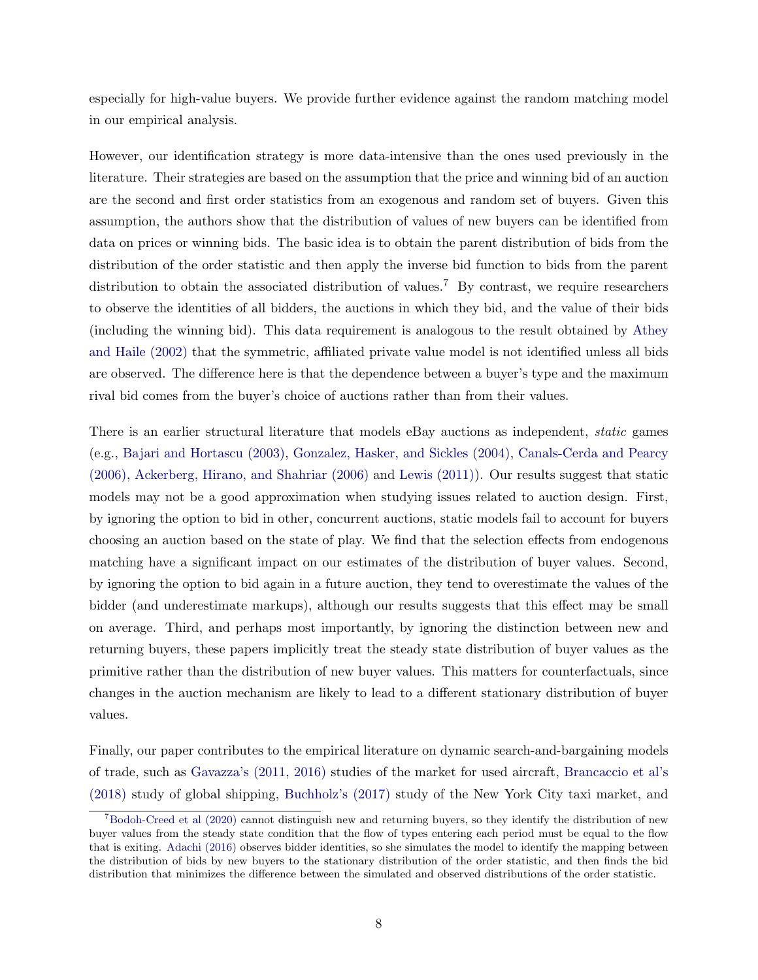especially for high-value buyers. We provide further evidence against the random matching model in our empirical analysis.

However, our identification strategy is more data-intensive than the ones used previously in the literature. Their strategies are based on the assumption that the price and winning bid of an auction are the second and first order statistics from an exogenous and random set of buyers. Given this assumption, the authors show that the distribution of values of new buyers can be identified from data on prices or winning bids. The basic idea is to obtain the parent distribution of bids from the distribution of the order statistic and then apply the inverse bid function to bids from the parent distribution to obtain the associated distribution of values.<sup>7</sup> By contrast, we require researchers to observe the identities of all bidders, the auctions in which they bid, and the value of their bids (including the winning bid). This data requirement is analogous to the result obtained by [Athey](#page-43-5) [and Haile \(2002\)](#page-43-5) that the symmetric, affiliated private value model is not identified unless all bids are observed. The difference here is that the dependence between a buyer's type and the maximum rival bid comes from the buyer's choice of auctions rather than from their values.

There is an earlier structural literature that models eBay auctions as independent, static games (e.g., [Bajari and Hortascu \(2003\),](#page-43-1) [Gonzalez, Hasker, and Sickles \(2004\),](#page-44-5) [Canals-Cerda and Pearcy](#page-43-6) [\(2006\),](#page-43-6) [Ackerberg, Hirano, and Shahriar \(2006\)](#page-43-7) and [Lewis \(2011\)\)](#page-45-5). Our results suggest that static models may not be a good approximation when studying issues related to auction design. First, by ignoring the option to bid in other, concurrent auctions, static models fail to account for buyers choosing an auction based on the state of play. We find that the selection effects from endogenous matching have a significant impact on our estimates of the distribution of buyer values. Second, by ignoring the option to bid again in a future auction, they tend to overestimate the values of the bidder (and underestimate markups), although our results suggests that this effect may be small on average. Third, and perhaps most importantly, by ignoring the distinction between new and returning buyers, these papers implicitly treat the steady state distribution of buyer values as the primitive rather than the distribution of new buyer values. This matters for counterfactuals, since changes in the auction mechanism are likely to lead to a different stationary distribution of buyer values.

Finally, our paper contributes to the empirical literature on dynamic search-and-bargaining models of trade, such as [Gavazza's \(2011, 2016\)](#page-44-6) studies of the market for used aircraft, [Brancaccio et al's](#page-43-8) [\(2018\)](#page-43-8) study of global shipping, [Buchholz's \(2017\)](#page-43-9) study of the New York City taxi market, and

<sup>7</sup>[Bodoh-Creed et al \(2020\)](#page-43-2) cannot distinguish new and returning buyers, so they identify the distribution of new buyer values from the steady state condition that the flow of types entering each period must be equal to the flow that is exiting. [Adachi \(2016\)](#page-43-3) observes bidder identities, so she simulates the model to identify the mapping between the distribution of bids by new buyers to the stationary distribution of the order statistic, and then finds the bid distribution that minimizes the difference between the simulated and observed distributions of the order statistic.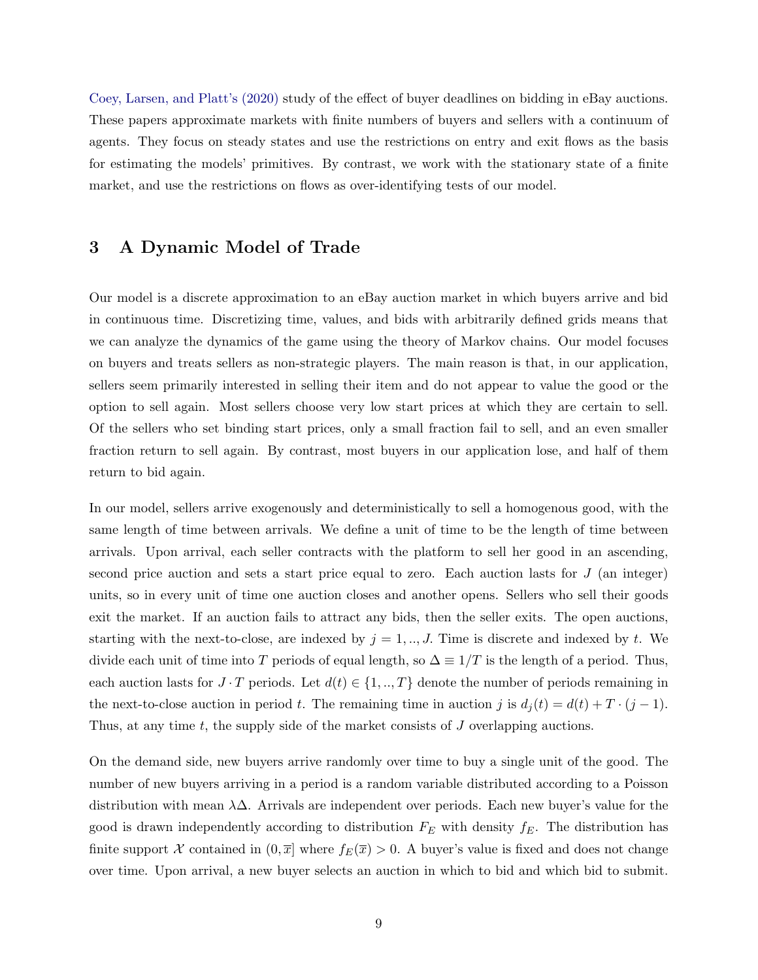[Coey, Larsen, and Platt's \(2020\)](#page-44-7) study of the effect of buyer deadlines on bidding in eBay auctions. These papers approximate markets with finite numbers of buyers and sellers with a continuum of agents. They focus on steady states and use the restrictions on entry and exit flows as the basis for estimating the models' primitives. By contrast, we work with the stationary state of a finite market, and use the restrictions on flows as over-identifying tests of our model.

### <span id="page-8-0"></span>3 A Dynamic Model of Trade

Our model is a discrete approximation to an eBay auction market in which buyers arrive and bid in continuous time. Discretizing time, values, and bids with arbitrarily defined grids means that we can analyze the dynamics of the game using the theory of Markov chains. Our model focuses on buyers and treats sellers as non-strategic players. The main reason is that, in our application, sellers seem primarily interested in selling their item and do not appear to value the good or the option to sell again. Most sellers choose very low start prices at which they are certain to sell. Of the sellers who set binding start prices, only a small fraction fail to sell, and an even smaller fraction return to sell again. By contrast, most buyers in our application lose, and half of them return to bid again.

In our model, sellers arrive exogenously and deterministically to sell a homogenous good, with the same length of time between arrivals. We define a unit of time to be the length of time between arrivals. Upon arrival, each seller contracts with the platform to sell her good in an ascending, second price auction and sets a start price equal to zero. Each auction lasts for J (an integer) units, so in every unit of time one auction closes and another opens. Sellers who sell their goods exit the market. If an auction fails to attract any bids, then the seller exits. The open auctions, starting with the next-to-close, are indexed by  $j = 1, \ldots, J$ . Time is discrete and indexed by t. We divide each unit of time into T periods of equal length, so  $\Delta \equiv 1/T$  is the length of a period. Thus, each auction lasts for  $J \cdot T$  periods. Let  $d(t) \in \{1, ..., T\}$  denote the number of periods remaining in the next-to-close auction in period t. The remaining time in auction j is  $d_j(t) = d(t) + T \cdot (j-1)$ . Thus, at any time t, the supply side of the market consists of J overlapping auctions.

On the demand side, new buyers arrive randomly over time to buy a single unit of the good. The number of new buyers arriving in a period is a random variable distributed according to a Poisson distribution with mean  $\lambda\Delta$ . Arrivals are independent over periods. Each new buyer's value for the good is drawn independently according to distribution  $F_E$  with density  $f_E$ . The distribution has finite support X contained in  $(0, \overline{x}]$  where  $f_E(\overline{x}) > 0$ . A buyer's value is fixed and does not change over time. Upon arrival, a new buyer selects an auction in which to bid and which bid to submit.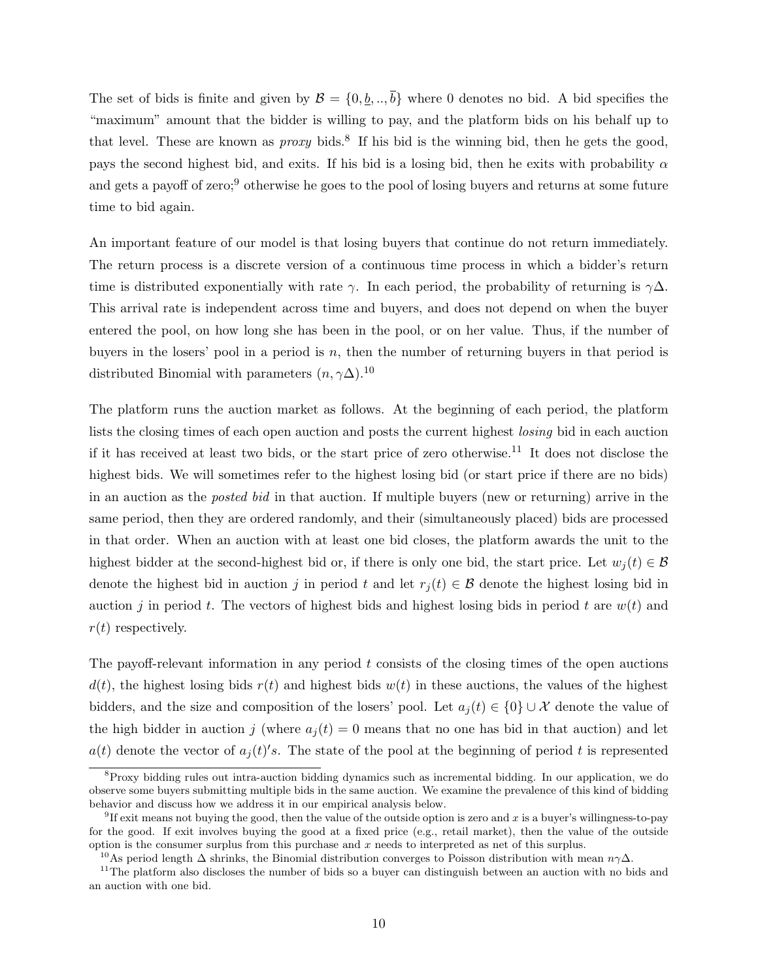The set of bids is finite and given by  $\mathcal{B} = \{0, \underline{b}, \dots, \overline{b}\}\$  where 0 denotes no bid. A bid specifies the "maximum" amount that the bidder is willing to pay, and the platform bids on his behalf up to that level. These are known as  $proxy$  bids.<sup>8</sup> If his bid is the winning bid, then he gets the good, pays the second highest bid, and exits. If his bid is a losing bid, then he exits with probability  $\alpha$ and gets a payoff of zero;<sup>9</sup> otherwise he goes to the pool of losing buyers and returns at some future time to bid again.

An important feature of our model is that losing buyers that continue do not return immediately. The return process is a discrete version of a continuous time process in which a bidder's return time is distributed exponentially with rate  $\gamma$ . In each period, the probability of returning is  $\gamma\Delta$ . This arrival rate is independent across time and buyers, and does not depend on when the buyer entered the pool, on how long she has been in the pool, or on her value. Thus, if the number of buyers in the losers' pool in a period is  $n$ , then the number of returning buyers in that period is distributed Binomial with parameters  $(n, \gamma \Delta)$ .<sup>10</sup>

The platform runs the auction market as follows. At the beginning of each period, the platform lists the closing times of each open auction and posts the current highest losing bid in each auction if it has received at least two bids, or the start price of zero otherwise.<sup>11</sup> It does not disclose the highest bids. We will sometimes refer to the highest losing bid (or start price if there are no bids) in an auction as the posted bid in that auction. If multiple buyers (new or returning) arrive in the same period, then they are ordered randomly, and their (simultaneously placed) bids are processed in that order. When an auction with at least one bid closes, the platform awards the unit to the highest bidder at the second-highest bid or, if there is only one bid, the start price. Let  $w_i(t) \in \mathcal{B}$ denote the highest bid in auction j in period t and let  $r_i(t) \in \mathcal{B}$  denote the highest losing bid in auction j in period t. The vectors of highest bids and highest losing bids in period t are  $w(t)$  and  $r(t)$  respectively.

The payoff-relevant information in any period  $t$  consists of the closing times of the open auctions  $d(t)$ , the highest losing bids  $r(t)$  and highest bids  $w(t)$  in these auctions, the values of the highest bidders, and the size and composition of the losers' pool. Let  $a_i(t) \in \{0\} \cup \mathcal{X}$  denote the value of the high bidder in auction j (where  $a_i(t) = 0$  means that no one has bid in that auction) and let  $a(t)$  denote the vector of  $a_j(t)'s$ . The state of the pool at the beginning of period t is represented

<sup>&</sup>lt;sup>8</sup>Proxy bidding rules out intra-auction bidding dynamics such as incremental bidding. In our application, we do observe some buyers submitting multiple bids in the same auction. We examine the prevalence of this kind of bidding behavior and discuss how we address it in our empirical analysis below.

 ${}^{9}$ If exit means not buying the good, then the value of the outside option is zero and x is a buyer's willingness-to-pay for the good. If exit involves buying the good at a fixed price (e.g., retail market), then the value of the outside option is the consumer surplus from this purchase and x needs to interpreted as net of this surplus.

<sup>&</sup>lt;sup>10</sup>As period length  $\Delta$  shrinks, the Binomial distribution converges to Poisson distribution with mean  $n\gamma\Delta$ .

<sup>&</sup>lt;sup>11</sup>The platform also discloses the number of bids so a buyer can distinguish between an auction with no bids and an auction with one bid.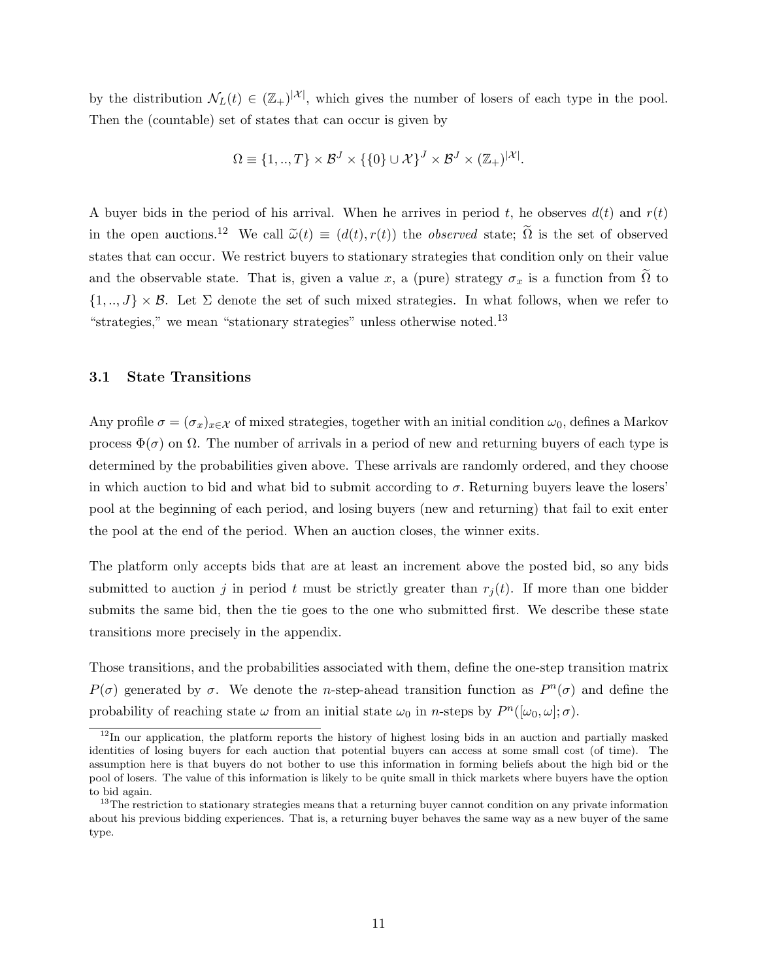by the distribution  $\mathcal{N}_L(t) \in (\mathbb{Z}_+)^{|\mathcal{X}|}$ , which gives the number of losers of each type in the pool. Then the (countable) set of states that can occur is given by

$$
\Omega \equiv \{1,..,T\} \times \mathcal{B}^J \times \{0\} \cup \mathcal{X}\}^J \times \mathcal{B}^J \times (\mathbb{Z}_+)^{|\mathcal{X}|}.
$$

A buyer bids in the period of his arrival. When he arrives in period t, he observes  $d(t)$  and  $r(t)$ in the open auctions.<sup>12</sup> We call  $\tilde{\omega}(t) \equiv (d(t), r(t))$  the *observed* state;  $\tilde{\Omega}$  is the set of observed states that can occur. We restrict buyers to stationary strategies that condition only on their value and the observable state. That is, given a value x, a (pure) strategy  $\sigma_x$  is a function from  $\Omega$  to  $\{1, ..., J\} \times \mathcal{B}$ . Let  $\Sigma$  denote the set of such mixed strategies. In what follows, when we refer to "strategies," we mean "stationary strategies" unless otherwise noted.<sup>13</sup>

#### 3.1 State Transitions

Any profile  $\sigma = (\sigma_x)_{x \in \mathcal{X}}$  of mixed strategies, together with an initial condition  $\omega_0$ , defines a Markov process Φ(σ) on Ω. The number of arrivals in a period of new and returning buyers of each type is determined by the probabilities given above. These arrivals are randomly ordered, and they choose in which auction to bid and what bid to submit according to  $\sigma$ . Returning buyers leave the losers' pool at the beginning of each period, and losing buyers (new and returning) that fail to exit enter the pool at the end of the period. When an auction closes, the winner exits.

The platform only accepts bids that are at least an increment above the posted bid, so any bids submitted to auction j in period t must be strictly greater than  $r_i(t)$ . If more than one bidder submits the same bid, then the tie goes to the one who submitted first. We describe these state transitions more precisely in the appendix.

Those transitions, and the probabilities associated with them, define the one-step transition matrix  $P(\sigma)$  generated by  $\sigma$ . We denote the *n*-step-ahead transition function as  $P^{n}(\sigma)$  and define the probability of reaching state  $\omega$  from an initial state  $\omega_0$  in *n*-steps by  $P^n([\omega_0, \omega]; \sigma)$ .

 $12$ In our application, the platform reports the history of highest losing bids in an auction and partially masked identities of losing buyers for each auction that potential buyers can access at some small cost (of time). The assumption here is that buyers do not bother to use this information in forming beliefs about the high bid or the pool of losers. The value of this information is likely to be quite small in thick markets where buyers have the option to bid again.

<sup>&</sup>lt;sup>13</sup>The restriction to stationary strategies means that a returning buyer cannot condition on any private information about his previous bidding experiences. That is, a returning buyer behaves the same way as a new buyer of the same type.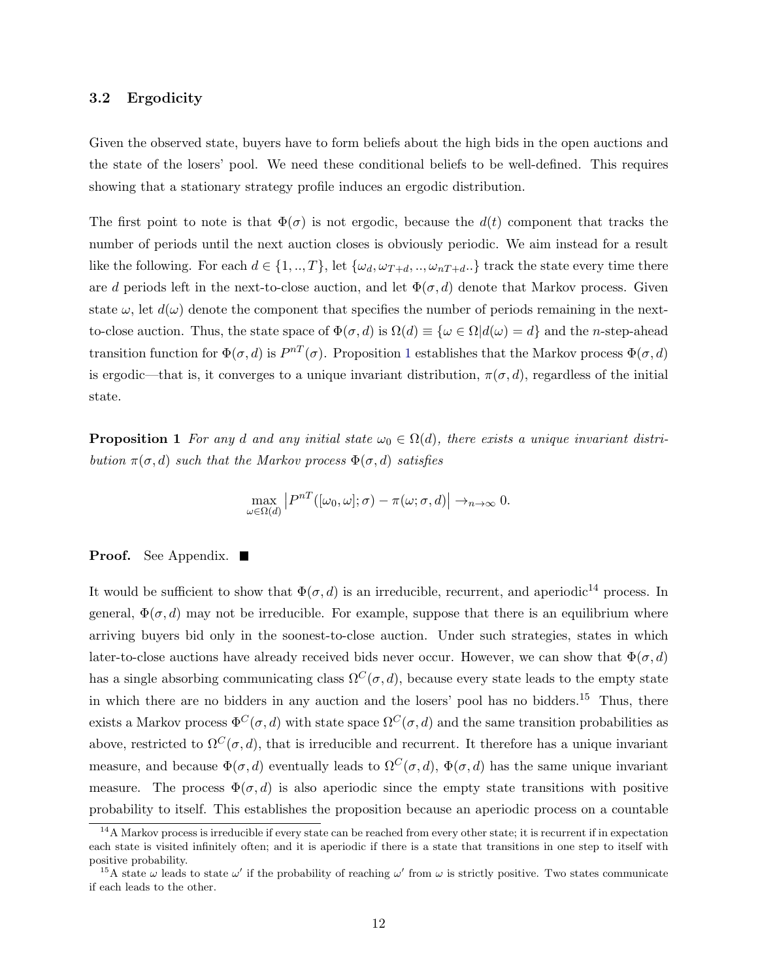#### 3.2 Ergodicity

Given the observed state, buyers have to form beliefs about the high bids in the open auctions and the state of the losers' pool. We need these conditional beliefs to be well-defined. This requires showing that a stationary strategy profile induces an ergodic distribution.

The first point to note is that  $\Phi(\sigma)$  is not ergodic, because the  $d(t)$  component that tracks the number of periods until the next auction closes is obviously periodic. We aim instead for a result like the following. For each  $d \in \{1, ..., T\}$ , let  $\{\omega_d, \omega_{T+d}, ..., \omega_{nT+d}.\}$  track the state every time there are d periods left in the next-to-close auction, and let  $\Phi(\sigma, d)$  denote that Markov process. Given state  $\omega$ , let  $d(\omega)$  denote the component that specifies the number of periods remaining in the nextto-close auction. Thus, the state space of  $\Phi(\sigma, d)$  is  $\Omega(d) \equiv {\omega \in \Omega | d(\omega) = d}$  and the n-step-ahead transition function for  $\Phi(\sigma, d)$  is  $P^{nT}(\sigma)$ . Proposition [1](#page-11-0) establishes that the Markov process  $\Phi(\sigma, d)$ is ergodic—that is, it converges to a unique invariant distribution,  $\pi(\sigma, d)$ , regardless of the initial state.

<span id="page-11-0"></span>**Proposition 1** For any d and any initial state  $\omega_0 \in \Omega(d)$ , there exists a unique invariant distribution  $\pi(\sigma, d)$  such that the Markov process  $\Phi(\sigma, d)$  satisfies

$$
\max_{\omega \in \Omega(d)} |P^{nT}([\omega_0, \omega]; \sigma) - \pi(\omega; \sigma, d)| \to_{n \to \infty} 0.
$$

#### **Proof.** See Appendix. ■

It would be sufficient to show that  $\Phi(\sigma, d)$  is an irreducible, recurrent, and aperiodic<sup>14</sup> process. In general,  $\Phi(\sigma, d)$  may not be irreducible. For example, suppose that there is an equilibrium where arriving buyers bid only in the soonest-to-close auction. Under such strategies, states in which later-to-close auctions have already received bids never occur. However, we can show that  $\Phi(\sigma, d)$ has a single absorbing communicating class  $\Omega^C(\sigma, d)$ , because every state leads to the empty state in which there are no bidders in any auction and the losers' pool has no bidders.<sup>15</sup> Thus, there exists a Markov process  $\Phi^C(\sigma, d)$  with state space  $\Omega^C(\sigma, d)$  and the same transition probabilities as above, restricted to  $\Omega^C(\sigma, d)$ , that is irreducible and recurrent. It therefore has a unique invariant measure, and because  $\Phi(\sigma, d)$  eventually leads to  $\Omega^C(\sigma, d)$ ,  $\Phi(\sigma, d)$  has the same unique invariant measure. The process  $\Phi(\sigma, d)$  is also aperiodic since the empty state transitions with positive probability to itself. This establishes the proposition because an aperiodic process on a countable

 $14A$  Markov process is irreducible if every state can be reached from every other state; it is recurrent if in expectation each state is visited infinitely often; and it is aperiodic if there is a state that transitions in one step to itself with positive probability.

<sup>&</sup>lt;sup>15</sup>A state  $\omega$  leads to state  $\omega'$  if the probability of reaching  $\omega'$  from  $\omega$  is strictly positive. Two states communicate if each leads to the other.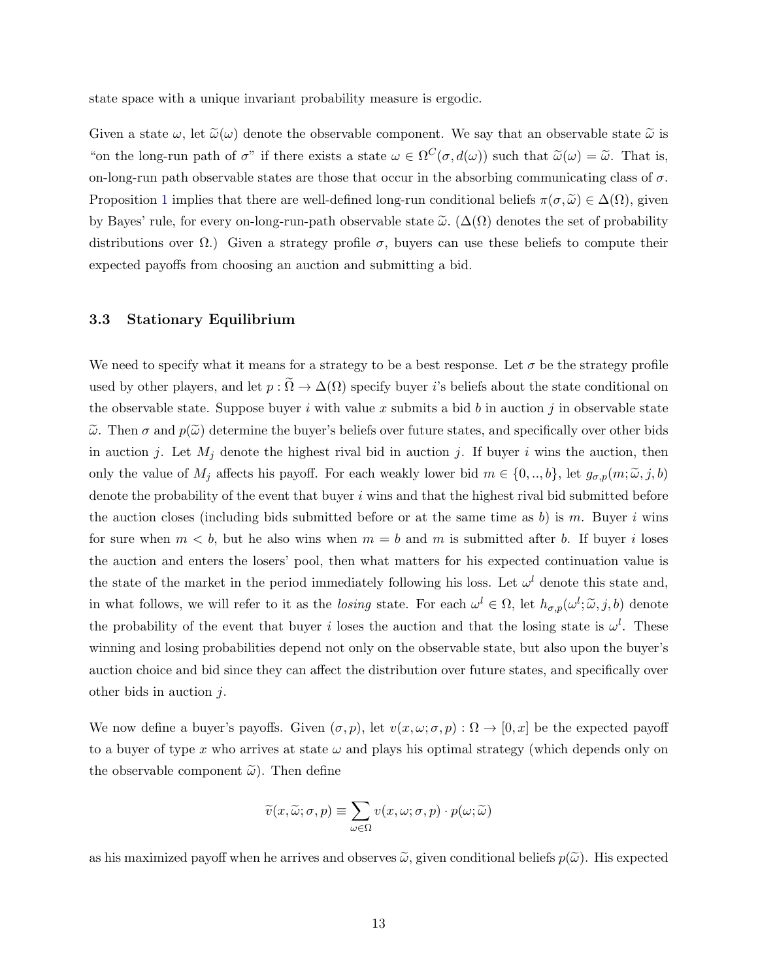state space with a unique invariant probability measure is ergodic.

Given a state  $\omega$ , let  $\tilde{\omega}(\omega)$  denote the observable component. We say that an observable state  $\tilde{\omega}$  is "on the long-run path of  $\sigma$ " if there exists a state  $\omega \in \Omega^C(\sigma, d(\omega))$  such that  $\tilde{\omega}(\omega) = \tilde{\omega}$ . That is, on-long-run path observable states are those that occur in the absorbing communicating class of  $\sigma$ . Proposition [1](#page-11-0) implies that there are well-defined long-run conditional beliefs  $\pi(\sigma,\tilde{\omega}) \in \Delta(\Omega)$ , given by Bayes' rule, for every on-long-run-path observable state  $\tilde{\omega}$ . ( $\Delta(\Omega)$ ) denotes the set of probability distributions over  $\Omega$ .) Given a strategy profile  $\sigma$ , buyers can use these beliefs to compute their expected payoffs from choosing an auction and submitting a bid.

#### 3.3 Stationary Equilibrium

We need to specify what it means for a strategy to be a best response. Let  $\sigma$  be the strategy profile used by other players, and let  $p : \Omega \to \Delta(\Omega)$  specify buyer i's beliefs about the state conditional on the observable state. Suppose buyer i with value x submits a bid b in auction j in observable state  $\tilde{\omega}$ . Then  $\sigma$  and  $p(\tilde{\omega})$  determine the buyer's beliefs over future states, and specifically over other bids in auction j. Let  $M_j$  denote the highest rival bid in auction j. If buyer i wins the auction, then only the value of  $M_j$  affects his payoff. For each weakly lower bid  $m \in \{0, ..., b\}$ , let  $g_{\sigma,p}(m; \tilde{\omega}, j, b)$ denote the probability of the event that buyer  $i$  wins and that the highest rival bid submitted before the auction closes (including bids submitted before or at the same time as b) is m. Buyer i wins for sure when  $m < b$ , but he also wins when  $m = b$  and m is submitted after b. If buyer i loses the auction and enters the losers' pool, then what matters for his expected continuation value is the state of the market in the period immediately following his loss. Let  $\omega^l$  denote this state and, in what follows, we will refer to it as the *losing* state. For each  $\omega^l \in \Omega$ , let  $h_{\sigma,p}(\omega^l; \tilde{\omega}, j, b)$  denote the probability of the event that buyer i loses the auction and that the losing state is  $\omega^l$ . These winning and losing probabilities depend not only on the observable state, but also upon the buyer's auction choice and bid since they can affect the distribution over future states, and specifically over other bids in auction  $j$ .

We now define a buyer's payoffs. Given  $(\sigma, p)$ , let  $v(x, \omega; \sigma, p) : \Omega \to [0, x]$  be the expected payoff to a buyer of type x who arrives at state  $\omega$  and plays his optimal strategy (which depends only on the observable component  $\tilde{\omega}$ ). Then define

$$
\widetilde{v}(x,\widetilde{\omega};\sigma,p) \equiv \sum_{\omega \in \Omega} v(x,\omega;\sigma,p) \cdot p(\omega;\widetilde{\omega})
$$

as his maximized payoff when he arrives and observes  $\tilde{\omega}$ , given conditional beliefs  $p(\tilde{\omega})$ . His expected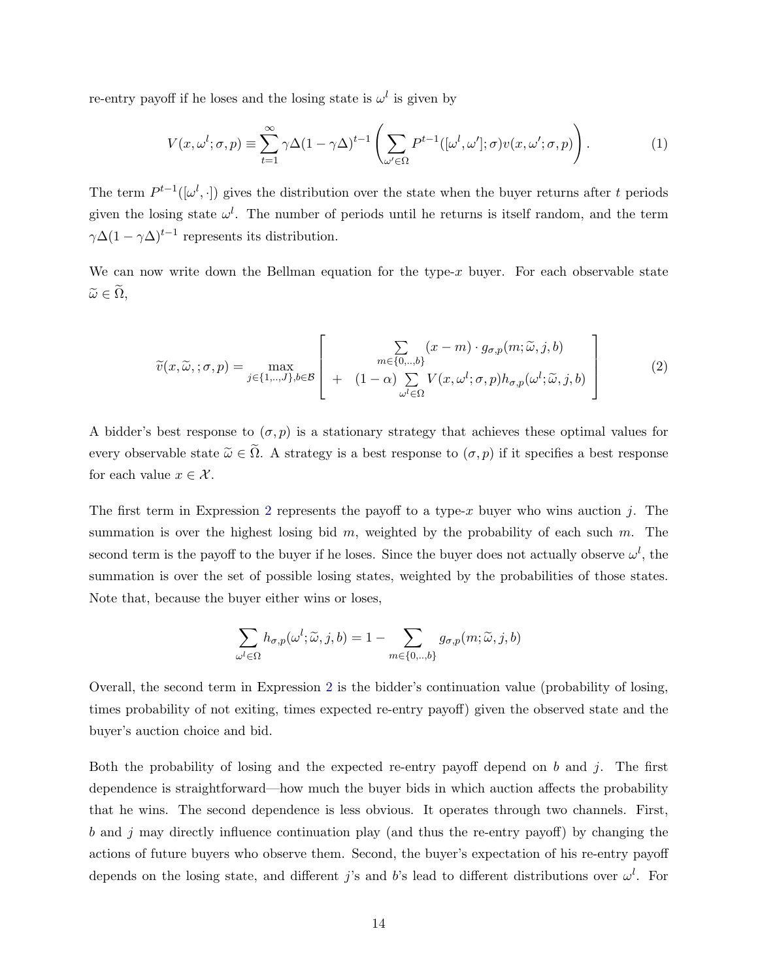re-entry payoff if he loses and the losing state is  $\omega^l$  is given by

$$
V(x,\omega^l;\sigma,p) \equiv \sum_{t=1}^{\infty} \gamma \Delta (1 - \gamma \Delta)^{t-1} \left( \sum_{\omega' \in \Omega} P^{t-1}([\omega^l,\omega'],\sigma) v(x,\omega';\sigma,p) \right). \tag{1}
$$

The term  $P^{t-1}([\omega^l, \cdot])$  gives the distribution over the state when the buyer returns after t periods given the losing state  $\omega^l$ . The number of periods until he returns is itself random, and the term  $\gamma \Delta (1 - \gamma \Delta)^{t-1}$  represents its distribution.

We can now write down the Bellman equation for the type- $x$  buyer. For each observable state  $\widetilde{\omega} \in \widetilde{\Omega}$ ,

<span id="page-13-0"></span>
$$
\widetilde{v}(x,\widetilde{\omega},;\sigma,p) = \max_{j \in \{1,..,J\},b \in \mathcal{B}} \left[ \begin{array}{c} \sum_{m \in \{0,..,b\}} (x-m) \cdot g_{\sigma,p}(m;\widetilde{\omega},j,b) \\ + (1-\alpha) \sum_{\omega^l \in \Omega} V(x,\omega^l;\sigma,p) h_{\sigma,p}(\omega^l;\widetilde{\omega},j,b) \end{array} \right] \tag{2}
$$

A bidder's best response to  $(\sigma, p)$  is a stationary strategy that achieves these optimal values for every observable state  $\tilde{\omega} \in \tilde{\Omega}$ . A strategy is a best response to  $(\sigma, p)$  if it specifies a best response for each value  $x \in \mathcal{X}$ .

The first term in Expression [2](#page-13-0) represents the payoff to a type-x buyer who wins auction j. The summation is over the highest losing bid  $m$ , weighted by the probability of each such  $m$ . The second term is the payoff to the buyer if he loses. Since the buyer does not actually observe  $\omega^l$ , the summation is over the set of possible losing states, weighted by the probabilities of those states. Note that, because the buyer either wins or loses,

$$
\sum_{\omega^l \in \Omega} h_{\sigma, p}(\omega^l; \widetilde{\omega}, j, b) = 1 - \sum_{m \in \{0, \ldots, b\}} g_{\sigma, p}(m; \widetilde{\omega}, j, b)
$$

Overall, the second term in Expression [2](#page-13-0) is the bidder's continuation value (probability of losing, times probability of not exiting, times expected re-entry payoff) given the observed state and the buyer's auction choice and bid.

Both the probability of losing and the expected re-entry payoff depend on b and j. The first dependence is straightforward—how much the buyer bids in which auction affects the probability that he wins. The second dependence is less obvious. It operates through two channels. First,  $b$  and  $j$  may directly influence continuation play (and thus the re-entry payoff) by changing the actions of future buyers who observe them. Second, the buyer's expectation of his re-entry payoff depends on the losing state, and different j's and b's lead to different distributions over  $\omega^l$ . For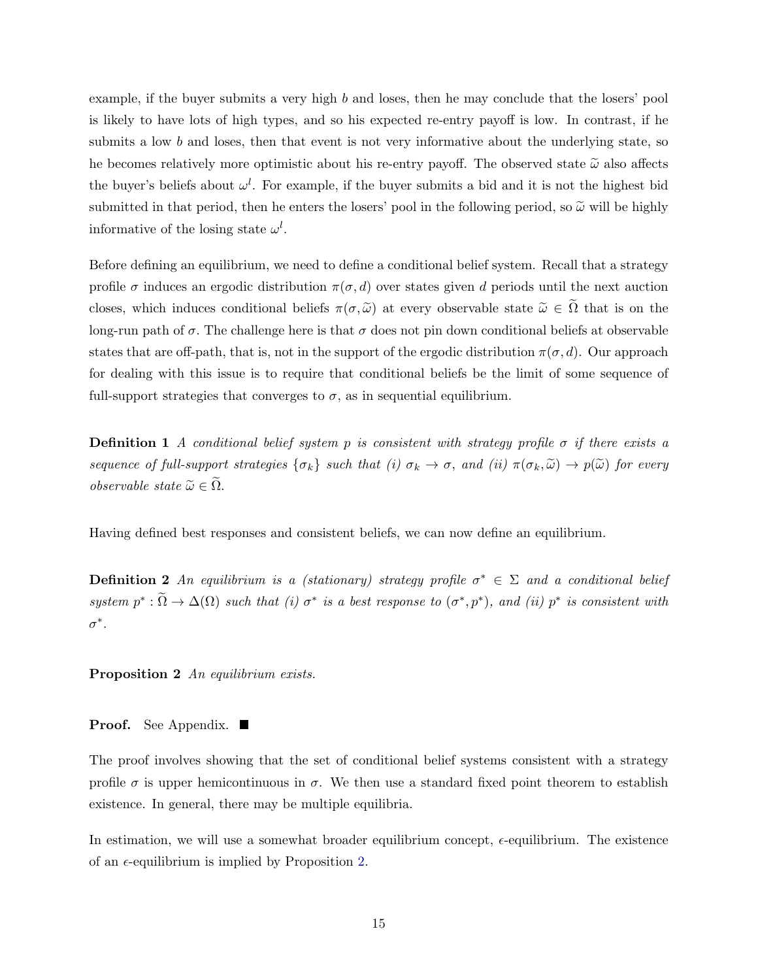example, if the buyer submits a very high b and loses, then he may conclude that the losers' pool is likely to have lots of high types, and so his expected re-entry payoff is low. In contrast, if he submits a low  $b$  and loses, then that event is not very informative about the underlying state, so he becomes relatively more optimistic about his re-entry payoff. The observed state  $\tilde{\omega}$  also affects the buyer's beliefs about  $\omega^l$ . For example, if the buyer submits a bid and it is not the highest bid submitted in that period, then he enters the losers' pool in the following period, so  $\tilde{\omega}$  will be highly informative of the losing state  $\omega^l$ .

Before defining an equilibrium, we need to define a conditional belief system. Recall that a strategy profile  $\sigma$  induces an ergodic distribution  $\pi(\sigma, d)$  over states given d periods until the next auction closes, which induces conditional beliefs  $\pi(\sigma, \tilde{\omega})$  at every observable state  $\tilde{\omega} \in \tilde{\Omega}$  that is on the long-run path of  $\sigma$ . The challenge here is that  $\sigma$  does not pin down conditional beliefs at observable states that are off-path, that is, not in the support of the ergodic distribution  $\pi(\sigma, d)$ . Our approach for dealing with this issue is to require that conditional beliefs be the limit of some sequence of full-support strategies that converges to  $\sigma$ , as in sequential equilibrium.

**Definition 1** A conditional belief system p is consistent with strategy profile  $\sigma$  if there exists a sequence of full-support strategies  $\{\sigma_k\}$  such that (i)  $\sigma_k \to \sigma$ , and (ii)  $\pi(\sigma_k, \tilde{\omega}) \to p(\tilde{\omega})$  for every observable state  $\widetilde{\omega} \in \widetilde{\Omega}$ .

Having defined best responses and consistent beliefs, we can now define an equilibrium.

**Definition 2** An equilibrium is a (stationary) strategy profile  $\sigma^* \in \Sigma$  and a conditional belief system  $p^* : \tilde{\Omega} \to \Delta(\Omega)$  such that (i)  $\sigma^*$  is a best response to  $(\sigma^*, p^*)$ , and (ii)  $p^*$  is consistent with  $\sigma^*$ .

<span id="page-14-0"></span>Proposition 2 An equilibrium exists.

**Proof.** See Appendix. ■

The proof involves showing that the set of conditional belief systems consistent with a strategy profile  $\sigma$  is upper hemicontinuous in  $\sigma$ . We then use a standard fixed point theorem to establish existence. In general, there may be multiple equilibria.

In estimation, we will use a somewhat broader equilibrium concept,  $\epsilon$ -equilibrium. The existence of an  $\epsilon$ -equilibrium is implied by Proposition [2.](#page-14-0)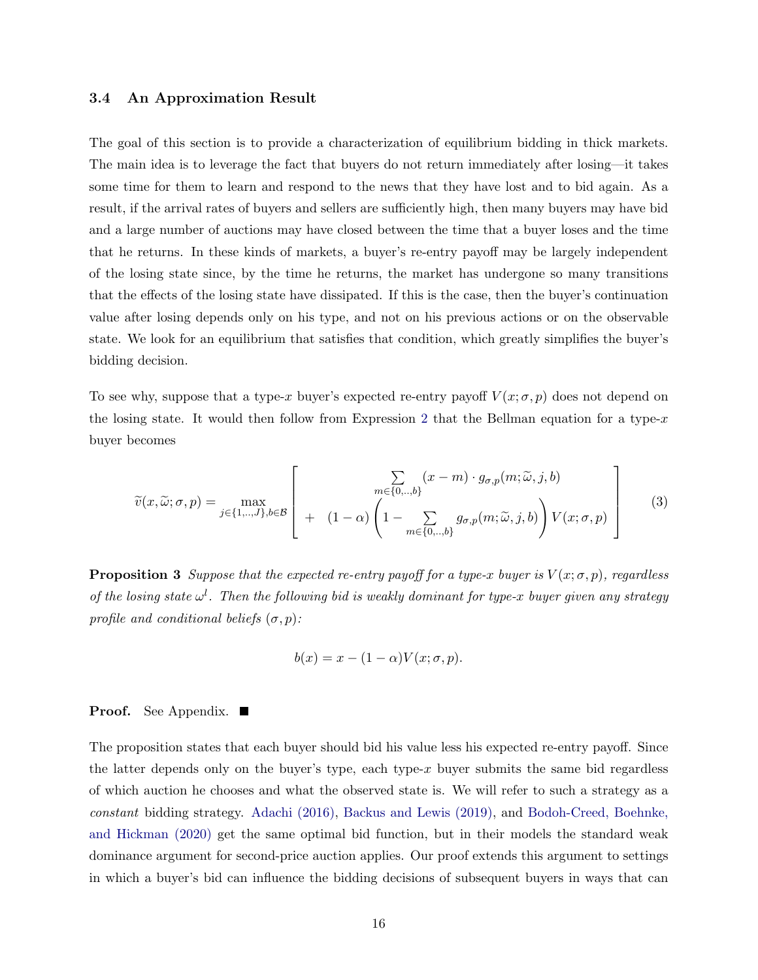#### 3.4 An Approximation Result

The goal of this section is to provide a characterization of equilibrium bidding in thick markets. The main idea is to leverage the fact that buyers do not return immediately after losing—it takes some time for them to learn and respond to the news that they have lost and to bid again. As a result, if the arrival rates of buyers and sellers are sufficiently high, then many buyers may have bid and a large number of auctions may have closed between the time that a buyer loses and the time that he returns. In these kinds of markets, a buyer's re-entry payoff may be largely independent of the losing state since, by the time he returns, the market has undergone so many transitions that the effects of the losing state have dissipated. If this is the case, then the buyer's continuation value after losing depends only on his type, and not on his previous actions or on the observable state. We look for an equilibrium that satisfies that condition, which greatly simplifies the buyer's bidding decision.

To see why, suppose that a type-x buyer's expected re-entry payoff  $V(x; \sigma, p)$  does not depend on the losing state. It would then follow from Expression [2](#page-13-0) that the Bellman equation for a type- $x$ buyer becomes

$$
\widetilde{v}(x,\widetilde{\omega};\sigma,p) = \max_{j \in \{1,\ldots,J\},b \in \mathcal{B}} \left[ \begin{array}{c} \sum_{m \in \{0,\ldots,b\}} (x-m) \cdot g_{\sigma,p}(m;\widetilde{\omega},j,b) \\ + (1-\alpha) \left(1 - \sum_{m \in \{0,\ldots,b\}} g_{\sigma,p}(m;\widetilde{\omega},j,b)\right) V(x;\sigma,p) \end{array} \right] \tag{3}
$$

<span id="page-15-0"></span>**Proposition 3** Suppose that the expected re-entry payoff for a type-x buyer is  $V(x; \sigma, p)$ , regardless of the losing state  $\omega^l$ . Then the following bid is weakly dominant for type-x buyer given any strategy profile and conditional beliefs  $(\sigma, p)$ :

$$
b(x) = x - (1 - \alpha)V(x; \sigma, p).
$$

#### **Proof.** See Appendix. ■

The proposition states that each buyer should bid his value less his expected re-entry payoff. Since the latter depends only on the buyer's type, each type- $x$  buyer submits the same bid regardless of which auction he chooses and what the observed state is. We will refer to such a strategy as a constant bidding strategy. [Adachi \(2016\),](#page-43-3) [Backus and Lewis \(2019\),](#page-43-0) and [Bodoh-Creed, Boehnke,](#page-43-2) [and Hickman \(2020\)](#page-43-2) get the same optimal bid function, but in their models the standard weak dominance argument for second-price auction applies. Our proof extends this argument to settings in which a buyer's bid can influence the bidding decisions of subsequent buyers in ways that can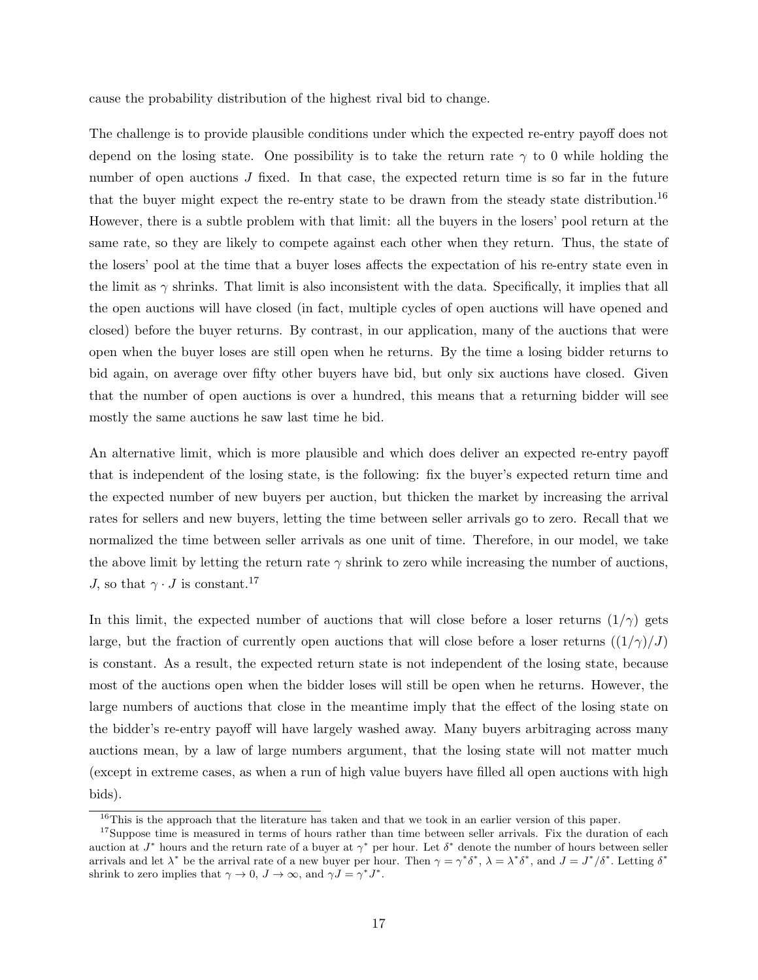cause the probability distribution of the highest rival bid to change.

The challenge is to provide plausible conditions under which the expected re-entry payoff does not depend on the losing state. One possibility is to take the return rate  $\gamma$  to 0 while holding the number of open auctions  $J$  fixed. In that case, the expected return time is so far in the future that the buyer might expect the re-entry state to be drawn from the steady state distribution.<sup>16</sup> However, there is a subtle problem with that limit: all the buyers in the losers' pool return at the same rate, so they are likely to compete against each other when they return. Thus, the state of the losers' pool at the time that a buyer loses affects the expectation of his re-entry state even in the limit as  $\gamma$  shrinks. That limit is also inconsistent with the data. Specifically, it implies that all the open auctions will have closed (in fact, multiple cycles of open auctions will have opened and closed) before the buyer returns. By contrast, in our application, many of the auctions that were open when the buyer loses are still open when he returns. By the time a losing bidder returns to bid again, on average over fifty other buyers have bid, but only six auctions have closed. Given that the number of open auctions is over a hundred, this means that a returning bidder will see mostly the same auctions he saw last time he bid.

An alternative limit, which is more plausible and which does deliver an expected re-entry payoff that is independent of the losing state, is the following: fix the buyer's expected return time and the expected number of new buyers per auction, but thicken the market by increasing the arrival rates for sellers and new buyers, letting the time between seller arrivals go to zero. Recall that we normalized the time between seller arrivals as one unit of time. Therefore, in our model, we take the above limit by letting the return rate  $\gamma$  shrink to zero while increasing the number of auctions, J, so that  $\gamma \cdot J$  is constant.<sup>17</sup>

In this limit, the expected number of auctions that will close before a loser returns  $(1/\gamma)$  gets large, but the fraction of currently open auctions that will close before a loser returns  $((1/\gamma)/J)$ is constant. As a result, the expected return state is not independent of the losing state, because most of the auctions open when the bidder loses will still be open when he returns. However, the large numbers of auctions that close in the meantime imply that the effect of the losing state on the bidder's re-entry payoff will have largely washed away. Many buyers arbitraging across many auctions mean, by a law of large numbers argument, that the losing state will not matter much (except in extreme cases, as when a run of high value buyers have filled all open auctions with high bids).

<sup>&</sup>lt;sup>16</sup>This is the approach that the literature has taken and that we took in an earlier version of this paper.

<sup>&</sup>lt;sup>17</sup>Suppose time is measured in terms of hours rather than time between seller arrivals. Fix the duration of each auction at  $J^*$  hours and the return rate of a buyer at  $\gamma^*$  per hour. Let  $\delta^*$  denote the number of hours between seller arrivals and let  $\lambda^*$  be the arrival rate of a new buyer per hour. Then  $\gamma = \gamma^* \delta^*$ ,  $\lambda = \lambda^* \delta^*$ , and  $J = J^* / \delta^*$ . Letting  $\delta^*$ shrink to zero implies that  $\gamma \to 0$ ,  $J \to \infty$ , and  $\gamma J = \gamma^* J^*$ .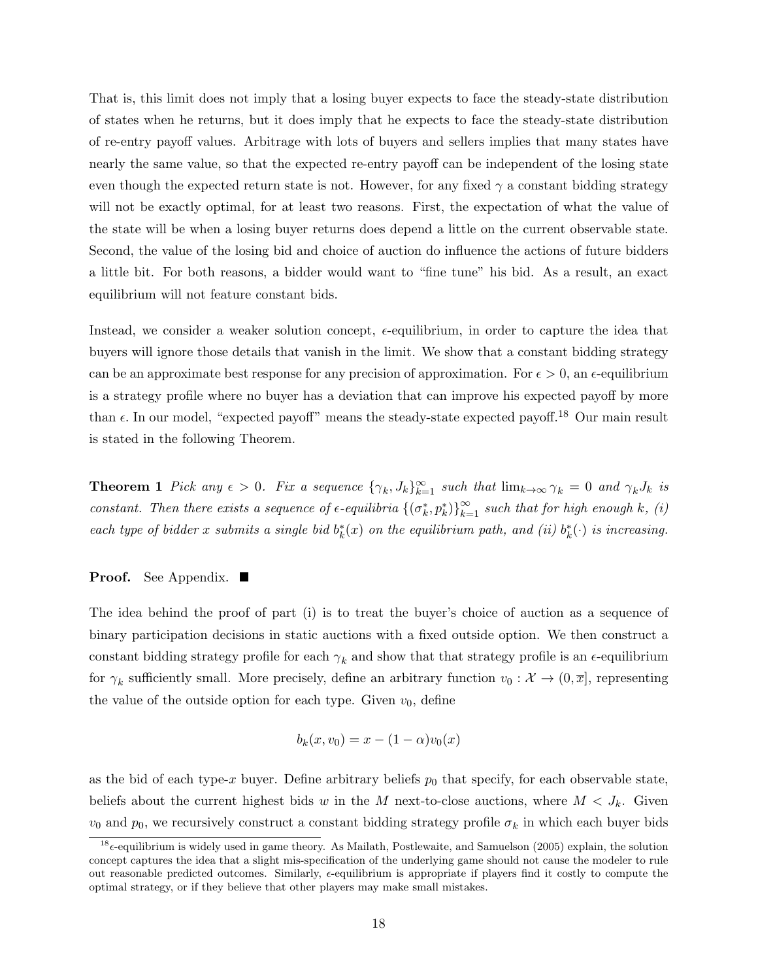That is, this limit does not imply that a losing buyer expects to face the steady-state distribution of states when he returns, but it does imply that he expects to face the steady-state distribution of re-entry payoff values. Arbitrage with lots of buyers and sellers implies that many states have nearly the same value, so that the expected re-entry payoff can be independent of the losing state even though the expected return state is not. However, for any fixed  $\gamma$  a constant bidding strategy will not be exactly optimal, for at least two reasons. First, the expectation of what the value of the state will be when a losing buyer returns does depend a little on the current observable state. Second, the value of the losing bid and choice of auction do influence the actions of future bidders a little bit. For both reasons, a bidder would want to "fine tune" his bid. As a result, an exact equilibrium will not feature constant bids.

Instead, we consider a weaker solution concept,  $\epsilon$ -equilibrium, in order to capture the idea that buyers will ignore those details that vanish in the limit. We show that a constant bidding strategy can be an approximate best response for any precision of approximation. For  $\epsilon > 0$ , an  $\epsilon$ -equilibrium is a strategy profile where no buyer has a deviation that can improve his expected payoff by more than  $\epsilon$ . In our model, "expected payoff" means the steady-state expected payoff.<sup>18</sup> Our main result is stated in the following Theorem.

<span id="page-17-0"></span>**Theorem 1** Pick any  $\epsilon > 0$ . Fix a sequence  $\{\gamma_k, J_k\}_{k=1}^{\infty}$  such that  $\lim_{k\to\infty} \gamma_k = 0$  and  $\gamma_k J_k$  is constant. Then there exists a sequence of  $\epsilon$ -equilibria  $\{(\sigma_k^*, p_k^*)\}_{k=1}^{\infty}$  such that for high enough k, (i) each type of bidder x submits a single bid  $b_k^*(x)$  on the equilibrium path, and (ii)  $b_k^*(\cdot)$  is increasing.

#### **Proof.** See Appendix. ■

The idea behind the proof of part (i) is to treat the buyer's choice of auction as a sequence of binary participation decisions in static auctions with a fixed outside option. We then construct a constant bidding strategy profile for each  $\gamma_k$  and show that that strategy profile is an  $\epsilon$ -equilibrium for  $\gamma_k$  sufficiently small. More precisely, define an arbitrary function  $v_0: \mathcal{X} \to (0, \overline{x}]$ , representing the value of the outside option for each type. Given  $v_0$ , define

$$
b_k(x, v_0) = x - (1 - \alpha)v_0(x)
$$

as the bid of each type-x buyer. Define arbitrary beliefs  $p_0$  that specify, for each observable state, beliefs about the current highest bids w in the M next-to-close auctions, where  $M < J_k$ . Given  $v_0$  and  $p_0$ , we recursively construct a constant bidding strategy profile  $\sigma_k$  in which each buyer bids

 $18\epsilon$ -equilibrium is widely used in game theory. As Mailath, Postlewaite, and Samuelson (2005) explain, the solution concept captures the idea that a slight mis-specification of the underlying game should not cause the modeler to rule out reasonable predicted outcomes. Similarly,  $\epsilon$ -equilibrium is appropriate if players find it costly to compute the optimal strategy, or if they believe that other players may make small mistakes.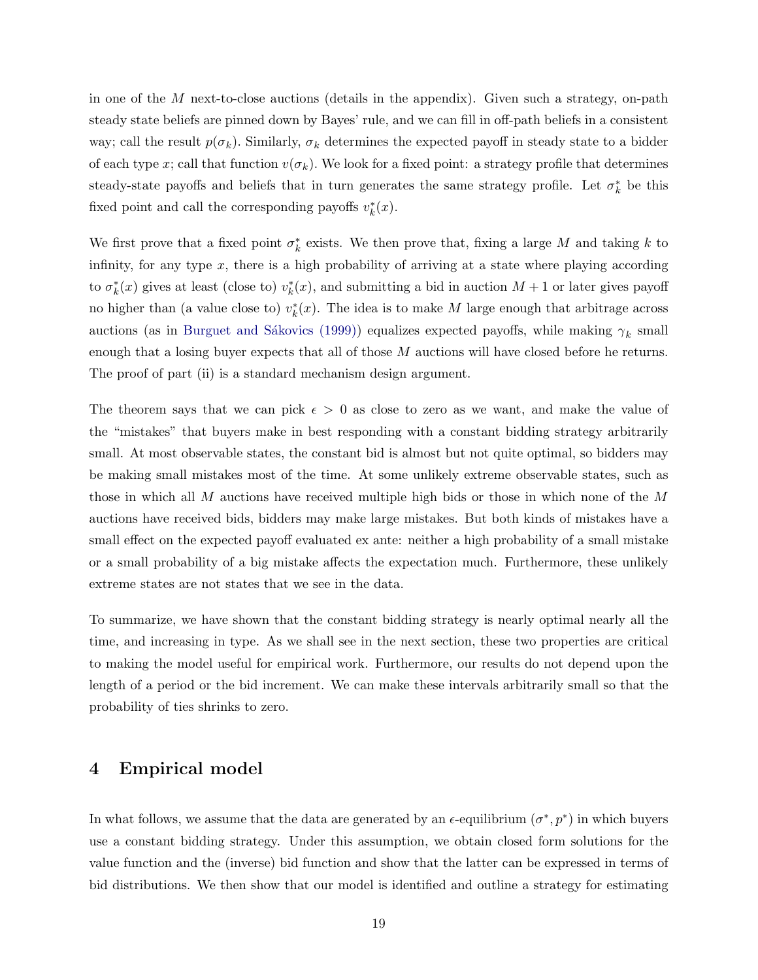in one of the M next-to-close auctions (details in the appendix). Given such a strategy, on-path steady state beliefs are pinned down by Bayes' rule, and we can fill in off-path beliefs in a consistent way; call the result  $p(\sigma_k)$ . Similarly,  $\sigma_k$  determines the expected payoff in steady state to a bidder of each type x; call that function  $v(\sigma_k)$ . We look for a fixed point: a strategy profile that determines steady-state payoffs and beliefs that in turn generates the same strategy profile. Let  $\sigma_k^*$  be this fixed point and call the corresponding payoffs  $v_k^*(x)$ .

We first prove that a fixed point  $\sigma_k^*$  exists. We then prove that, fixing a large M and taking k to infinity, for any type  $x$ , there is a high probability of arriving at a state where playing according to  $\sigma_k^*(x)$  gives at least (close to)  $v_k^*(x)$ , and submitting a bid in auction  $M+1$  or later gives payoff no higher than (a value close to)  $v_k^*(x)$ . The idea is to make M large enough that arbitrage across auctions (as in Burguet and Sákovics (1999)) equalizes expected payoffs, while making  $\gamma_k$  small enough that a losing buyer expects that all of those M auctions will have closed before he returns. The proof of part (ii) is a standard mechanism design argument.

The theorem says that we can pick  $\epsilon > 0$  as close to zero as we want, and make the value of the "mistakes" that buyers make in best responding with a constant bidding strategy arbitrarily small. At most observable states, the constant bid is almost but not quite optimal, so bidders may be making small mistakes most of the time. At some unlikely extreme observable states, such as those in which all M auctions have received multiple high bids or those in which none of the M auctions have received bids, bidders may make large mistakes. But both kinds of mistakes have a small effect on the expected payoff evaluated ex ante: neither a high probability of a small mistake or a small probability of a big mistake affects the expectation much. Furthermore, these unlikely extreme states are not states that we see in the data.

To summarize, we have shown that the constant bidding strategy is nearly optimal nearly all the time, and increasing in type. As we shall see in the next section, these two properties are critical to making the model useful for empirical work. Furthermore, our results do not depend upon the length of a period or the bid increment. We can make these intervals arbitrarily small so that the probability of ties shrinks to zero.

### 4 Empirical model

In what follows, we assume that the data are generated by an  $\epsilon$ -equilibrium  $(\sigma^*, p^*)$  in which buyers use a constant bidding strategy. Under this assumption, we obtain closed form solutions for the value function and the (inverse) bid function and show that the latter can be expressed in terms of bid distributions. We then show that our model is identified and outline a strategy for estimating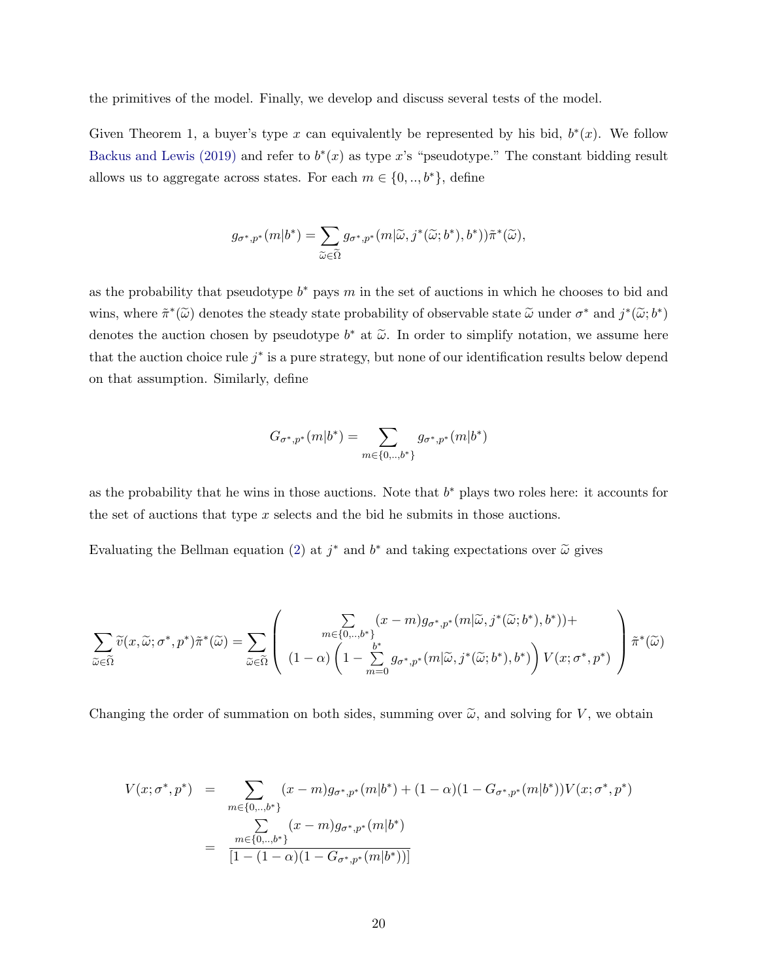the primitives of the model. Finally, we develop and discuss several tests of the model.

Given Theorem 1, a buyer's type x can equivalently be represented by his bid,  $b^*(x)$ . We follow [Backus and Lewis \(2019\)](#page-43-0) and refer to  $b^*(x)$  as type x's "pseudotype." The constant bidding result allows us to aggregate across states. For each  $m \in \{0, ..., b^*\}$ , define

$$
g_{\sigma^*,p^*}(m|b^*) = \sum_{\widetilde{\omega} \in \widetilde{\Omega}} g_{\sigma^*,p^*}(m|\widetilde{\omega},j^*(\widetilde{\omega};b^*),b^*))\widetilde{\pi}^*(\widetilde{\omega}),
$$

as the probability that pseudotype  $b^*$  pays m in the set of auctions in which he chooses to bid and wins, where  $\tilde{\pi}^*(\tilde{\omega})$  denotes the steady state probability of observable state  $\tilde{\omega}$  under  $\sigma^*$  and  $j^*(\tilde{\omega};b^*)$ denotes the auction chosen by pseudotype  $b^*$  at  $\tilde{\omega}$ . In order to simplify notation, we assume here that the auction choice rule  $j^*$  is a pure strategy, but none of our identification results below depend on that assumption. Similarly, define

$$
G_{\sigma^*,p^*}(m|b^*) = \sum_{m \in \{0,..,b^*\}} g_{\sigma^*,p^*}(m|b^*)
$$

as the probability that he wins in those auctions. Note that  $b^*$  plays two roles here: it accounts for the set of auctions that type  $x$  selects and the bid he submits in those auctions.

Evaluating the Bellman equation [\(2\)](#page-13-0) at  $j^*$  and  $b^*$  and taking expectations over  $\tilde{\omega}$  gives

$$
\sum_{\widetilde{\omega}\in\widetilde{\Omega}}\widetilde{v}(x,\widetilde{\omega};\sigma^*,p^*)\widetilde{\pi}^*(\widetilde{\omega})=\sum_{\widetilde{\omega}\in\widetilde{\Omega}}\left(\begin{array}{c} \sum_{m\in\{0,\ldots,b^*\}}(x-m)g_{\sigma^*,p^*}(m|\widetilde{\omega},j^*(\widetilde{\omega};b^*),b^*))+\\\ (1-\alpha)\left(1-\sum_{m=0}^{b^*}g_{\sigma^*,p^*}(m|\widetilde{\omega},j^*(\widetilde{\omega};b^*),b^*)\right)V(x;\sigma^*,p^*)\end{array}\right)\widetilde{\pi}^*(\widetilde{\omega})
$$

Changing the order of summation on both sides, summing over  $\tilde{\omega}$ , and solving for V, we obtain

$$
V(x; \sigma^*, p^*) = \sum_{m \in \{0, \ldots, b^*\}} (x - m) g_{\sigma^*, p^*}(m|b^*) + (1 - \alpha)(1 - G_{\sigma^*, p^*}(m|b^*)) V(x; \sigma^*, p^*)
$$
  

$$
= \sum_{m \in \{0, \ldots, b^*\}} (x - m) g_{\sigma^*, p^*}(m|b^*)
$$
  

$$
= \frac{m \in \{0, \ldots, b^*\}}{[1 - (1 - \alpha)(1 - G_{\sigma^*, p^*}(m|b^*))]}
$$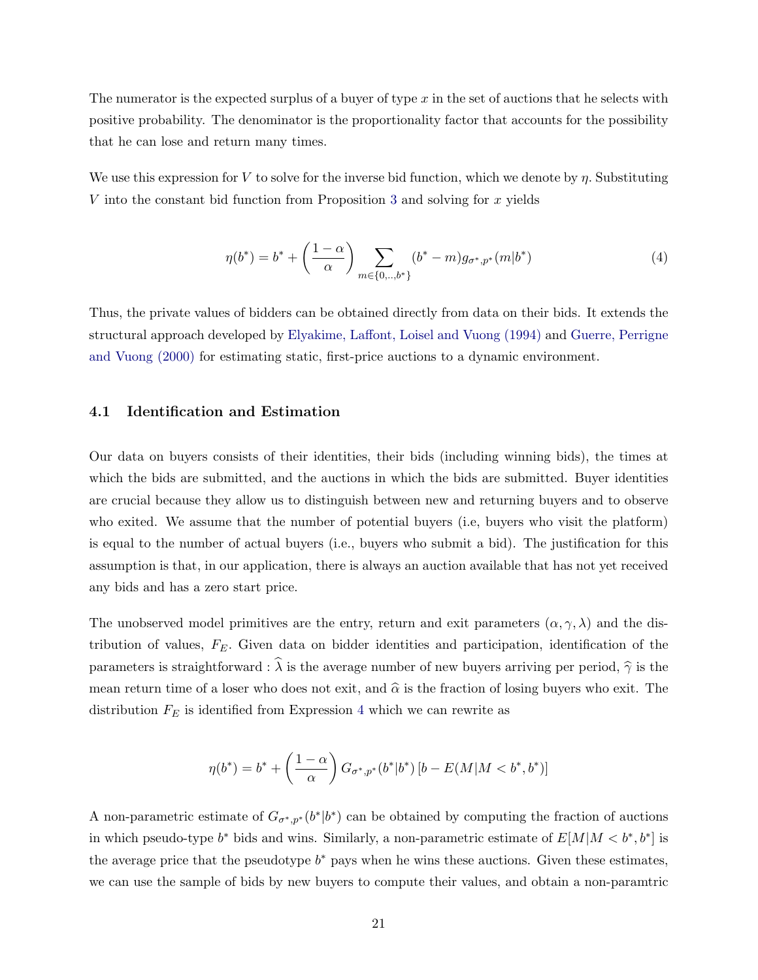The numerator is the expected surplus of a buyer of type  $x$  in the set of auctions that he selects with positive probability. The denominator is the proportionality factor that accounts for the possibility that he can lose and return many times.

We use this expression for V to solve for the inverse bid function, which we denote by  $\eta$ . Substituting V into the constant bid function from Proposition [3](#page-15-0) and solving for  $x$  yields

<span id="page-20-0"></span>
$$
\eta(b^*) = b^* + \left(\frac{1-\alpha}{\alpha}\right) \sum_{m \in \{0, \ldots, b^*\}} (b^* - m) g_{\sigma^*, p^*}(m|b^*)
$$
\n(4)

Thus, the private values of bidders can be obtained directly from data on their bids. It extends the structural approach developed by [Elyakime, Laffont, Loisel and Vuong \(1994\)](#page-44-0) and [Guerre, Perrigne](#page-44-1) [and Vuong \(2000\)](#page-44-1) for estimating static, first-price auctions to a dynamic environment.

#### 4.1 Identification and Estimation

Our data on buyers consists of their identities, their bids (including winning bids), the times at which the bids are submitted, and the auctions in which the bids are submitted. Buyer identities are crucial because they allow us to distinguish between new and returning buyers and to observe who exited. We assume that the number of potential buyers (i.e, buyers who visit the platform) is equal to the number of actual buyers (i.e., buyers who submit a bid). The justification for this assumption is that, in our application, there is always an auction available that has not yet received any bids and has a zero start price.

The unobserved model primitives are the entry, return and exit parameters  $(\alpha, \gamma, \lambda)$  and the distribution of values,  $F_E$ . Given data on bidder identities and participation, identification of the parameters is straightforward :  $\hat{\lambda}$  is the average number of new buyers arriving per period,  $\hat{\gamma}$  is the mean return time of a loser who does not exit, and  $\hat{\alpha}$  is the fraction of losing buyers who exit. The distribution  $F_E$  is identified from Expression [4](#page-20-0) which we can rewrite as

$$
\eta(b^*) = b^* + \left(\frac{1-\alpha}{\alpha}\right) G_{\sigma^*, p^*}(b^* | b^*) [b - E(M|M < b^*, b^*)]
$$

A non-parametric estimate of  $G_{\sigma^*,p^*}(b^*|b^*)$  can be obtained by computing the fraction of auctions in which pseudo-type  $b^*$  bids and wins. Similarly, a non-parametric estimate of  $E[M|M < b^*, b^*]$  is the average price that the pseudotype  $b^*$  pays when he wins these auctions. Given these estimates, we can use the sample of bids by new buyers to compute their values, and obtain a non-paramtric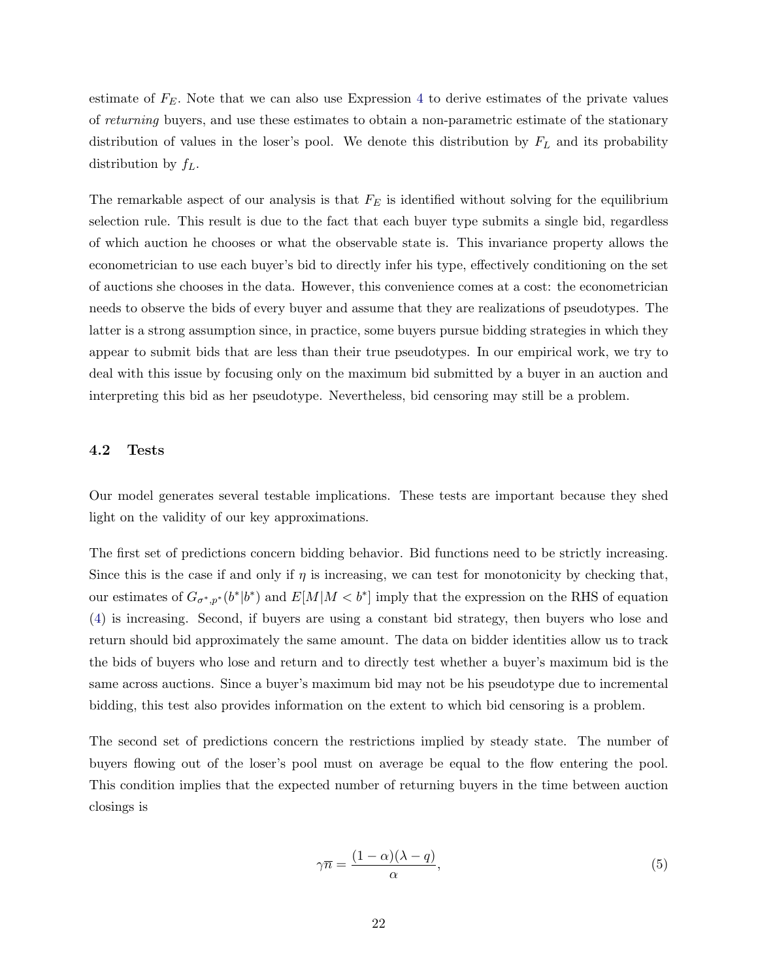estimate of  $F<sub>E</sub>$ . Note that we can also use Expression [4](#page-20-0) to derive estimates of the private values of returning buyers, and use these estimates to obtain a non-parametric estimate of the stationary distribution of values in the loser's pool. We denote this distribution by  $F<sub>L</sub>$  and its probability distribution by  $f_L$ .

The remarkable aspect of our analysis is that  $F_E$  is identified without solving for the equilibrium selection rule. This result is due to the fact that each buyer type submits a single bid, regardless of which auction he chooses or what the observable state is. This invariance property allows the econometrician to use each buyer's bid to directly infer his type, effectively conditioning on the set of auctions she chooses in the data. However, this convenience comes at a cost: the econometrician needs to observe the bids of every buyer and assume that they are realizations of pseudotypes. The latter is a strong assumption since, in practice, some buyers pursue bidding strategies in which they appear to submit bids that are less than their true pseudotypes. In our empirical work, we try to deal with this issue by focusing only on the maximum bid submitted by a buyer in an auction and interpreting this bid as her pseudotype. Nevertheless, bid censoring may still be a problem.

#### 4.2 Tests

Our model generates several testable implications. These tests are important because they shed light on the validity of our key approximations.

The first set of predictions concern bidding behavior. Bid functions need to be strictly increasing. Since this is the case if and only if  $\eta$  is increasing, we can test for monotonicity by checking that, our estimates of  $G_{\sigma^*,p^*}(b^*|b^*)$  and  $E[M|M < b^*]$  imply that the expression on the RHS of equation [\(4\)](#page-20-0) is increasing. Second, if buyers are using a constant bid strategy, then buyers who lose and return should bid approximately the same amount. The data on bidder identities allow us to track the bids of buyers who lose and return and to directly test whether a buyer's maximum bid is the same across auctions. Since a buyer's maximum bid may not be his pseudotype due to incremental bidding, this test also provides information on the extent to which bid censoring is a problem.

The second set of predictions concern the restrictions implied by steady state. The number of buyers flowing out of the loser's pool must on average be equal to the flow entering the pool. This condition implies that the expected number of returning buyers in the time between auction closings is

<span id="page-21-0"></span>
$$
\gamma \overline{n} = \frac{(1 - \alpha)(\lambda - q)}{\alpha},\tag{5}
$$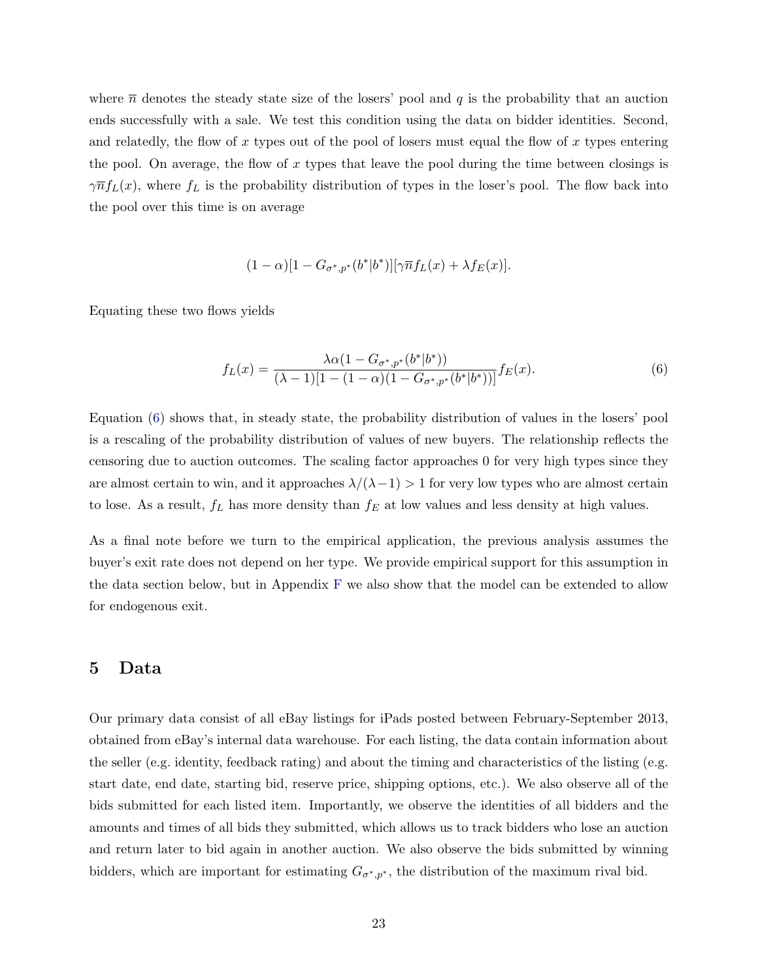where  $\bar{n}$  denotes the steady state size of the losers' pool and q is the probability that an auction ends successfully with a sale. We test this condition using the data on bidder identities. Second, and relatedly, the flow of x types out of the pool of losers must equal the flow of x types entering the pool. On average, the flow of x types that leave the pool during the time between closings is  $\gamma \overline{n} f_L(x)$ , where  $f_L$  is the probability distribution of types in the loser's pool. The flow back into the pool over this time is on average

$$
(1 - \alpha)[1 - G_{\sigma^*,p^*}(b^*|b^*)][\gamma \overline{n}f_L(x) + \lambda f_E(x)].
$$

Equating these two flows yields

<span id="page-22-1"></span>
$$
f_L(x) = \frac{\lambda \alpha (1 - G_{\sigma^*, p^*}(b^*|b^*))}{(\lambda - 1)[1 - (1 - \alpha)(1 - G_{\sigma^*, p^*}(b^*|b^*))]} f_E(x).
$$
\n<sup>(6)</sup>

Equation [\(6\)](#page-22-1) shows that, in steady state, the probability distribution of values in the losers' pool is a rescaling of the probability distribution of values of new buyers. The relationship reflects the censoring due to auction outcomes. The scaling factor approaches 0 for very high types since they are almost certain to win, and it approaches  $\lambda/(\lambda-1) > 1$  for very low types who are almost certain to lose. As a result,  $f_L$  has more density than  $f_E$  at low values and less density at high values.

As a final note before we turn to the empirical application, the previous analysis assumes the buyer's exit rate does not depend on her type. We provide empirical support for this assumption in the data section below, but in Appendix [F](#page-58-0) we also show that the model can be extended to allow for endogenous exit.

#### <span id="page-22-0"></span>5 Data

Our primary data consist of all eBay listings for iPads posted between February-September 2013, obtained from eBay's internal data warehouse. For each listing, the data contain information about the seller (e.g. identity, feedback rating) and about the timing and characteristics of the listing (e.g. start date, end date, starting bid, reserve price, shipping options, etc.). We also observe all of the bids submitted for each listed item. Importantly, we observe the identities of all bidders and the amounts and times of all bids they submitted, which allows us to track bidders who lose an auction and return later to bid again in another auction. We also observe the bids submitted by winning bidders, which are important for estimating  $G_{\sigma^*,p^*}$ , the distribution of the maximum rival bid.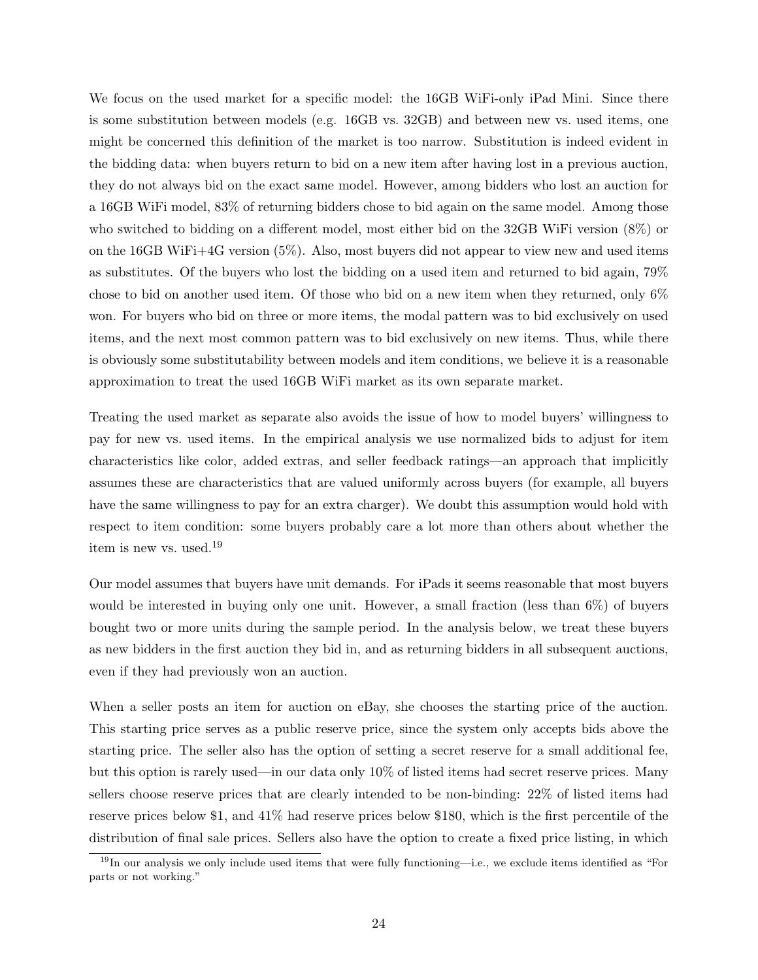We focus on the used market for a specific model: the 16GB WiFi-only iPad Mini. Since there is some substitution between models (e.g. 16GB vs. 32GB) and between new vs. used items, one might be concerned this definition of the market is too narrow. Substitution is indeed evident in the bidding data: when buyers return to bid on a new item after having lost in a previous auction, they do not always bid on the exact same model. However, among bidders who lost an auction for a 16GB WiFi model, 83% of returning bidders chose to bid again on the same model. Among those who switched to bidding on a different model, most either bid on the 32GB WiFi version (8%) or on the 16GB WiFi+4G version (5%). Also, most buyers did not appear to view new and used items as substitutes. Of the buyers who lost the bidding on a used item and returned to bid again, 79% chose to bid on another used item. Of those who bid on a new item when they returned, only 6% won. For buyers who bid on three or more items, the modal pattern was to bid exclusively on used items, and the next most common pattern was to bid exclusively on new items. Thus, while there is obviously some substitutability between models and item conditions, we believe it is a reasonable approximation to treat the used 16GB WiFi market as its own separate market.

Treating the used market as separate also avoids the issue of how to model buyers' willingness to pay for new vs. used items. In the empirical analysis we use normalized bids to adjust for item characteristics like color, added extras, and seller feedback ratings—an approach that implicitly assumes these are characteristics that are valued uniformly across buyers (for example, all buyers have the same willingness to pay for an extra charger). We doubt this assumption would hold with respect to item condition: some buyers probably care a lot more than others about whether the item is new vs. used.<sup>19</sup>

Our model assumes that buyers have unit demands. For iPads it seems reasonable that most buyers would be interested in buying only one unit. However, a small fraction (less than 6%) of buyers bought two or more units during the sample period. In the analysis below, we treat these buyers as new bidders in the first auction they bid in, and as returning bidders in all subsequent auctions, even if they had previously won an auction.

When a seller posts an item for auction on eBay, she chooses the starting price of the auction. This starting price serves as a public reserve price, since the system only accepts bids above the starting price. The seller also has the option of setting a secret reserve for a small additional fee, but this option is rarely used—in our data only 10% of listed items had secret reserve prices. Many sellers choose reserve prices that are clearly intended to be non-binding: 22% of listed items had reserve prices below \$1, and 41% had reserve prices below \$180, which is the first percentile of the distribution of final sale prices. Sellers also have the option to create a fixed price listing, in which

 $19$ In our analysis we only include used items that were fully functioning—i.e., we exclude items identified as "For parts or not working."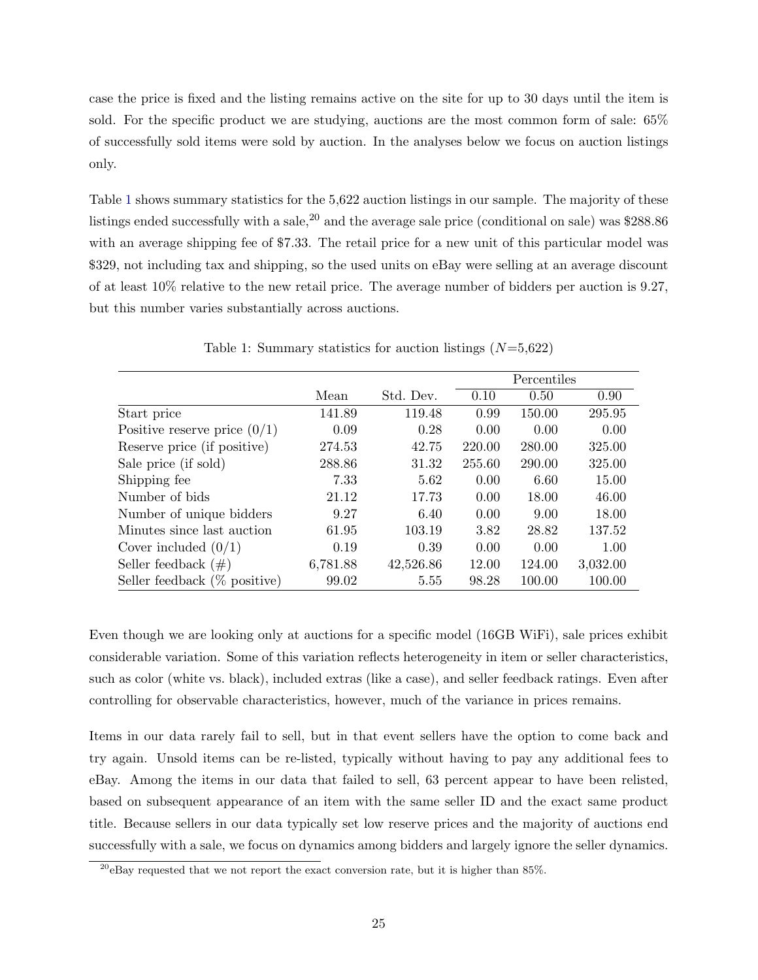case the price is fixed and the listing remains active on the site for up to 30 days until the item is sold. For the specific product we are studying, auctions are the most common form of sale: 65% of successfully sold items were sold by auction. In the analyses below we focus on auction listings only.

Table [1](#page-24-0) shows summary statistics for the 5,622 auction listings in our sample. The majority of these listings ended successfully with a sale,  $20$  and the average sale price (conditional on sale) was \$288.86 with an average shipping fee of \$7.33. The retail price for a new unit of this particular model was \$329, not including tax and shipping, so the used units on eBay were selling at an average discount of at least 10% relative to the new retail price. The average number of bidders per auction is 9.27, but this number varies substantially across auctions.

|                                 |          |           |        | Percentiles |                   |
|---------------------------------|----------|-----------|--------|-------------|-------------------|
|                                 | Mean     | Std. Dev. | 0.10   | 0.50        | 0.90 <sub>1</sub> |
| Start price                     | 141.89   | 119.48    | 0.99   | 150.00      | 295.95            |
| Positive reserve price $(0/1)$  | 0.09     | 0.28      | 0.00   | 0.00        | 0.00              |
| Reserve price (if positive)     | 274.53   | 42.75     | 220.00 | 280.00      | 325.00            |
| Sale price (if sold)            | 288.86   | 31.32     | 255.60 | 290.00      | 325.00            |
| Shipping fee                    | 7.33     | 5.62      | 0.00   | 6.60        | 15.00             |
| Number of bids                  | 21.12    | 17.73     | 0.00   | 18.00       | 46.00             |
| Number of unique bidders        | 9.27     | 6.40      | 0.00   | 9.00        | 18.00             |
| Minutes since last auction      | 61.95    | 103.19    | 3.82   | 28.82       | 137.52            |
| Cover included $(0/1)$          | 0.19     | 0.39      | 0.00   | 0.00        | 1.00              |
| Seller feedback $(\#)$          | 6,781.88 | 42,526.86 | 12.00  | 124.00      | 3,032.00          |
| Seller feedback $(\%$ positive) | 99.02    | 5.55      | 98.28  | 100.00      | 100.00            |

<span id="page-24-0"></span>Table 1: Summary statistics for auction listings  $(N=5,622)$ 

Even though we are looking only at auctions for a specific model (16GB WiFi), sale prices exhibit considerable variation. Some of this variation reflects heterogeneity in item or seller characteristics, such as color (white vs. black), included extras (like a case), and seller feedback ratings. Even after controlling for observable characteristics, however, much of the variance in prices remains.

Items in our data rarely fail to sell, but in that event sellers have the option to come back and try again. Unsold items can be re-listed, typically without having to pay any additional fees to eBay. Among the items in our data that failed to sell, 63 percent appear to have been relisted, based on subsequent appearance of an item with the same seller ID and the exact same product title. Because sellers in our data typically set low reserve prices and the majority of auctions end successfully with a sale, we focus on dynamics among bidders and largely ignore the seller dynamics.

 $^{20}$ eBay requested that we not report the exact conversion rate, but it is higher than 85%.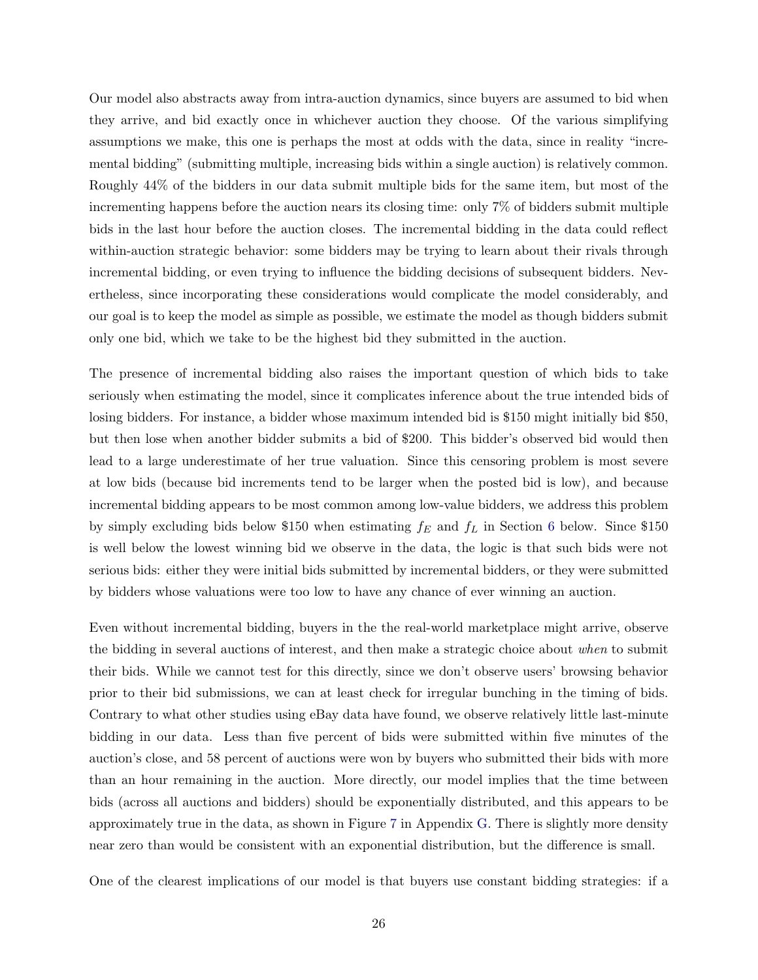Our model also abstracts away from intra-auction dynamics, since buyers are assumed to bid when they arrive, and bid exactly once in whichever auction they choose. Of the various simplifying assumptions we make, this one is perhaps the most at odds with the data, since in reality "incremental bidding" (submitting multiple, increasing bids within a single auction) is relatively common. Roughly 44% of the bidders in our data submit multiple bids for the same item, but most of the incrementing happens before the auction nears its closing time: only 7% of bidders submit multiple bids in the last hour before the auction closes. The incremental bidding in the data could reflect within-auction strategic behavior: some bidders may be trying to learn about their rivals through incremental bidding, or even trying to influence the bidding decisions of subsequent bidders. Nevertheless, since incorporating these considerations would complicate the model considerably, and our goal is to keep the model as simple as possible, we estimate the model as though bidders submit only one bid, which we take to be the highest bid they submitted in the auction.

The presence of incremental bidding also raises the important question of which bids to take seriously when estimating the model, since it complicates inference about the true intended bids of losing bidders. For instance, a bidder whose maximum intended bid is \$150 might initially bid \$50, but then lose when another bidder submits a bid of \$200. This bidder's observed bid would then lead to a large underestimate of her true valuation. Since this censoring problem is most severe at low bids (because bid increments tend to be larger when the posted bid is low), and because incremental bidding appears to be most common among low-value bidders, we address this problem by simply excluding bids below \$150 when estimating  $f_E$  and  $f_L$  in Section [6](#page-26-0) below. Since \$150 is well below the lowest winning bid we observe in the data, the logic is that such bids were not serious bids: either they were initial bids submitted by incremental bidders, or they were submitted by bidders whose valuations were too low to have any chance of ever winning an auction.

Even without incremental bidding, buyers in the the real-world marketplace might arrive, observe the bidding in several auctions of interest, and then make a strategic choice about when to submit their bids. While we cannot test for this directly, since we don't observe users' browsing behavior prior to their bid submissions, we can at least check for irregular bunching in the timing of bids. Contrary to what other studies using eBay data have found, we observe relatively little last-minute bidding in our data. Less than five percent of bids were submitted within five minutes of the auction's close, and 58 percent of auctions were won by buyers who submitted their bids with more than an hour remaining in the auction. More directly, our model implies that the time between bids (across all auctions and bidders) should be exponentially distributed, and this appears to be approximately true in the data, as shown in Figure [7](#page-60-0) in Appendix [G.](#page-59-0) There is slightly more density near zero than would be consistent with an exponential distribution, but the difference is small.

One of the clearest implications of our model is that buyers use constant bidding strategies: if a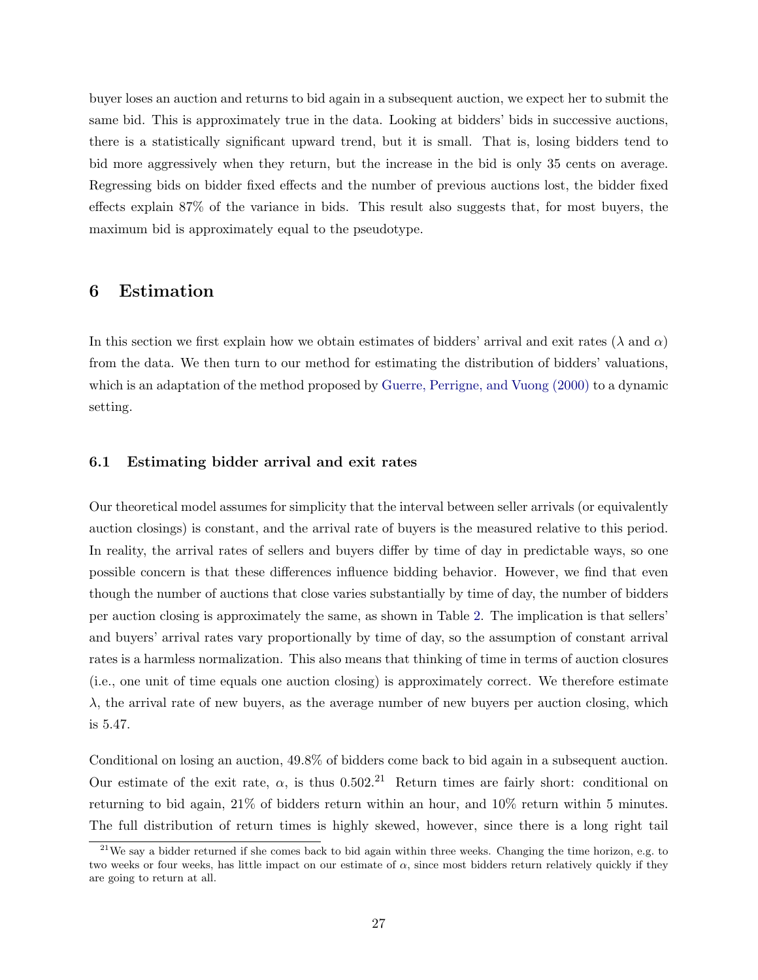buyer loses an auction and returns to bid again in a subsequent auction, we expect her to submit the same bid. This is approximately true in the data. Looking at bidders' bids in successive auctions, there is a statistically significant upward trend, but it is small. That is, losing bidders tend to bid more aggressively when they return, but the increase in the bid is only 35 cents on average. Regressing bids on bidder fixed effects and the number of previous auctions lost, the bidder fixed effects explain 87% of the variance in bids. This result also suggests that, for most buyers, the maximum bid is approximately equal to the pseudotype.

### <span id="page-26-0"></span>6 Estimation

In this section we first explain how we obtain estimates of bidders' arrival and exit rates ( $\lambda$  and  $\alpha$ ) from the data. We then turn to our method for estimating the distribution of bidders' valuations, which is an adaptation of the method proposed by [Guerre, Perrigne, and Vuong \(2000\)](#page-44-1) to a dynamic setting.

#### 6.1 Estimating bidder arrival and exit rates

Our theoretical model assumes for simplicity that the interval between seller arrivals (or equivalently auction closings) is constant, and the arrival rate of buyers is the measured relative to this period. In reality, the arrival rates of sellers and buyers differ by time of day in predictable ways, so one possible concern is that these differences influence bidding behavior. However, we find that even though the number of auctions that close varies substantially by time of day, the number of bidders per auction closing is approximately the same, as shown in Table [2.](#page-27-0) The implication is that sellers' and buyers' arrival rates vary proportionally by time of day, so the assumption of constant arrival rates is a harmless normalization. This also means that thinking of time in terms of auction closures (i.e., one unit of time equals one auction closing) is approximately correct. We therefore estimate  $\lambda$ , the arrival rate of new buyers, as the average number of new buyers per auction closing, which is 5.47.

Conditional on losing an auction, 49.8% of bidders come back to bid again in a subsequent auction. Our estimate of the exit rate,  $\alpha$ , is thus 0.502.<sup>21</sup> Return times are fairly short: conditional on returning to bid again, 21% of bidders return within an hour, and 10% return within 5 minutes. The full distribution of return times is highly skewed, however, since there is a long right tail

 $21$ We say a bidder returned if she comes back to bid again within three weeks. Changing the time horizon, e.g. to two weeks or four weeks, has little impact on our estimate of  $\alpha$ , since most bidders return relatively quickly if they are going to return at all.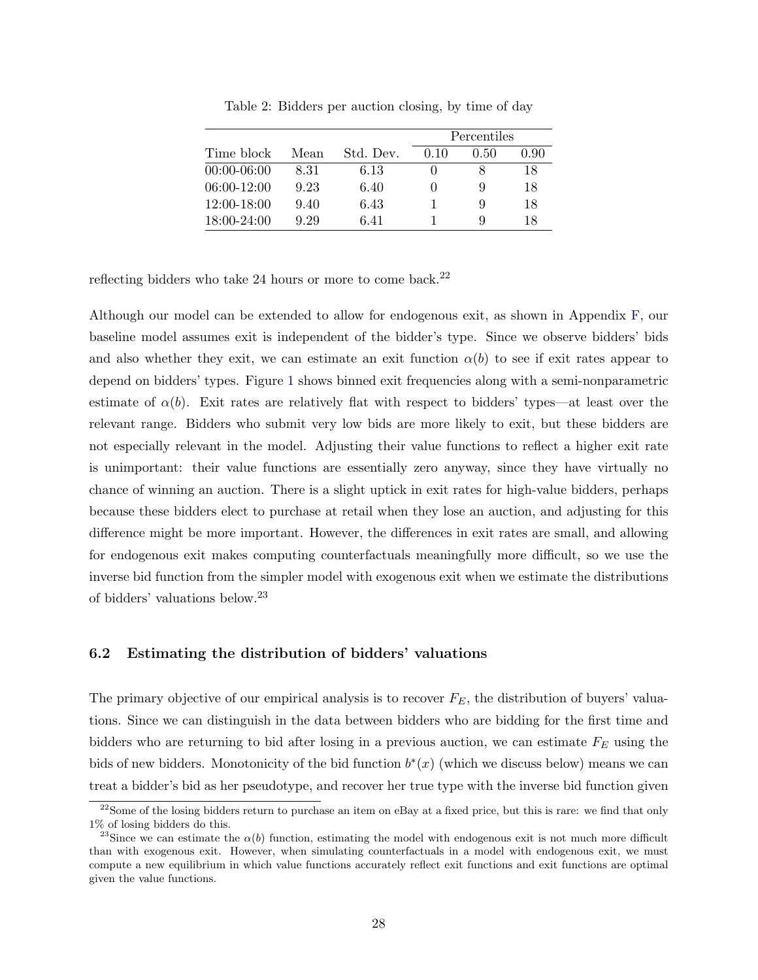|                 |      |           | Percentiles |      |      |
|-----------------|------|-----------|-------------|------|------|
| Time block      | Mean | Std. Dev. | 0.10        | 0.50 | 0.90 |
| $00:00-06:00$   | 8.31 | 6.13      |             |      | 18   |
| $06:00-12:00$   | 9.23 | 6.40      |             | 9    | 18   |
| $12:00-18:00$   | 9.40 | 6.43      |             | 9    | 18   |
| $18:00 - 24:00$ | 9.29 | 6.41      |             | Q    | 18   |

<span id="page-27-0"></span>Table 2: Bidders per auction closing, by time of day

reflecting bidders who take 24 hours or more to come back.<sup>22</sup>

Although our model can be extended to allow for endogenous exit, as shown in Appendix [F,](#page-58-0) our baseline model assumes exit is independent of the bidder's type. Since we observe bidders' bids and also whether they exit, we can estimate an exit function  $\alpha(b)$  to see if exit rates appear to depend on bidders' types. Figure [1](#page-28-0) shows binned exit frequencies along with a semi-nonparametric estimate of  $\alpha(b)$ . Exit rates are relatively flat with respect to bidders' types—at least over the relevant range. Bidders who submit very low bids are more likely to exit, but these bidders are not especially relevant in the model. Adjusting their value functions to reflect a higher exit rate is unimportant: their value functions are essentially zero anyway, since they have virtually no chance of winning an auction. There is a slight uptick in exit rates for high-value bidders, perhaps because these bidders elect to purchase at retail when they lose an auction, and adjusting for this difference might be more important. However, the differences in exit rates are small, and allowing for endogenous exit makes computing counterfactuals meaningfully more difficult, so we use the inverse bid function from the simpler model with exogenous exit when we estimate the distributions of bidders' valuations below.<sup>23</sup>

#### 6.2 Estimating the distribution of bidders' valuations

The primary objective of our empirical analysis is to recover  $F_E$ , the distribution of buyers' valuations. Since we can distinguish in the data between bidders who are bidding for the first time and bidders who are returning to bid after losing in a previous auction, we can estimate  $F_E$  using the bids of new bidders. Monotonicity of the bid function  $b^*(x)$  (which we discuss below) means we can treat a bidder's bid as her pseudotype, and recover her true type with the inverse bid function given

<sup>&</sup>lt;sup>22</sup>Some of the losing bidders return to purchase an item on eBay at a fixed price, but this is rare: we find that only 1% of losing bidders do this.

<sup>&</sup>lt;sup>23</sup>Since we can estimate the  $\alpha(b)$  function, estimating the model with endogenous exit is not much more difficult than with exogenous exit. However, when simulating counterfactuals in a model with endogenous exit, we must compute a new equilibrium in which value functions accurately reflect exit functions and exit functions are optimal given the value functions.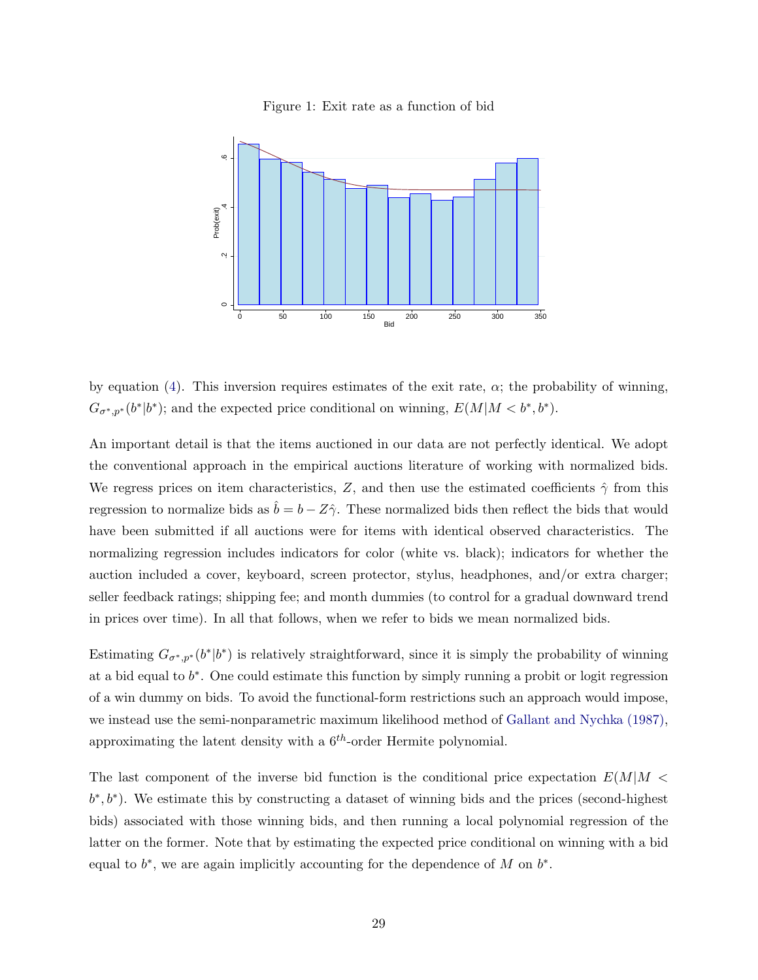<span id="page-28-0"></span>



by equation [\(4\)](#page-20-0). This inversion requires estimates of the exit rate,  $\alpha$ ; the probability of winning,  $G_{\sigma^*,p^*}(b^*|b^*)$ ; and the expected price conditional on winning,  $E(M|M < b^*,b^*)$ .

An important detail is that the items auctioned in our data are not perfectly identical. We adopt the conventional approach in the empirical auctions literature of working with normalized bids. We regress prices on item characteristics, Z, and then use the estimated coefficients  $\hat{\gamma}$  from this regression to normalize bids as  $\hat{b} = b - Z\hat{\gamma}$ . These normalized bids then reflect the bids that would have been submitted if all auctions were for items with identical observed characteristics. The normalizing regression includes indicators for color (white vs. black); indicators for whether the auction included a cover, keyboard, screen protector, stylus, headphones, and/or extra charger; seller feedback ratings; shipping fee; and month dummies (to control for a gradual downward trend in prices over time). In all that follows, when we refer to bids we mean normalized bids.

Estimating  $G_{\sigma^*,p^*}(b^*|b^*)$  is relatively straightforward, since it is simply the probability of winning at a bid equal to  $b^*$ . One could estimate this function by simply running a probit or logit regression of a win dummy on bids. To avoid the functional-form restrictions such an approach would impose, we instead use the semi-nonparametric maximum likelihood method of [Gallant and Nychka \(1987\),](#page-44-8) approximating the latent density with a  $6<sup>th</sup>$ -order Hermite polynomial.

The last component of the inverse bid function is the conditional price expectation  $E(M|M \leq$  $(b^*, b^*)$ . We estimate this by constructing a dataset of winning bids and the prices (second-highest bids) associated with those winning bids, and then running a local polynomial regression of the latter on the former. Note that by estimating the expected price conditional on winning with a bid equal to  $b^*$ , we are again implicitly accounting for the dependence of M on  $b^*$ .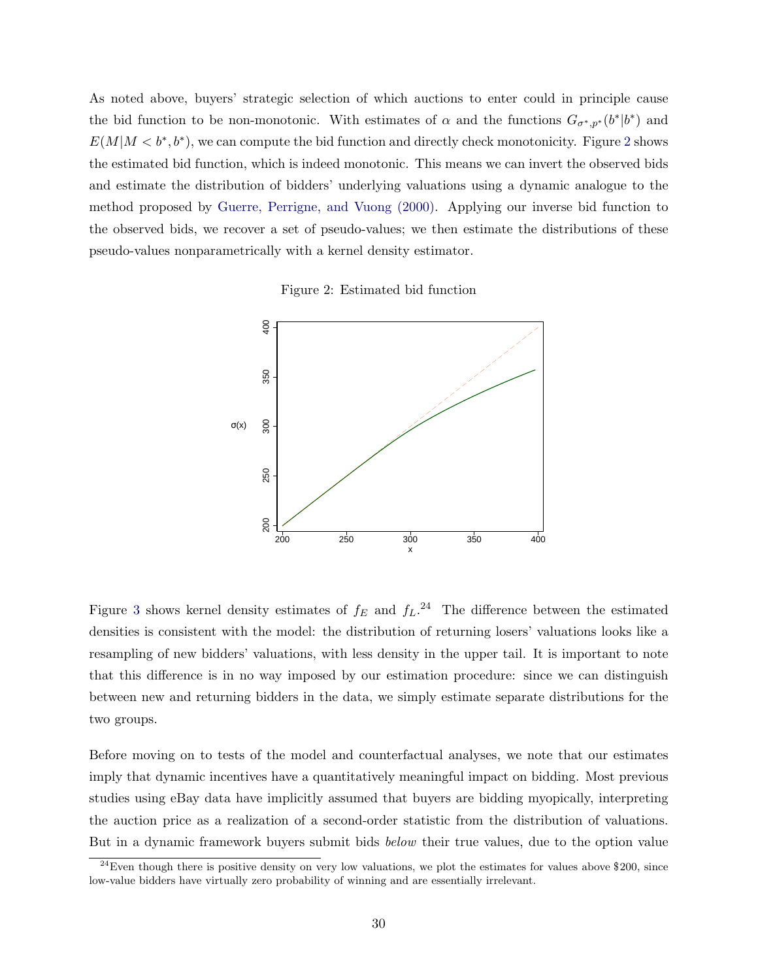As noted above, buyers' strategic selection of which auctions to enter could in principle cause the bid function to be non-monotonic. With estimates of  $\alpha$  and the functions  $G_{\sigma^*,p^*}(b^*|b^*)$  and  $E(M|M < b^*, b^*)$ , we can compute the bid function and directly check monotonicity. Figure [2](#page-29-0) shows the estimated bid function, which is indeed monotonic. This means we can invert the observed bids and estimate the distribution of bidders' underlying valuations using a dynamic analogue to the method proposed by [Guerre, Perrigne, and Vuong \(2000\).](#page-44-1) Applying our inverse bid function to the observed bids, we recover a set of pseudo-values; we then estimate the distributions of these pseudo-values nonparametrically with a kernel density estimator.

<span id="page-29-0"></span>Figure 2: Estimated bid function



Figure [3](#page-30-0) shows kernel density estimates of  $f_E$  and  $f_L$ .<sup>24</sup> The difference between the estimated densities is consistent with the model: the distribution of returning losers' valuations looks like a resampling of new bidders' valuations, with less density in the upper tail. It is important to note that this difference is in no way imposed by our estimation procedure: since we can distinguish between new and returning bidders in the data, we simply estimate separate distributions for the two groups.

Before moving on to tests of the model and counterfactual analyses, we note that our estimates imply that dynamic incentives have a quantitatively meaningful impact on bidding. Most previous studies using eBay data have implicitly assumed that buyers are bidding myopically, interpreting the auction price as a realization of a second-order statistic from the distribution of valuations. But in a dynamic framework buyers submit bids *below* their true values, due to the option value

 $^{24}$ Even though there is positive density on very low valuations, we plot the estimates for values above \$200, since low-value bidders have virtually zero probability of winning and are essentially irrelevant.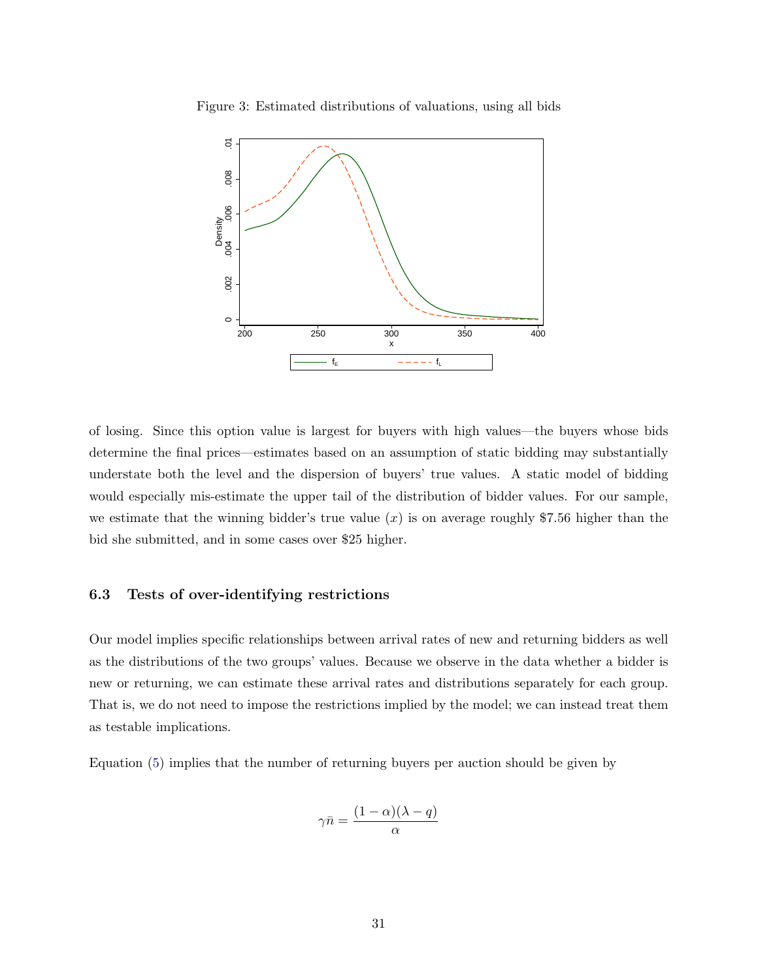

<span id="page-30-0"></span>

of losing. Since this option value is largest for buyers with high values—the buyers whose bids determine the final prices—estimates based on an assumption of static bidding may substantially understate both the level and the dispersion of buyers' true values. A static model of bidding would especially mis-estimate the upper tail of the distribution of bidder values. For our sample, we estimate that the winning bidder's true value  $(x)$  is on average roughly \$7.56 higher than the bid she submitted, and in some cases over \$25 higher.

#### <span id="page-30-1"></span>6.3 Tests of over-identifying restrictions

Our model implies specific relationships between arrival rates of new and returning bidders as well as the distributions of the two groups' values. Because we observe in the data whether a bidder is new or returning, we can estimate these arrival rates and distributions separately for each group. That is, we do not need to impose the restrictions implied by the model; we can instead treat them as testable implications.

Equation [\(5\)](#page-21-0) implies that the number of returning buyers per auction should be given by

$$
\gamma \bar{n} = \frac{(1-\alpha)(\lambda - q)}{\alpha}
$$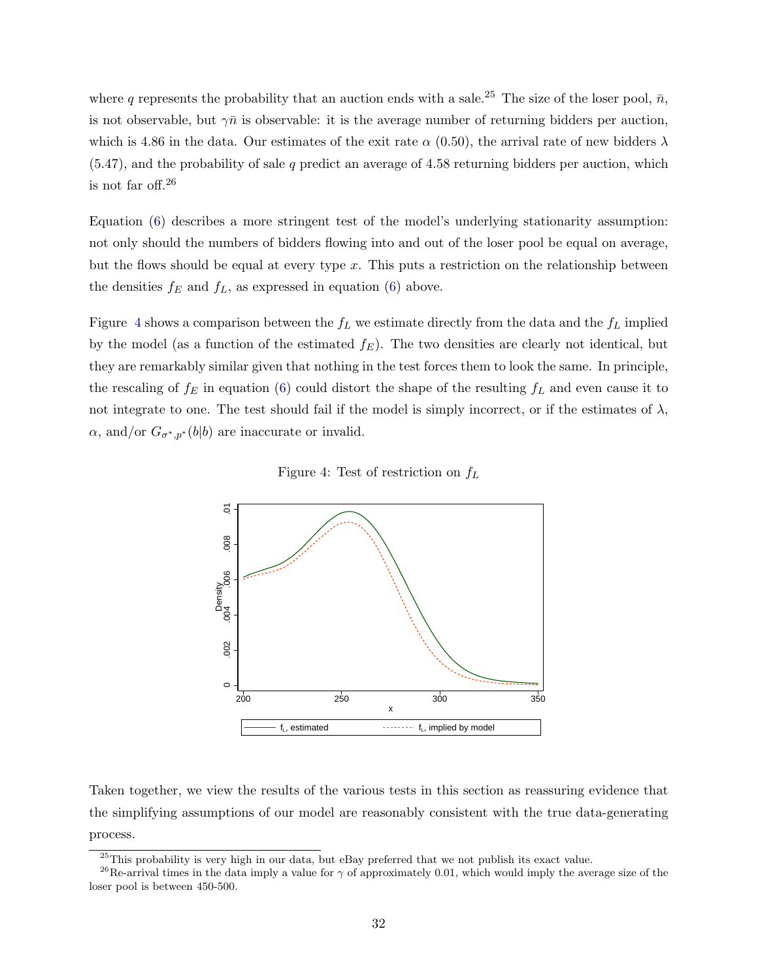where q represents the probability that an auction ends with a sale.<sup>25</sup> The size of the loser pool,  $\bar{n}$ , is not observable, but  $\gamma \bar{n}$  is observable: it is the average number of returning bidders per auction, which is 4.86 in the data. Our estimates of the exit rate  $\alpha$  (0.50), the arrival rate of new bidders  $\lambda$  $(5.47)$ , and the probability of sale q predict an average of 4.58 returning bidders per auction, which is not far off.<sup>26</sup>

Equation [\(6\)](#page-22-1) describes a more stringent test of the model's underlying stationarity assumption: not only should the numbers of bidders flowing into and out of the loser pool be equal on average, but the flows should be equal at every type  $x$ . This puts a restriction on the relationship between the densities  $f_E$  and  $f_L$ , as expressed in equation [\(6\)](#page-22-1) above.

Figure [4](#page-31-0) shows a comparison between the  $f_L$  we estimate directly from the data and the  $f_L$  implied by the model (as a function of the estimated  $f_E$ ). The two densities are clearly not identical, but they are remarkably similar given that nothing in the test forces them to look the same. In principle, the rescaling of  $f_E$  in equation [\(6\)](#page-22-1) could distort the shape of the resulting  $f_L$  and even cause it to not integrate to one. The test should fail if the model is simply incorrect, or if the estimates of  $\lambda$ ,  $\alpha$ , and/or  $G_{\sigma^*,p^*}(b|b)$  are inaccurate or invalid.

<span id="page-31-0"></span>Figure 4: Test of restriction on  $f_L$ 



Taken together, we view the results of the various tests in this section as reassuring evidence that the simplifying assumptions of our model are reasonably consistent with the true data-generating process.

<sup>&</sup>lt;sup>25</sup>This probability is very high in our data, but eBay preferred that we not publish its exact value.

<sup>&</sup>lt;sup>26</sup>Re-arrival times in the data imply a value for  $\gamma$  of approximately 0.01, which would imply the average size of the loser pool is between 450-500.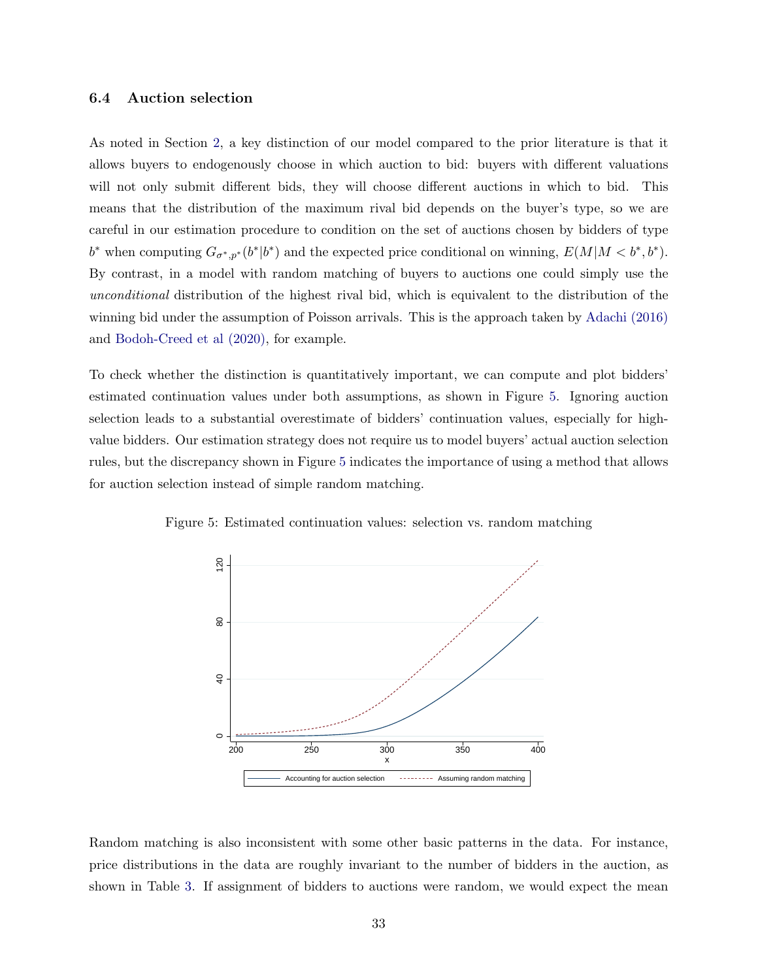#### 6.4 Auction selection

As noted in Section [2,](#page-4-0) a key distinction of our model compared to the prior literature is that it allows buyers to endogenously choose in which auction to bid: buyers with different valuations will not only submit different bids, they will choose different auctions in which to bid. This means that the distribution of the maximum rival bid depends on the buyer's type, so we are careful in our estimation procedure to condition on the set of auctions chosen by bidders of type  $b^*$  when computing  $G_{\sigma^*,p^*}(b^*|b^*)$  and the expected price conditional on winning,  $E(M|M < b^*,b^*)$ . By contrast, in a model with random matching of buyers to auctions one could simply use the unconditional distribution of the highest rival bid, which is equivalent to the distribution of the winning bid under the assumption of Poisson arrivals. This is the approach taken by [Adachi \(2016\)](#page-43-3) and [Bodoh-Creed et al \(2020\),](#page-43-2) for example.

To check whether the distinction is quantitatively important, we can compute and plot bidders' estimated continuation values under both assumptions, as shown in Figure [5.](#page-32-0) Ignoring auction selection leads to a substantial overestimate of bidders' continuation values, especially for highvalue bidders. Our estimation strategy does not require us to model buyers' actual auction selection rules, but the discrepancy shown in Figure [5](#page-32-0) indicates the importance of using a method that allows for auction selection instead of simple random matching.

<span id="page-32-0"></span>

Figure 5: Estimated continuation values: selection vs. random matching

Random matching is also inconsistent with some other basic patterns in the data. For instance, price distributions in the data are roughly invariant to the number of bidders in the auction, as shown in Table [3.](#page-33-0) If assignment of bidders to auctions were random, we would expect the mean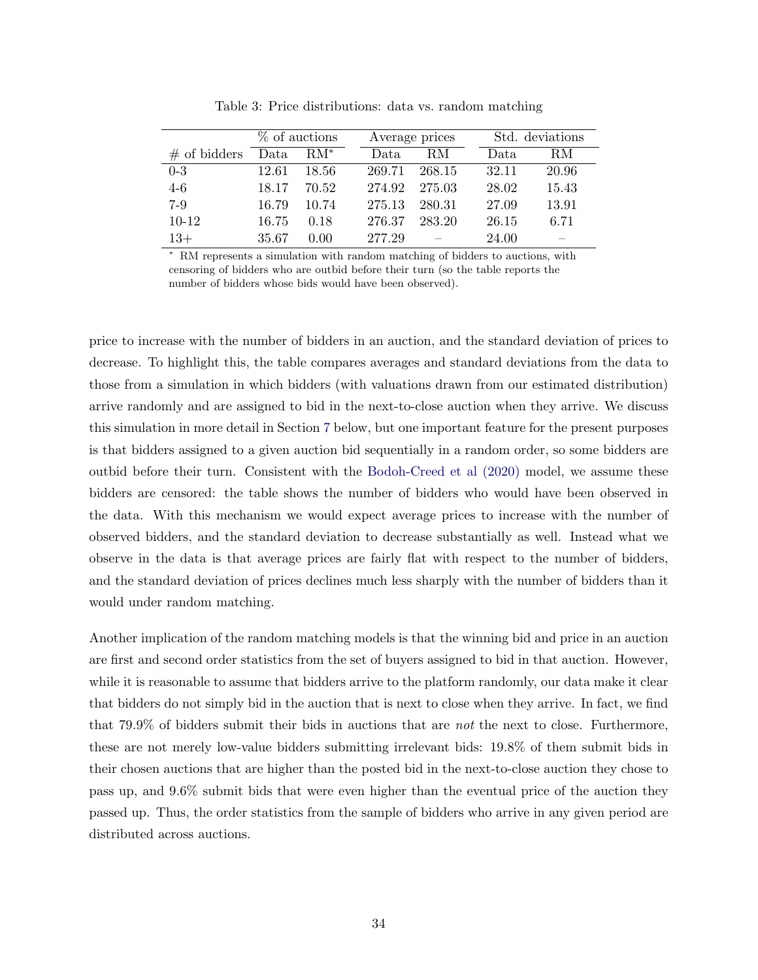|                | % of auctions |                 | Average prices |        | Std. deviations |       |       |
|----------------|---------------|-----------------|----------------|--------|-----------------|-------|-------|
| $#$ of bidders | Data          | $\mathrm{RM}^*$ |                | Data.  | RM.             | Data. | RM.   |
| $0-3$          | 12.61         | -18.56          |                | 269.71 | 268.15          | 32.11 | 20.96 |
| $4-6$          | 18.17         | 70.52           |                | 274.92 | 275.03          | 28.02 | 15.43 |
| $7-9$          | 16.79         | 10.74           |                | 275.13 | 280.31          | 27.09 | 13.91 |
| $10-12$        | 16.75         | 0.18            |                | 276.37 | 283.20          | 26.15 | 6.71  |
| $13+$          | 35.67         | 0.00            |                | 277.29 | $\sim$ $-$      | 24.00 |       |

<span id="page-33-0"></span>Table 3: Price distributions: data vs. random matching

<sup>∗</sup> RM represents a simulation with random matching of bidders to auctions, with censoring of bidders who are outbid before their turn (so the table reports the number of bidders whose bids would have been observed).

price to increase with the number of bidders in an auction, and the standard deviation of prices to decrease. To highlight this, the table compares averages and standard deviations from the data to those from a simulation in which bidders (with valuations drawn from our estimated distribution) arrive randomly and are assigned to bid in the next-to-close auction when they arrive. We discuss this simulation in more detail in Section [7](#page-34-0) below, but one important feature for the present purposes is that bidders assigned to a given auction bid sequentially in a random order, so some bidders are outbid before their turn. Consistent with the [Bodoh-Creed et al \(2020\)](#page-43-2) model, we assume these bidders are censored: the table shows the number of bidders who would have been observed in the data. With this mechanism we would expect average prices to increase with the number of observed bidders, and the standard deviation to decrease substantially as well. Instead what we observe in the data is that average prices are fairly flat with respect to the number of bidders, and the standard deviation of prices declines much less sharply with the number of bidders than it would under random matching.

Another implication of the random matching models is that the winning bid and price in an auction are first and second order statistics from the set of buyers assigned to bid in that auction. However, while it is reasonable to assume that bidders arrive to the platform randomly, our data make it clear that bidders do not simply bid in the auction that is next to close when they arrive. In fact, we find that 79.9% of bidders submit their bids in auctions that are not the next to close. Furthermore, these are not merely low-value bidders submitting irrelevant bids: 19.8% of them submit bids in their chosen auctions that are higher than the posted bid in the next-to-close auction they chose to pass up, and 9.6% submit bids that were even higher than the eventual price of the auction they passed up. Thus, the order statistics from the sample of bidders who arrive in any given period are distributed across auctions.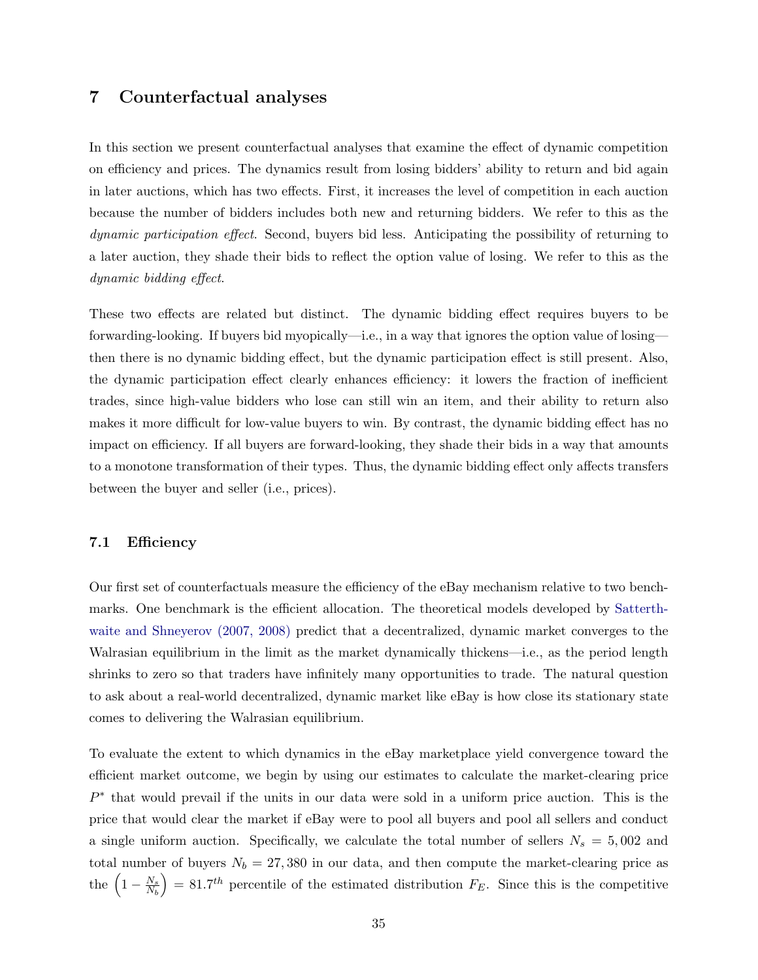## <span id="page-34-0"></span>7 Counterfactual analyses

In this section we present counterfactual analyses that examine the effect of dynamic competition on efficiency and prices. The dynamics result from losing bidders' ability to return and bid again in later auctions, which has two effects. First, it increases the level of competition in each auction because the number of bidders includes both new and returning bidders. We refer to this as the dynamic participation effect. Second, buyers bid less. Anticipating the possibility of returning to a later auction, they shade their bids to reflect the option value of losing. We refer to this as the dynamic bidding effect.

These two effects are related but distinct. The dynamic bidding effect requires buyers to be forwarding-looking. If buyers bid myopically—i.e., in a way that ignores the option value of losing then there is no dynamic bidding effect, but the dynamic participation effect is still present. Also, the dynamic participation effect clearly enhances efficiency: it lowers the fraction of inefficient trades, since high-value bidders who lose can still win an item, and their ability to return also makes it more difficult for low-value buyers to win. By contrast, the dynamic bidding effect has no impact on efficiency. If all buyers are forward-looking, they shade their bids in a way that amounts to a monotone transformation of their types. Thus, the dynamic bidding effect only affects transfers between the buyer and seller (i.e., prices).

#### 7.1 Efficiency

Our first set of counterfactuals measure the efficiency of the eBay mechanism relative to two benchmarks. One benchmark is the efficient allocation. The theoretical models developed by [Satterth](#page-45-2)[waite and Shneyerov \(2007, 2008\)](#page-45-2) predict that a decentralized, dynamic market converges to the Walrasian equilibrium in the limit as the market dynamically thickens—i.e., as the period length shrinks to zero so that traders have infinitely many opportunities to trade. The natural question to ask about a real-world decentralized, dynamic market like eBay is how close its stationary state comes to delivering the Walrasian equilibrium.

To evaluate the extent to which dynamics in the eBay marketplace yield convergence toward the efficient market outcome, we begin by using our estimates to calculate the market-clearing price  $P^*$  that would prevail if the units in our data were sold in a uniform price auction. This is the price that would clear the market if eBay were to pool all buyers and pool all sellers and conduct a single uniform auction. Specifically, we calculate the total number of sellers  $N_s = 5,002$  and total number of buyers  $N_b = 27,380$  in our data, and then compute the market-clearing price as the  $\left(1-\frac{N_s}{N_t}\right)$  $N_b$  $= 81.7<sup>th</sup>$  percentile of the estimated distribution  $F_E$ . Since this is the competitive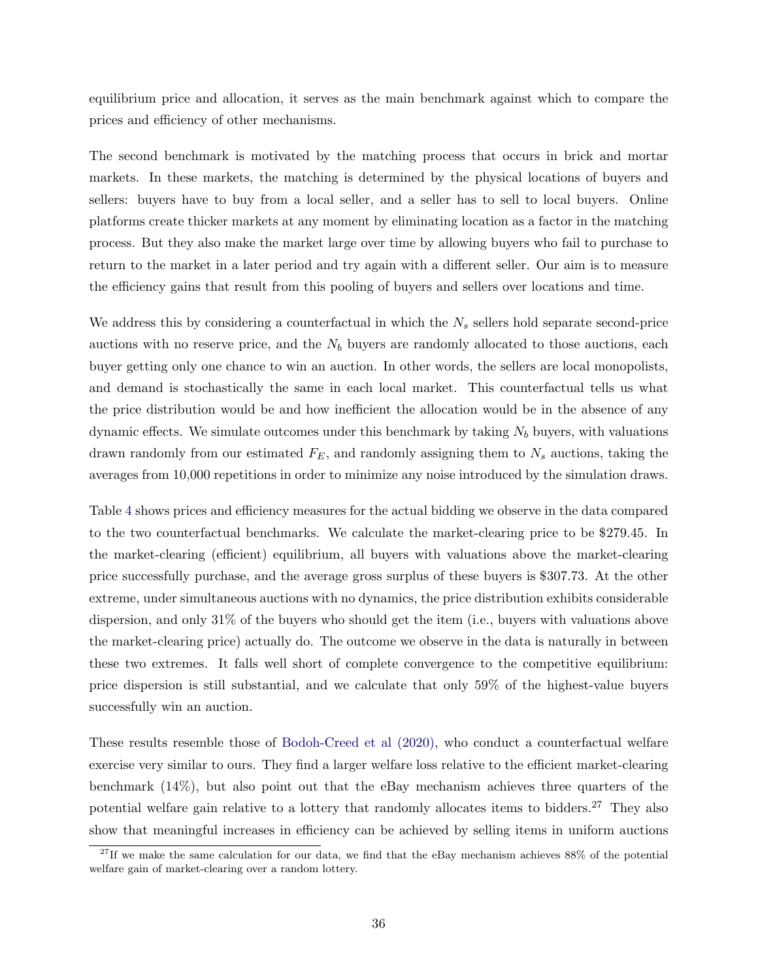equilibrium price and allocation, it serves as the main benchmark against which to compare the prices and efficiency of other mechanisms.

The second benchmark is motivated by the matching process that occurs in brick and mortar markets. In these markets, the matching is determined by the physical locations of buyers and sellers: buyers have to buy from a local seller, and a seller has to sell to local buyers. Online platforms create thicker markets at any moment by eliminating location as a factor in the matching process. But they also make the market large over time by allowing buyers who fail to purchase to return to the market in a later period and try again with a different seller. Our aim is to measure the efficiency gains that result from this pooling of buyers and sellers over locations and time.

We address this by considering a counterfactual in which the  $N_s$  sellers hold separate second-price auctions with no reserve price, and the  $N_b$  buyers are randomly allocated to those auctions, each buyer getting only one chance to win an auction. In other words, the sellers are local monopolists, and demand is stochastically the same in each local market. This counterfactual tells us what the price distribution would be and how inefficient the allocation would be in the absence of any dynamic effects. We simulate outcomes under this benchmark by taking  $N_b$  buyers, with valuations drawn randomly from our estimated  $F_E$ , and randomly assigning them to  $N_s$  auctions, taking the averages from 10,000 repetitions in order to minimize any noise introduced by the simulation draws.

Table [4](#page-36-0) shows prices and efficiency measures for the actual bidding we observe in the data compared to the two counterfactual benchmarks. We calculate the market-clearing price to be \$279.45. In the market-clearing (efficient) equilibrium, all buyers with valuations above the market-clearing price successfully purchase, and the average gross surplus of these buyers is \$307.73. At the other extreme, under simultaneous auctions with no dynamics, the price distribution exhibits considerable dispersion, and only 31% of the buyers who should get the item (i.e., buyers with valuations above the market-clearing price) actually do. The outcome we observe in the data is naturally in between these two extremes. It falls well short of complete convergence to the competitive equilibrium: price dispersion is still substantial, and we calculate that only 59% of the highest-value buyers successfully win an auction.

These results resemble those of [Bodoh-Creed et al \(2020\),](#page-43-2) who conduct a counterfactual welfare exercise very similar to ours. They find a larger welfare loss relative to the efficient market-clearing benchmark (14%), but also point out that the eBay mechanism achieves three quarters of the potential welfare gain relative to a lottery that randomly allocates items to bidders.<sup>27</sup> They also show that meaningful increases in efficiency can be achieved by selling items in uniform auctions

<sup>&</sup>lt;sup>27</sup>If we make the same calculation for our data, we find that the eBay mechanism achieves 88% of the potential welfare gain of market-clearing over a random lottery.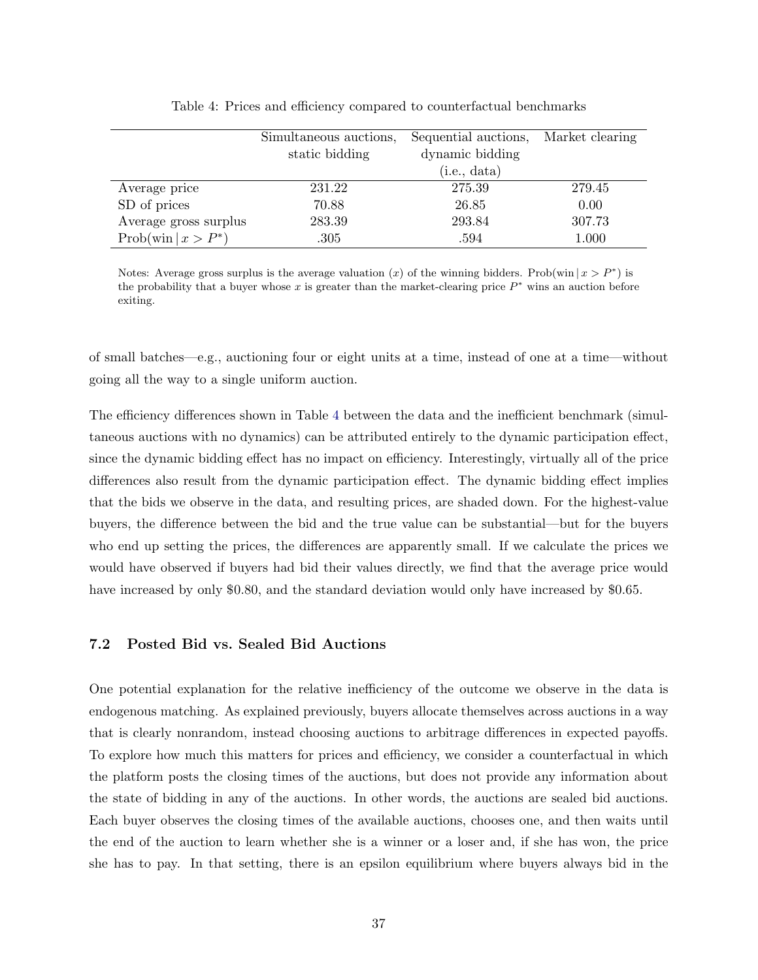|                                 | Simultaneous auctions, | Sequential auctions, | Market clearing |
|---------------------------------|------------------------|----------------------|-----------------|
|                                 | static bidding         | dynamic bidding      |                 |
|                                 |                        | (i.e., data)         |                 |
| Average price                   | 231.22                 | 275.39               | 279.45          |
| SD of prices                    | 70.88                  | 26.85                | 0.00            |
| Average gross surplus           | 283.39                 | 293.84               | 307.73          |
| $Prob(\text{win} \mid x > P^*)$ | .305                   | .594                 | 1.000           |

<span id="page-36-0"></span>Table 4: Prices and efficiency compared to counterfactual benchmarks

Notes: Average gross surplus is the average valuation (x) of the winning bidders. Prob(win  $|x > P^*|$ ) is the probability that a buyer whose x is greater than the market-clearing price  $P^*$  wins an auction before exiting.

of small batches—e.g., auctioning four or eight units at a time, instead of one at a time—without going all the way to a single uniform auction.

The efficiency differences shown in Table [4](#page-36-0) between the data and the inefficient benchmark (simultaneous auctions with no dynamics) can be attributed entirely to the dynamic participation effect, since the dynamic bidding effect has no impact on efficiency. Interestingly, virtually all of the price differences also result from the dynamic participation effect. The dynamic bidding effect implies that the bids we observe in the data, and resulting prices, are shaded down. For the highest-value buyers, the difference between the bid and the true value can be substantial—but for the buyers who end up setting the prices, the differences are apparently small. If we calculate the prices we would have observed if buyers had bid their values directly, we find that the average price would have increased by only \$0.80, and the standard deviation would only have increased by \$0.65.

#### 7.2 Posted Bid vs. Sealed Bid Auctions

One potential explanation for the relative inefficiency of the outcome we observe in the data is endogenous matching. As explained previously, buyers allocate themselves across auctions in a way that is clearly nonrandom, instead choosing auctions to arbitrage differences in expected payoffs. To explore how much this matters for prices and efficiency, we consider a counterfactual in which the platform posts the closing times of the auctions, but does not provide any information about the state of bidding in any of the auctions. In other words, the auctions are sealed bid auctions. Each buyer observes the closing times of the available auctions, chooses one, and then waits until the end of the auction to learn whether she is a winner or a loser and, if she has won, the price she has to pay. In that setting, there is an epsilon equilibrium where buyers always bid in the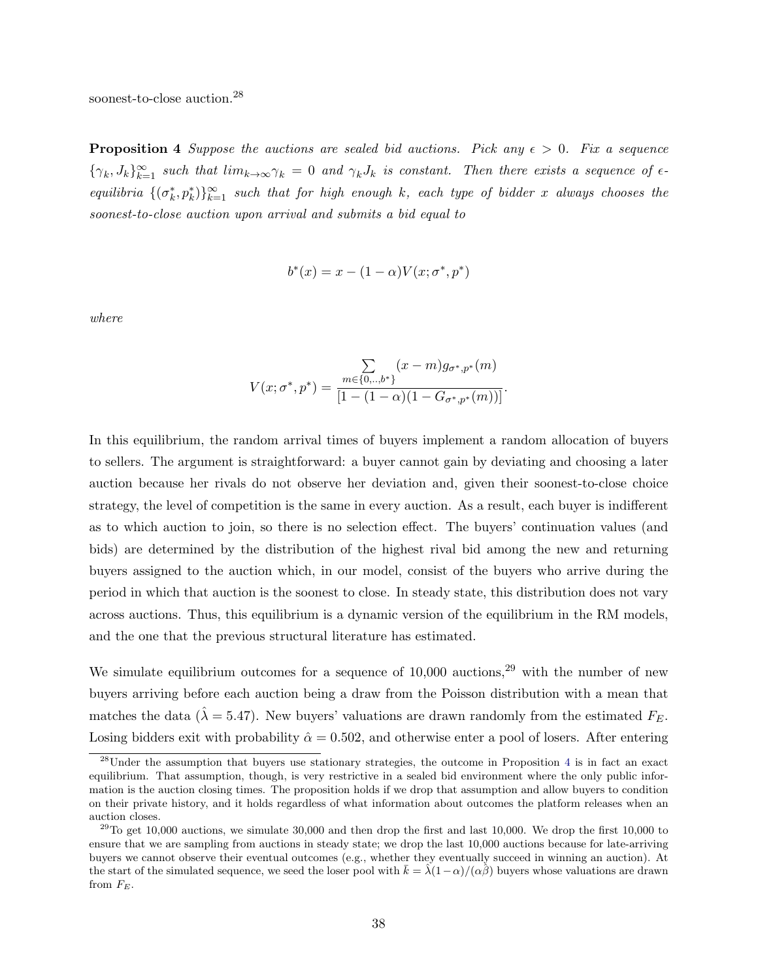<span id="page-37-0"></span>soonest-to-close auction.<sup>28</sup>

**Proposition 4** Suppose the auctions are sealed bid auctions. Pick any  $\epsilon > 0$ . Fix a sequence  $\{\gamma_k, J_k\}_{k=1}^{\infty}$  such that  $\lim_{k\to\infty}\gamma_k=0$  and  $\gamma_kJ_k$  is constant. Then there exists a sequence of  $\epsilon$ equilibria  $\{(\sigma_k^*, p_k^*)\}_{k=1}^{\infty}$  such that for high enough k, each type of bidder x always chooses the soonest-to-close auction upon arrival and submits a bid equal to

$$
b^*(x) = x - (1 - \alpha)V(x; \sigma^*, p^*)
$$

where

$$
V(x; \sigma^*, p^*) = \frac{\sum\limits_{m \in \{0, \ldots, b^*\}} (x - m) g_{\sigma^*, p^*}(m)}{[1 - (1 - \alpha)(1 - G_{\sigma^*, p^*}(m))]}.
$$

In this equilibrium, the random arrival times of buyers implement a random allocation of buyers to sellers. The argument is straightforward: a buyer cannot gain by deviating and choosing a later auction because her rivals do not observe her deviation and, given their soonest-to-close choice strategy, the level of competition is the same in every auction. As a result, each buyer is indifferent as to which auction to join, so there is no selection effect. The buyers' continuation values (and bids) are determined by the distribution of the highest rival bid among the new and returning buyers assigned to the auction which, in our model, consist of the buyers who arrive during the period in which that auction is the soonest to close. In steady state, this distribution does not vary across auctions. Thus, this equilibrium is a dynamic version of the equilibrium in the RM models, and the one that the previous structural literature has estimated.

We simulate equilibrium outcomes for a sequence of  $10,000$  auctions,<sup>29</sup> with the number of new buyers arriving before each auction being a draw from the Poisson distribution with a mean that matches the data ( $\hat{\lambda} = 5.47$ ). New buyers' valuations are drawn randomly from the estimated  $F_E$ . Losing bidders exit with probability  $\hat{\alpha} = 0.502$ , and otherwise enter a pool of losers. After entering

<sup>28</sup>Under the assumption that buyers use stationary strategies, the outcome in Proposition [4](#page-37-0) is in fact an exact equilibrium. That assumption, though, is very restrictive in a sealed bid environment where the only public information is the auction closing times. The proposition holds if we drop that assumption and allow buyers to condition on their private history, and it holds regardless of what information about outcomes the platform releases when an auction closes.

<sup>&</sup>lt;sup>29</sup>To get 10,000 auctions, we simulate 30,000 and then drop the first and last 10,000. We drop the first 10,000 to ensure that we are sampling from auctions in steady state; we drop the last 10,000 auctions because for late-arriving buyers we cannot observe their eventual outcomes (e.g., whether they eventually succeed in winning an auction). At the start of the simulated sequence, we seed the loser pool with  $\bar{k} = \lambda(1-\alpha)/(\alpha\hat{\beta})$  buyers whose valuations are drawn from  $F_E$ .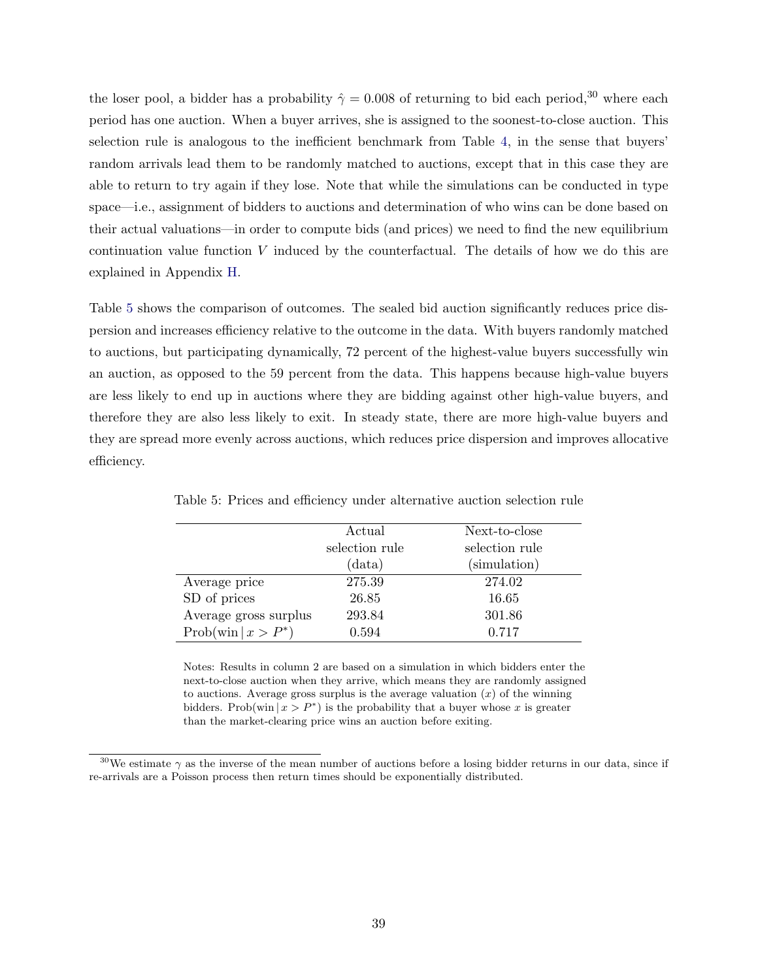the loser pool, a bidder has a probability  $\hat{\gamma} = 0.008$  of returning to bid each period,<sup>30</sup> where each period has one auction. When a buyer arrives, she is assigned to the soonest-to-close auction. This selection rule is analogous to the inefficient benchmark from Table [4,](#page-36-0) in the sense that buyers' random arrivals lead them to be randomly matched to auctions, except that in this case they are able to return to try again if they lose. Note that while the simulations can be conducted in type space—i.e., assignment of bidders to auctions and determination of who wins can be done based on their actual valuations—in order to compute bids (and prices) we need to find the new equilibrium continuation value function  $V$  induced by the counterfactual. The details of how we do this are explained in Appendix [H.](#page-60-1)

Table [5](#page-38-0) shows the comparison of outcomes. The sealed bid auction significantly reduces price dispersion and increases efficiency relative to the outcome in the data. With buyers randomly matched to auctions, but participating dynamically, 72 percent of the highest-value buyers successfully win an auction, as opposed to the 59 percent from the data. This happens because high-value buyers are less likely to end up in auctions where they are bidding against other high-value buyers, and therefore they are also less likely to exit. In steady state, there are more high-value buyers and they are spread more evenly across auctions, which reduces price dispersion and improves allocative efficiency.

|                        | Actual         | Next-to-close  |
|------------------------|----------------|----------------|
|                        | selection rule | selection rule |
|                        | (data)         | (simulation)   |
| Average price          | 275.39         | 274.02         |
| SD of prices           | 26.85          | 16.65          |
| Average gross surplus  | 293.84         | 301.86         |
| $Prob(\min   x > P^*)$ | 0.594          | 0.717          |

<span id="page-38-0"></span>Table 5: Prices and efficiency under alternative auction selection rule

Notes: Results in column 2 are based on a simulation in which bidders enter the next-to-close auction when they arrive, which means they are randomly assigned to auctions. Average gross surplus is the average valuation  $(x)$  of the winning bidders. Prob(win  $|x > P^*$ ) is the probability that a buyer whose x is greater than the market-clearing price wins an auction before exiting.

<sup>&</sup>lt;sup>30</sup>We estimate  $\gamma$  as the inverse of the mean number of auctions before a losing bidder returns in our data, since if re-arrivals are a Poisson process then return times should be exponentially distributed.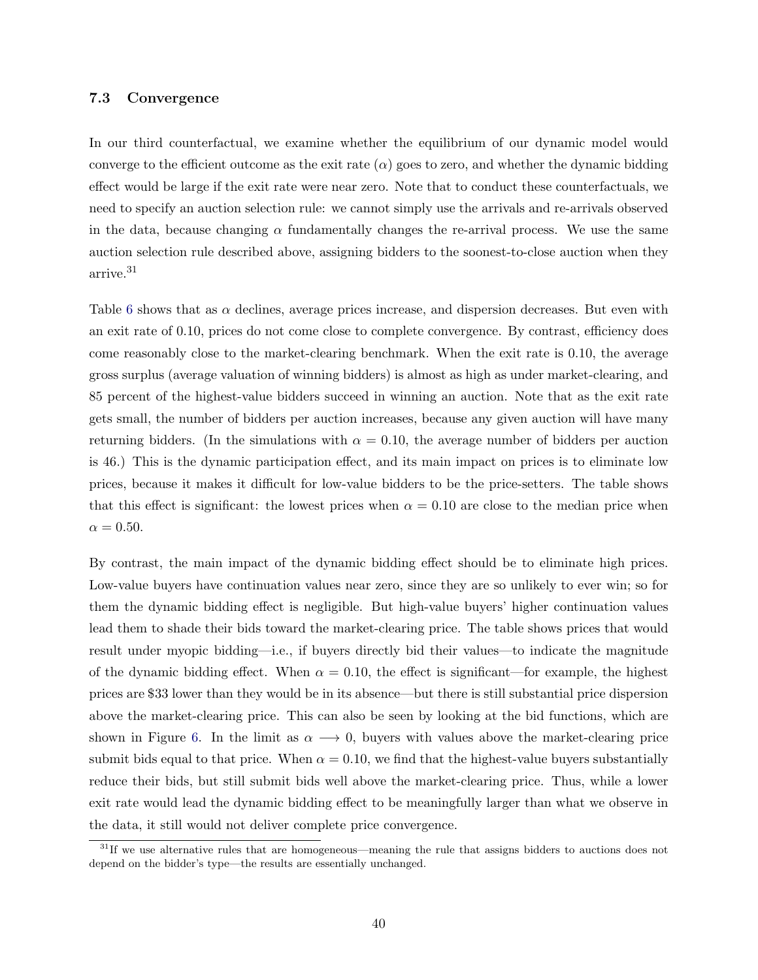#### 7.3 Convergence

In our third counterfactual, we examine whether the equilibrium of our dynamic model would converge to the efficient outcome as the exit rate  $(\alpha)$  goes to zero, and whether the dynamic bidding effect would be large if the exit rate were near zero. Note that to conduct these counterfactuals, we need to specify an auction selection rule: we cannot simply use the arrivals and re-arrivals observed in the data, because changing  $\alpha$  fundamentally changes the re-arrival process. We use the same auction selection rule described above, assigning bidders to the soonest-to-close auction when they arrive.<sup>31</sup>

Table [6](#page-40-0) shows that as  $\alpha$  declines, average prices increase, and dispersion decreases. But even with an exit rate of 0.10, prices do not come close to complete convergence. By contrast, efficiency does come reasonably close to the market-clearing benchmark. When the exit rate is 0.10, the average gross surplus (average valuation of winning bidders) is almost as high as under market-clearing, and 85 percent of the highest-value bidders succeed in winning an auction. Note that as the exit rate gets small, the number of bidders per auction increases, because any given auction will have many returning bidders. (In the simulations with  $\alpha = 0.10$ , the average number of bidders per auction is 46.) This is the dynamic participation effect, and its main impact on prices is to eliminate low prices, because it makes it difficult for low-value bidders to be the price-setters. The table shows that this effect is significant: the lowest prices when  $\alpha = 0.10$  are close to the median price when  $\alpha = 0.50$ .

By contrast, the main impact of the dynamic bidding effect should be to eliminate high prices. Low-value buyers have continuation values near zero, since they are so unlikely to ever win; so for them the dynamic bidding effect is negligible. But high-value buyers' higher continuation values lead them to shade their bids toward the market-clearing price. The table shows prices that would result under myopic bidding—i.e., if buyers directly bid their values—to indicate the magnitude of the dynamic bidding effect. When  $\alpha = 0.10$ , the effect is significant—for example, the highest prices are \$33 lower than they would be in its absence—but there is still substantial price dispersion above the market-clearing price. This can also be seen by looking at the bid functions, which are shown in Figure [6.](#page-40-1) In the limit as  $\alpha \rightarrow 0$ , buyers with values above the market-clearing price submit bids equal to that price. When  $\alpha = 0.10$ , we find that the highest-value buyers substantially reduce their bids, but still submit bids well above the market-clearing price. Thus, while a lower exit rate would lead the dynamic bidding effect to be meaningfully larger than what we observe in the data, it still would not deliver complete price convergence.

<sup>&</sup>lt;sup>31</sup>If we use alternative rules that are homogeneous—meaning the rule that assigns bidders to auctions does not depend on the bidder's type—the results are essentially unchanged.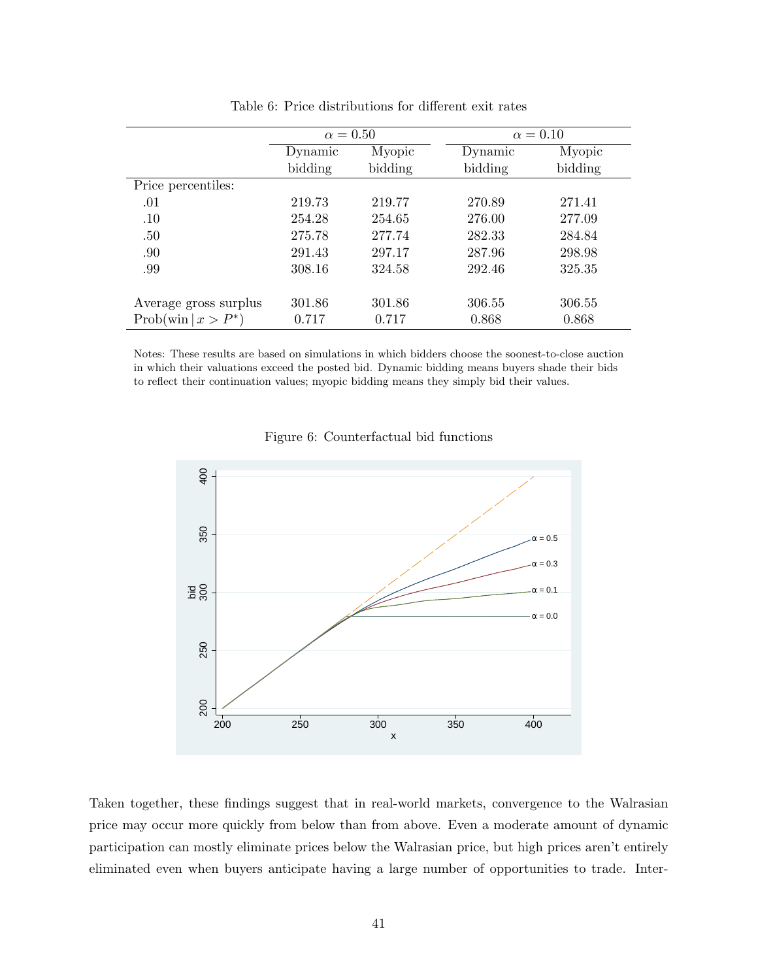|                                        | $\alpha = 0.50$   |         |         | $\alpha = 0.10$ |
|----------------------------------------|-------------------|---------|---------|-----------------|
|                                        | Myopic<br>Dynamic |         | Dynamic | Myopic          |
|                                        | bidding           | bidding | bidding | bidding         |
| Price percentiles:                     |                   |         |         |                 |
| .01                                    | 219.73            | 219.77  | 270.89  | 271.41          |
| .10                                    | 254.28            | 254.65  | 276.00  | 277.09          |
| .50                                    | 275.78            | 277.74  | 282.33  | 284.84          |
| .90                                    | 291.43            | 297.17  | 287.96  | 298.98          |
| .99                                    | 308.16            | 324.58  | 292.46  | 325.35          |
|                                        |                   |         |         |                 |
| Average gross surplus                  | 301.86            | 301.86  | 306.55  | 306.55          |
| $\text{Prob}(\text{win} \mid x > P^*)$ | 0.717             | 0.717   | 0.868   | 0.868           |
|                                        |                   |         |         |                 |

<span id="page-40-0"></span>Table 6: Price distributions for different exit rates

Notes: These results are based on simulations in which bidders choose the soonest-to-close auction in which their valuations exceed the posted bid. Dynamic bidding means buyers shade their bids to reflect their continuation values; myopic bidding means they simply bid their values.

<span id="page-40-1"></span>



Taken together, these findings suggest that in real-world markets, convergence to the Walrasian price may occur more quickly from below than from above. Even a moderate amount of dynamic participation can mostly eliminate prices below the Walrasian price, but high prices aren't entirely eliminated even when buyers anticipate having a large number of opportunities to trade. Inter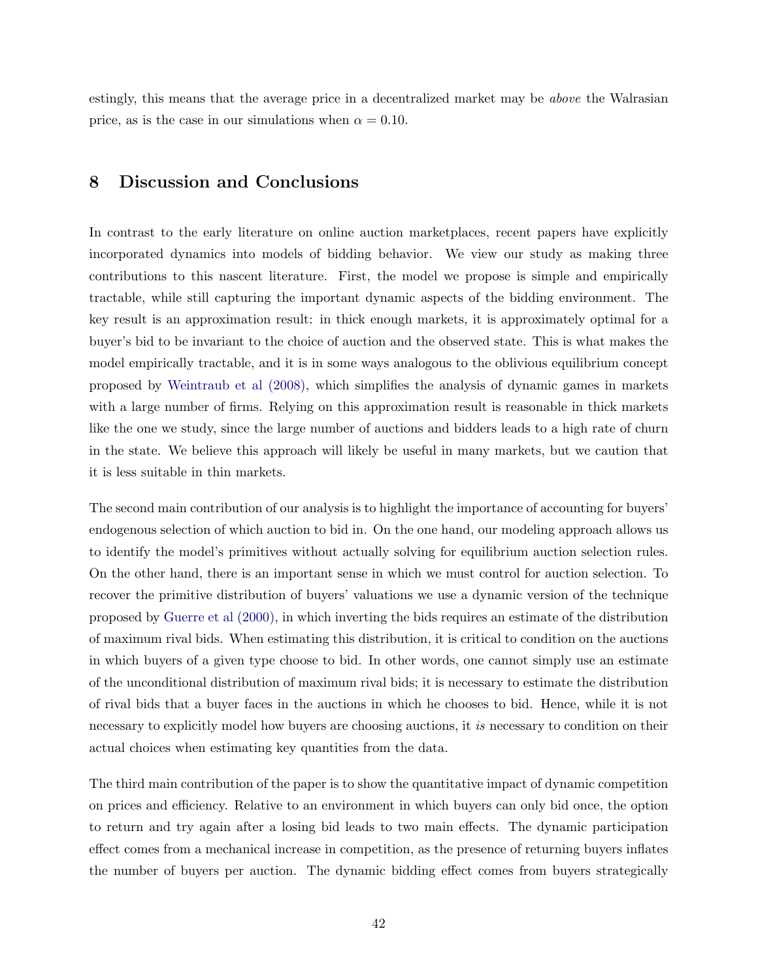estingly, this means that the average price in a decentralized market may be above the Walrasian price, as is the case in our simulations when  $\alpha = 0.10$ .

## <span id="page-41-0"></span>8 Discussion and Conclusions

In contrast to the early literature on online auction marketplaces, recent papers have explicitly incorporated dynamics into models of bidding behavior. We view our study as making three contributions to this nascent literature. First, the model we propose is simple and empirically tractable, while still capturing the important dynamic aspects of the bidding environment. The key result is an approximation result: in thick enough markets, it is approximately optimal for a buyer's bid to be invariant to the choice of auction and the observed state. This is what makes the model empirically tractable, and it is in some ways analogous to the oblivious equilibrium concept proposed by [Weintraub et al \(2008\),](#page-46-1) which simplifies the analysis of dynamic games in markets with a large number of firms. Relying on this approximation result is reasonable in thick markets like the one we study, since the large number of auctions and bidders leads to a high rate of churn in the state. We believe this approach will likely be useful in many markets, but we caution that it is less suitable in thin markets.

The second main contribution of our analysis is to highlight the importance of accounting for buyers' endogenous selection of which auction to bid in. On the one hand, our modeling approach allows us to identify the model's primitives without actually solving for equilibrium auction selection rules. On the other hand, there is an important sense in which we must control for auction selection. To recover the primitive distribution of buyers' valuations we use a dynamic version of the technique proposed by [Guerre et al \(2000\),](#page-44-1) in which inverting the bids requires an estimate of the distribution of maximum rival bids. When estimating this distribution, it is critical to condition on the auctions in which buyers of a given type choose to bid. In other words, one cannot simply use an estimate of the unconditional distribution of maximum rival bids; it is necessary to estimate the distribution of rival bids that a buyer faces in the auctions in which he chooses to bid. Hence, while it is not necessary to explicitly model how buyers are choosing auctions, it is necessary to condition on their actual choices when estimating key quantities from the data.

The third main contribution of the paper is to show the quantitative impact of dynamic competition on prices and efficiency. Relative to an environment in which buyers can only bid once, the option to return and try again after a losing bid leads to two main effects. The dynamic participation effect comes from a mechanical increase in competition, as the presence of returning buyers inflates the number of buyers per auction. The dynamic bidding effect comes from buyers strategically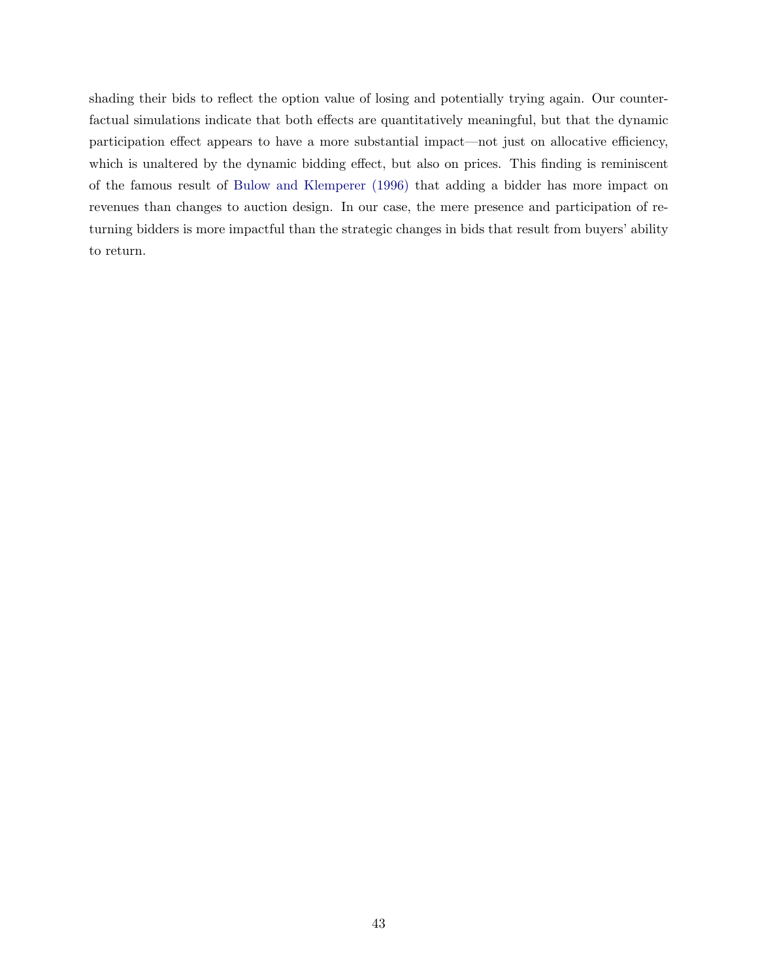shading their bids to reflect the option value of losing and potentially trying again. Our counterfactual simulations indicate that both effects are quantitatively meaningful, but that the dynamic participation effect appears to have a more substantial impact—not just on allocative efficiency, which is unaltered by the dynamic bidding effect, but also on prices. This finding is reminiscent of the famous result of [Bulow and Klemperer \(1996\)](#page-43-11) that adding a bidder has more impact on revenues than changes to auction design. In our case, the mere presence and participation of returning bidders is more impactful than the strategic changes in bids that result from buyers' ability to return.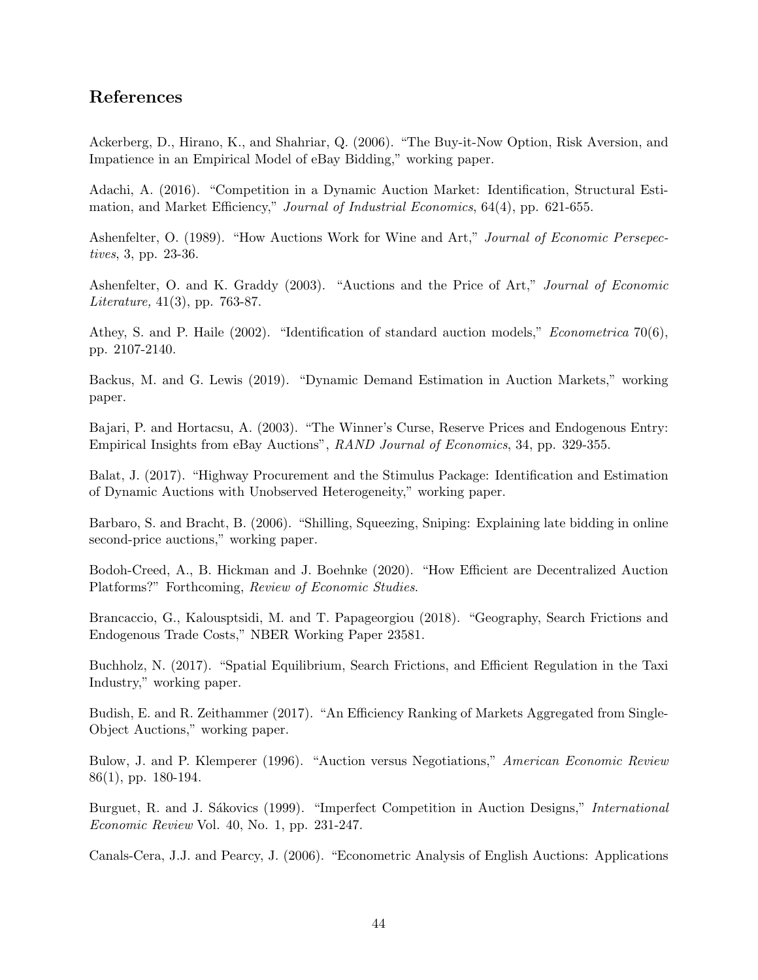# References

<span id="page-43-7"></span>Ackerberg, D., Hirano, K., and Shahriar, Q. (2006). "The Buy-it-Now Option, Risk Aversion, and Impatience in an Empirical Model of eBay Bidding," working paper.

<span id="page-43-3"></span>Adachi, A. (2016). "Competition in a Dynamic Auction Market: Identification, Structural Estimation, and Market Efficiency," Journal of Industrial Economics, 64(4), pp. 621-655.

Ashenfelter, O. (1989). "How Auctions Work for Wine and Art," Journal of Economic Persepectives, 3, pp. 23-36.

Ashenfelter, O. and K. Graddy (2003). "Auctions and the Price of Art," Journal of Economic Literature, 41(3), pp. 763-87.

<span id="page-43-5"></span>Athey, S. and P. Haile (2002). "Identification of standard auction models," Econometrica 70(6), pp. 2107-2140.

<span id="page-43-0"></span>Backus, M. and G. Lewis (2019). "Dynamic Demand Estimation in Auction Markets," working paper.

<span id="page-43-1"></span>Bajari, P. and Hortacsu, A. (2003). "The Winner's Curse, Reserve Prices and Endogenous Entry: Empirical Insights from eBay Auctions", RAND Journal of Economics, 34, pp. 329-355.

<span id="page-43-4"></span>Balat, J. (2017). "Highway Procurement and the Stimulus Package: Identification and Estimation of Dynamic Auctions with Unobserved Heterogeneity," working paper.

Barbaro, S. and Bracht, B. (2006). "Shilling, Squeezing, Sniping: Explaining late bidding in online second-price auctions," working paper.

<span id="page-43-2"></span>Bodoh-Creed, A., B. Hickman and J. Boehnke (2020). "How Efficient are Decentralized Auction Platforms?" Forthcoming, Review of Economic Studies.

<span id="page-43-8"></span>Brancaccio, G., Kalousptsidi, M. and T. Papageorgiou (2018). "Geography, Search Frictions and Endogenous Trade Costs," NBER Working Paper 23581.

<span id="page-43-9"></span>Buchholz, N. (2017). "Spatial Equilibrium, Search Frictions, and Efficient Regulation in the Taxi Industry," working paper.

Budish, E. and R. Zeithammer (2017). "An Efficiency Ranking of Markets Aggregated from Single-Object Auctions," working paper.

<span id="page-43-11"></span>Bulow, J. and P. Klemperer (1996). "Auction versus Negotiations," American Economic Review 86(1), pp. 180-194.

<span id="page-43-10"></span>Burguet, R. and J. Sákovics (1999). "Imperfect Competition in Auction Designs," *International* Economic Review Vol. 40, No. 1, pp. 231-247.

<span id="page-43-6"></span>Canals-Cera, J.J. and Pearcy, J. (2006). "Econometric Analysis of English Auctions: Applications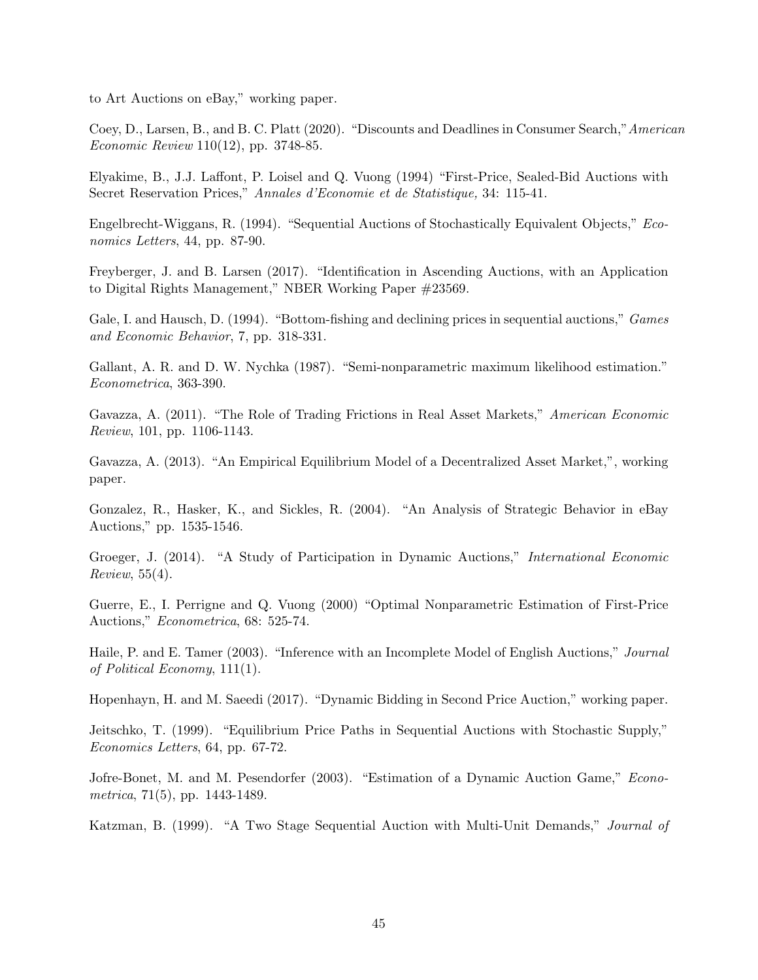<span id="page-44-7"></span>to Art Auctions on eBay," working paper.

Coey, D., Larsen, B., and B. C. Platt (2020). "Discounts and Deadlines in Consumer Search,"American Economic Review 110(12), pp. 3748-85.

<span id="page-44-0"></span>Elyakime, B., J.J. Laffont, P. Loisel and Q. Vuong (1994) "First-Price, Sealed-Bid Auctions with Secret Reservation Prices," Annales d'Economie et de Statistique, 34: 115-41.

Engelbrecht-Wiggans, R. (1994). "Sequential Auctions of Stochastically Equivalent Objects," Economics Letters, 44, pp. 87-90.

Freyberger, J. and B. Larsen (2017). "Identification in Ascending Auctions, with an Application to Digital Rights Management," NBER Working Paper #23569.

Gale, I. and Hausch, D. (1994). "Bottom-fishing and declining prices in sequential auctions," Games and Economic Behavior, 7, pp. 318-331.

<span id="page-44-8"></span>Gallant, A. R. and D. W. Nychka (1987). "Semi-nonparametric maximum likelihood estimation." Econometrica, 363-390.

<span id="page-44-6"></span>Gavazza, A. (2011). "The Role of Trading Frictions in Real Asset Markets," American Economic Review, 101, pp. 1106-1143.

Gavazza, A. (2013). "An Empirical Equilibrium Model of a Decentralized Asset Market,", working paper.

<span id="page-44-5"></span>Gonzalez, R., Hasker, K., and Sickles, R. (2004). "An Analysis of Strategic Behavior in eBay Auctions," pp. 1535-1546.

<span id="page-44-4"></span>Groeger, J. (2014). "A Study of Participation in Dynamic Auctions," International Economic Review, 55(4).

<span id="page-44-1"></span>Guerre, E., I. Perrigne and Q. Vuong (2000) "Optimal Nonparametric Estimation of First-Price Auctions," Econometrica, 68: 525-74.

Haile, P. and E. Tamer (2003). "Inference with an Incomplete Model of English Auctions," Journal of Political Economy, 111(1).

<span id="page-44-2"></span>Hopenhayn, H. and M. Saeedi (2017). "Dynamic Bidding in Second Price Auction," working paper.

Jeitschko, T. (1999). "Equilibrium Price Paths in Sequential Auctions with Stochastic Supply," Economics Letters, 64, pp. 67-72.

<span id="page-44-3"></span>Jofre-Bonet, M. and M. Pesendorfer (2003). "Estimation of a Dynamic Auction Game," Econometrica, 71(5), pp. 1443-1489.

Katzman, B. (1999). "A Two Stage Sequential Auction with Multi-Unit Demands," Journal of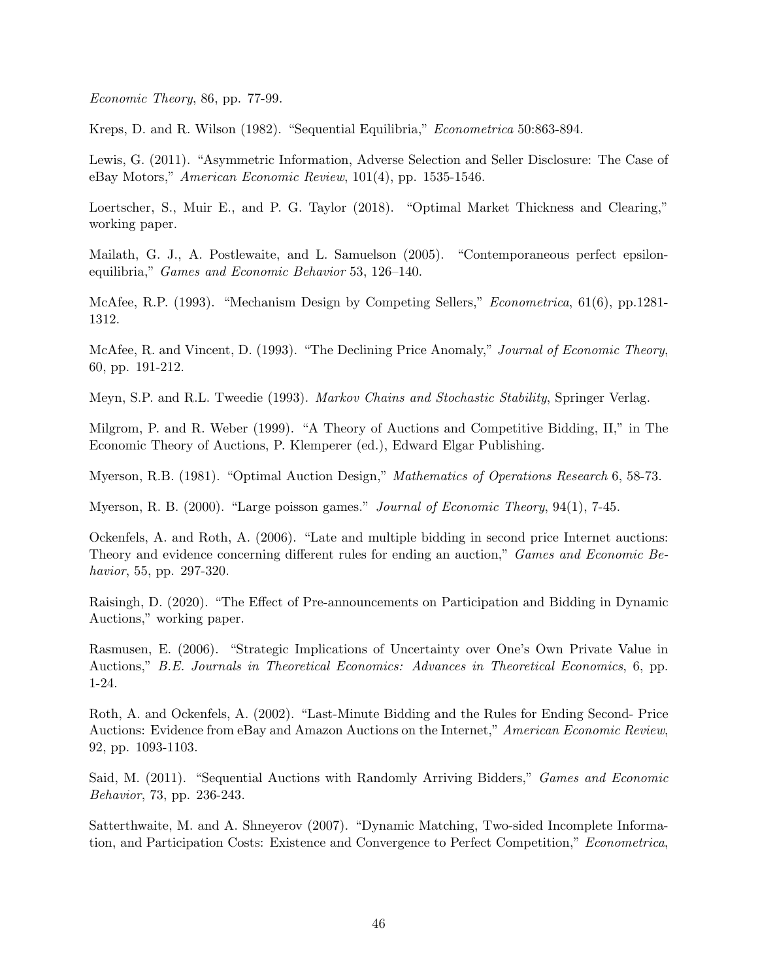Economic Theory, 86, pp. 77-99.

<span id="page-45-5"></span>Kreps, D. and R. Wilson (1982). "Sequential Equilibria," Econometrica 50:863-894.

Lewis, G. (2011). "Asymmetric Information, Adverse Selection and Seller Disclosure: The Case of eBay Motors," American Economic Review, 101(4), pp. 1535-1546.

Loertscher, S., Muir E., and P. G. Taylor (2018). "Optimal Market Thickness and Clearing," working paper.

Mailath, G. J., A. Postlewaite, and L. Samuelson (2005). "Contemporaneous perfect epsilonequilibria," Games and Economic Behavior 53, 126–140.

<span id="page-45-1"></span>McAfee, R.P. (1993). "Mechanism Design by Competing Sellers," *Econometrica*, 61(6), pp.1281-1312.

McAfee, R. and Vincent, D. (1993). "The Declining Price Anomaly," Journal of Economic Theory, 60, pp. 191-212.

Meyn, S.P. and R.L. Tweedie (1993). Markov Chains and Stochastic Stability, Springer Verlag.

Milgrom, P. and R. Weber (1999). "A Theory of Auctions and Competitive Bidding, II," in The Economic Theory of Auctions, P. Klemperer (ed.), Edward Elgar Publishing.

Myerson, R.B. (1981). "Optimal Auction Design," Mathematics of Operations Research 6, 58-73.

<span id="page-45-0"></span>Myerson, R. B. (2000). "Large poisson games." *Journal of Economic Theory*, 94(1), 7-45.

Ockenfels, A. and Roth, A. (2006). "Late and multiple bidding in second price Internet auctions: Theory and evidence concerning different rules for ending an auction," Games and Economic Behavior, 55, pp. 297-320.

<span id="page-45-4"></span>Raisingh, D. (2020). "The Effect of Pre-announcements on Participation and Bidding in Dynamic Auctions," working paper.

Rasmusen, E. (2006). "Strategic Implications of Uncertainty over One's Own Private Value in Auctions," B.E. Journals in Theoretical Economics: Advances in Theoretical Economics, 6, pp. 1-24.

Roth, A. and Ockenfels, A. (2002). "Last-Minute Bidding and the Rules for Ending Second- Price Auctions: Evidence from eBay and Amazon Auctions on the Internet," American Economic Review, 92, pp. 1093-1103.

<span id="page-45-3"></span>Said, M. (2011). "Sequential Auctions with Randomly Arriving Bidders," Games and Economic Behavior, 73, pp. 236-243.

<span id="page-45-2"></span>Satterthwaite, M. and A. Shneyerov (2007). "Dynamic Matching, Two-sided Incomplete Information, and Participation Costs: Existence and Convergence to Perfect Competition," Econometrica,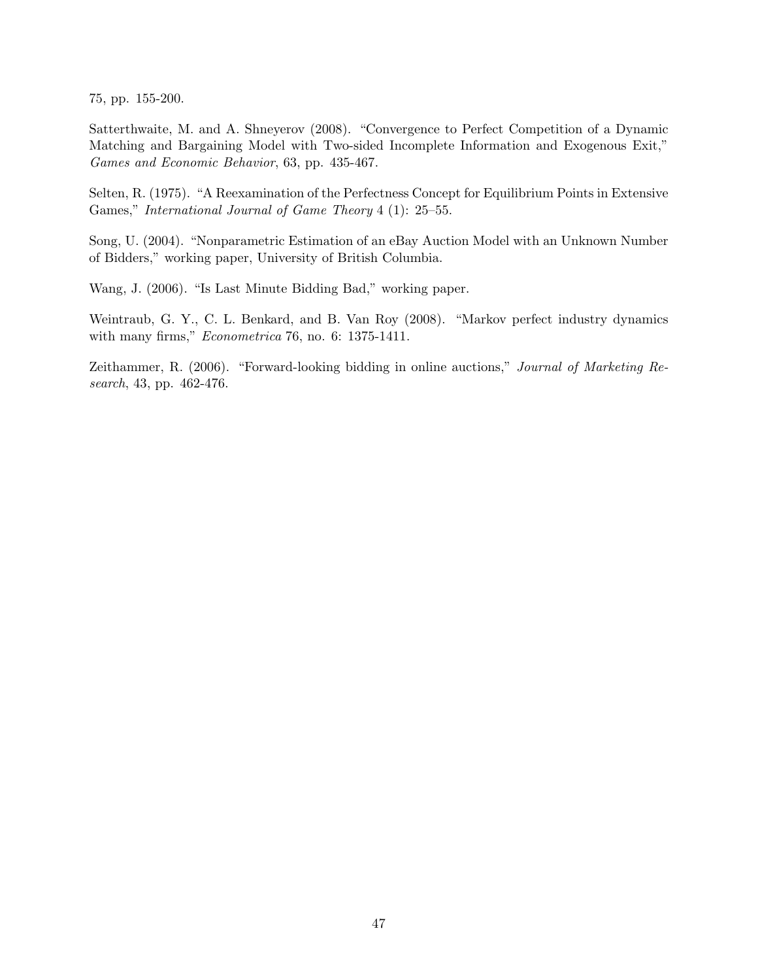75, pp. 155-200.

Satterthwaite, M. and A. Shneyerov (2008). "Convergence to Perfect Competition of a Dynamic Matching and Bargaining Model with Two-sided Incomplete Information and Exogenous Exit," Games and Economic Behavior, 63, pp. 435-467.

Selten, R. (1975). "A Reexamination of the Perfectness Concept for Equilibrium Points in Extensive Games," International Journal of Game Theory 4 (1): 25–55.

Song, U. (2004). "Nonparametric Estimation of an eBay Auction Model with an Unknown Number of Bidders," working paper, University of British Columbia.

<span id="page-46-1"></span>Wang, J. (2006). "Is Last Minute Bidding Bad," working paper.

Weintraub, G. Y., C. L. Benkard, and B. Van Roy (2008). "Markov perfect industry dynamics with many firms," Econometrica 76, no. 6: 1375-1411.

<span id="page-46-0"></span>Zeithammer, R. (2006). "Forward-looking bidding in online auctions," Journal of Marketing Research, 43, pp. 462-476.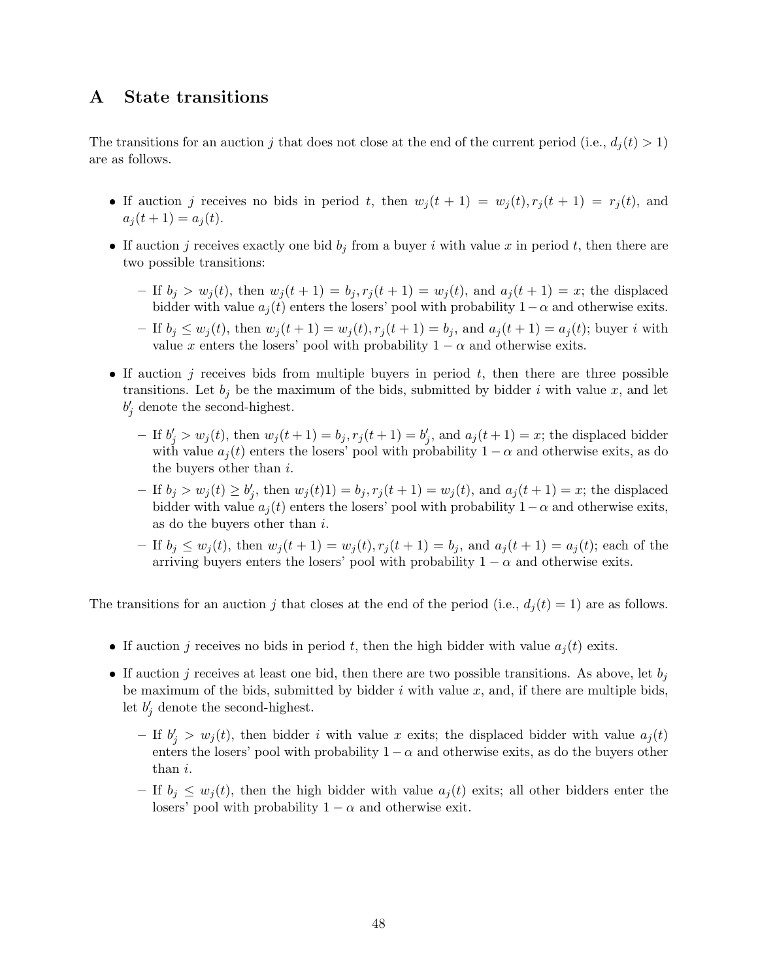# A State transitions

The transitions for an auction j that does not close at the end of the current period (i.e.,  $d_i(t) > 1$ ) are as follows.

- If auction j receives no bids in period t, then  $w_j(t + 1) = w_j(t), r_j(t + 1) = r_j(t)$ , and  $a_i(t + 1) = a_j(t)$ .
- If auction j receives exactly one bid  $b_i$  from a buyer i with value x in period t, then there are two possible transitions:
	- If  $b_j > w_j(t)$ , then  $w_j(t + 1) = b_j, r_j(t + 1) = w_j(t)$ , and  $a_j(t + 1) = x$ ; the displaced bidder with value  $a_i(t)$  enters the losers' pool with probability  $1-\alpha$  and otherwise exits.
	- If  $b_j \leq w_j(t)$ , then  $w_j(t+1) = w_j(t), r_j(t+1) = b_j$ , and  $a_j(t+1) = a_j(t)$ ; buyer i with value x enters the losers' pool with probability  $1 - \alpha$  and otherwise exits.
- If auction j receives bids from multiple buyers in period  $t$ , then there are three possible transitions. Let  $b_i$  be the maximum of the bids, submitted by bidder i with value x, and let  $b'_j$  denote the second-highest.
	- If  $b'_j > w_j(t)$ , then  $w_j(t+1) = b_j, r_j(t+1) = b'_j$ , and  $a_j(t+1) = x$ ; the displaced bidder with value  $a_i(t)$  enters the losers' pool with probability  $1 - \alpha$  and otherwise exits, as do the buyers other than  $i$ .
	- $− \text{ If } b_j > w_j(t) \ge b'_j, \text{ then } w_j(t)1) = b_j, r_j(t+1) = w_j(t), \text{ and } a_j(t+1) = x; \text{ the displaced}$ bidder with value  $a_j(t)$  enters the losers' pool with probability  $1-\alpha$  and otherwise exits, as do the buyers other than i.
	- If  $b_i \leq w_i(t)$ , then  $w_i(t+1) = w_i(t), r_i(t+1) = b_i$ , and  $a_i(t+1) = a_i(t)$ ; each of the arriving buyers enters the losers' pool with probability  $1 - \alpha$  and otherwise exits.

The transitions for an auction j that closes at the end of the period (i.e.,  $d_i(t) = 1$ ) are as follows.

- If auction j receives no bids in period t, then the high bidder with value  $a_i(t)$  exits.
- If auction j receives at least one bid, then there are two possible transitions. As above, let  $b_j$ be maximum of the bids, submitted by bidder  $i$  with value  $x$ , and, if there are multiple bids, let  $b'_j$  denote the second-highest.
	- If  $b'_j > w_j(t)$ , then bidder i with value x exits; the displaced bidder with value  $a_j(t)$ enters the losers' pool with probability  $1 - \alpha$  and otherwise exits, as do the buyers other than i.
	- If  $b_i \leq w_i(t)$ , then the high bidder with value  $a_i(t)$  exits; all other bidders enter the losers' pool with probability  $1 - \alpha$  and otherwise exit.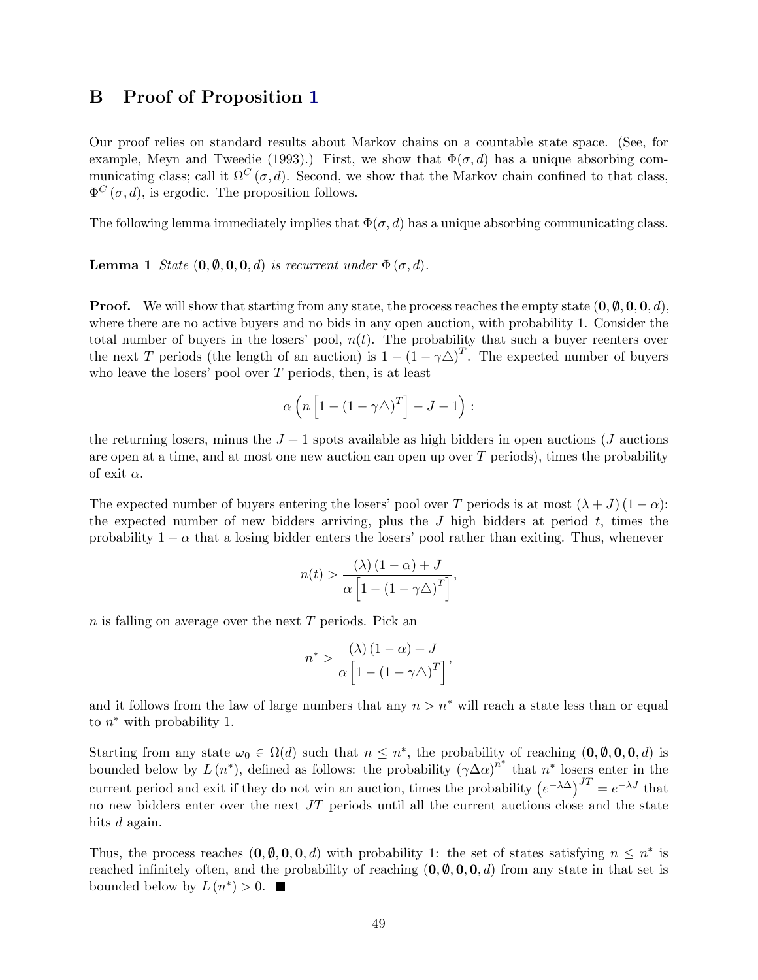## B Proof of Proposition [1](#page-11-0)

Our proof relies on standard results about Markov chains on a countable state space. (See, for example, Meyn and Tweedie (1993).) First, we show that  $\Phi(\sigma, d)$  has a unique absorbing communicating class; call it  $\Omega^C(\sigma, d)$ . Second, we show that the Markov chain confined to that class,  $\Phi^C(\sigma, d)$ , is ergodic. The proposition follows.

The following lemma immediately implies that  $\Phi(\sigma, d)$  has a unique absorbing communicating class.

**Lemma 1** State  $(0, \emptyset, 0, 0, d)$  is recurrent under  $\Phi(\sigma, d)$ .

**Proof.** We will show that starting from any state, the process reaches the empty state  $(0, \emptyset, 0, 0, d)$ , where there are no active buyers and no bids in any open auction, with probability 1. Consider the total number of buyers in the losers' pool,  $n(t)$ . The probability that such a buyer reenters over the next T periods (the length of an auction) is  $1-(1-\gamma\Delta)^T$ . The expected number of buyers who leave the losers' pool over  $T$  periods, then, is at least

<span id="page-48-0"></span>
$$
\alpha\left(n\left[1-\left(1-\gamma\triangle\right)^T\right]-J-1\right):
$$

the returning losers, minus the  $J + 1$  spots available as high bidders in open auctions (J auctions are open at a time, and at most one new auction can open up over  $T$  periods), times the probability of exit  $\alpha$ .

The expected number of buyers entering the losers' pool over T periods is at most  $(\lambda + J) (1 - \alpha)$ : the expected number of new bidders arriving, plus the  $J$  high bidders at period  $t$ , times the probability  $1 - \alpha$  that a losing bidder enters the losers' pool rather than exiting. Thus, whenever

$$
n(t) > \frac{(\lambda) (1 - \alpha) + J}{\alpha \left[ 1 - (1 - \gamma \Delta)^T \right]},
$$

 $n$  is falling on average over the next  $T$  periods. Pick an

$$
n^* > \frac{(\lambda) (1 - \alpha) + J}{\alpha \left[ 1 - (1 - \gamma \Delta)^T \right]},
$$

and it follows from the law of large numbers that any  $n > n^*$  will reach a state less than or equal to  $n^*$  with probability 1.

Starting from any state  $\omega_0 \in \Omega(d)$  such that  $n \leq n^*$ , the probability of reaching  $(0, \emptyset, 0, 0, d)$  is bounded below by  $L(n^*)$ , defined as follows: the probability  $(\gamma \Delta \alpha)^{n^*}$  that  $n^*$  losers enter in the current period and exit if they do not win an auction, times the probability  $(e^{-\lambda \Delta})^{JT} = e^{-\lambda J}$  that no new bidders enter over the next  $JT$  periods until all the current auctions close and the state hits d again.

Thus, the process reaches  $(0, \emptyset, 0, 0, d)$  with probability 1: the set of states satisfying  $n \leq n^*$  is reached infinitely often, and the probability of reaching  $(0, \emptyset, 0, 0, d)$  from any state in that set is bounded below by  $L(n^*) > 0$ .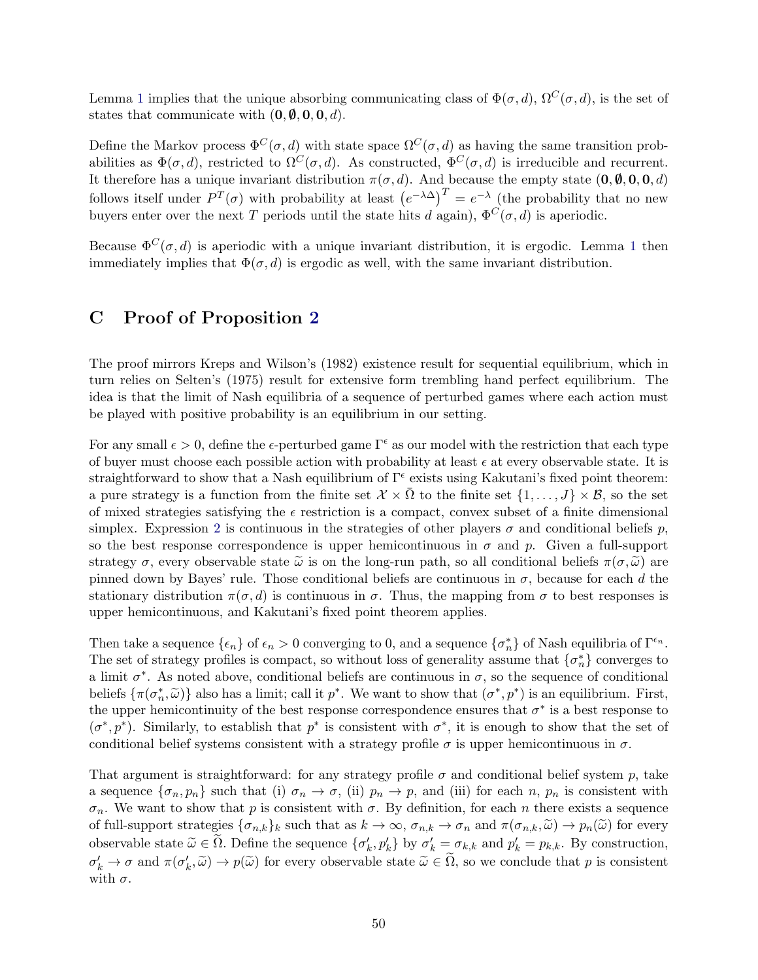Lemma [1](#page-48-0) implies that the unique absorbing communicating class of  $\Phi(\sigma, d)$ ,  $\Omega^C(\sigma, d)$ , is the set of states that communicate with  $(0, \emptyset, 0, 0, d)$ .

Define the Markov process  $\Phi^C(\sigma, d)$  with state space  $\Omega^C(\sigma, d)$  as having the same transition probabilities as  $\Phi(\sigma, d)$ , restricted to  $\Omega^C(\sigma, d)$ . As constructed,  $\Phi^C(\sigma, d)$  is irreducible and recurrent. It therefore has a unique invariant distribution  $\pi(\sigma, d)$ . And because the empty state  $(0, \emptyset, 0, 0, d)$ follows itself under  $P^T(\sigma)$  with probability at least  $(e^{-\lambda \Delta})^T = e^{-\lambda}$  (the probability that no new buyers enter over the next T periods until the state hits d again),  $\Phi^C(\sigma, d)$  is aperiodic.

Because  $\Phi^C(\sigma, d)$  is aperiodic with a unique invariant distribution, it is ergodic. Lemma [1](#page-48-0) then immediately implies that  $\Phi(\sigma, d)$  is ergodic as well, with the same invariant distribution.

# C Proof of Proposition [2](#page-14-0)

The proof mirrors Kreps and Wilson's (1982) existence result for sequential equilibrium, which in turn relies on Selten's (1975) result for extensive form trembling hand perfect equilibrium. The idea is that the limit of Nash equilibria of a sequence of perturbed games where each action must be played with positive probability is an equilibrium in our setting.

For any small  $\epsilon > 0$ , define the  $\epsilon$ -perturbed game  $\Gamma^{\epsilon}$  as our model with the restriction that each type of buyer must choose each possible action with probability at least  $\epsilon$  at every observable state. It is straightforward to show that a Nash equilibrium of  $\Gamma^{\epsilon}$  exists using Kakutani's fixed point theorem: a pure strategy is a function from the finite set  $\mathcal{X} \times \overline{\Omega}$  to the finite set  $\{1, \ldots, J\} \times \mathcal{B}$ , so the set of mixed strategies satisfying the  $\epsilon$  restriction is a compact, convex subset of a finite dimensional simplex. Expression [2](#page-13-0) is continuous in the strategies of other players  $\sigma$  and conditional beliefs p, so the best response correspondence is upper hemicontinuous in  $\sigma$  and p. Given a full-support strategy  $\sigma$ , every observable state  $\tilde{\omega}$  is on the long-run path, so all conditional beliefs  $\pi(\sigma, \tilde{\omega})$  are pinned down by Bayes' rule. Those conditional beliefs are continuous in  $\sigma$ , because for each d the stationary distribution  $\pi(\sigma, d)$  is continuous in  $\sigma$ . Thus, the mapping from  $\sigma$  to best responses is upper hemicontinuous, and Kakutani's fixed point theorem applies.

Then take a sequence  $\{\epsilon_n\}$  of  $\epsilon_n > 0$  converging to 0, and a sequence  $\{\sigma_n^*\}$  of Nash equilibria of  $\Gamma^{\epsilon_n}$ . The set of strategy profiles is compact, so without loss of generality assume that  $\{\sigma_n^*\}$  converges to a limit  $\sigma^*$ . As noted above, conditional beliefs are continuous in  $\sigma$ , so the sequence of conditional beliefs  $\{\pi(\sigma_n^*, \tilde{\omega})\}$  also has a limit; call it  $p^*$ . We want to show that  $(\sigma^*, p^*)$  is an equilibrium. First, the upper hemicontinuity of the best response correspondence ensures that  $\sigma^*$  is a best response to  $(\sigma^*, p^*)$ . Similarly, to establish that  $p^*$  is consistent with  $\sigma^*$ , it is enough to show that the set of conditional belief systems consistent with a strategy profile  $\sigma$  is upper hemicontinuous in  $\sigma$ .

That argument is straightforward: for any strategy profile  $\sigma$  and conditional belief system p, take a sequence  $\{\sigma_n, p_n\}$  such that (i)  $\sigma_n \to \sigma$ , (ii)  $p_n \to p$ , and (iii) for each n,  $p_n$  is consistent with  $\sigma_n$ . We want to show that p is consistent with  $\sigma$ . By definition, for each n there exists a sequence of full-support strategies  $\{\sigma_{n,k}\}_k$  such that as  $k \to \infty$ ,  $\sigma_{n,k} \to \sigma_n$  and  $\pi(\sigma_{n,k}, \tilde{\omega}) \to p_n(\tilde{\omega})$  for every observable state  $\tilde{\omega} \in \tilde{\Omega}$ . Define the sequence  $\{\sigma'_k, p'_k\}$  by  $\sigma'_k = \sigma_{k,k}$  and  $p'_k = p_{k,k}$ . By construction,  $\sigma'_k \to \sigma$  and  $\pi(\sigma'_k, \tilde{\omega}) \to p(\tilde{\omega})$  for every observable state  $\tilde{\omega} \in \tilde{\Omega}$ , so we conclude that p is consistent with  $\sigma$ .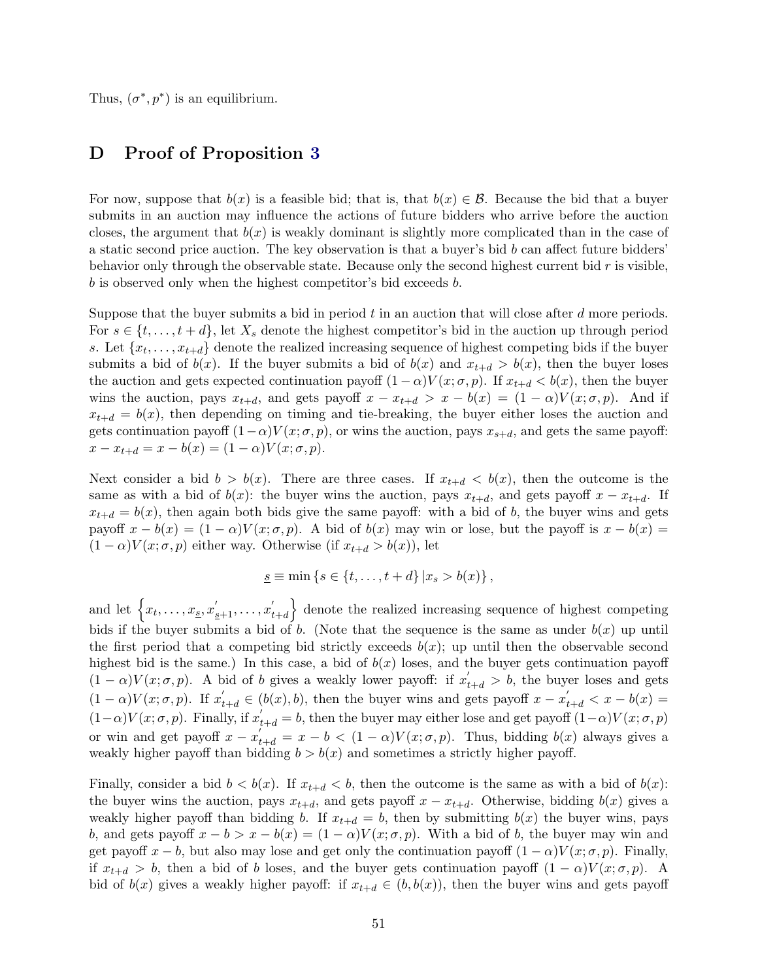Thus,  $(\sigma^*, p^*)$  is an equilibrium.

## D Proof of Proposition [3](#page-15-0)

For now, suppose that  $b(x)$  is a feasible bid; that is, that  $b(x) \in \mathcal{B}$ . Because the bid that a buyer submits in an auction may influence the actions of future bidders who arrive before the auction closes, the argument that  $b(x)$  is weakly dominant is slightly more complicated than in the case of a static second price auction. The key observation is that a buyer's bid  $b$  can affect future bidders' behavior only through the observable state. Because only the second highest current bid  $r$  is visible, b is observed only when the highest competitor's bid exceeds b.

Suppose that the buyer submits a bid in period  $t$  in an auction that will close after  $d$  more periods. For  $s \in \{t, \ldots, t + d\}$ , let  $X_s$  denote the highest competitor's bid in the auction up through period s. Let  $\{x_t, \ldots, x_{t+d}\}$  denote the realized increasing sequence of highest competing bids if the buyer submits a bid of  $b(x)$ . If the buyer submits a bid of  $b(x)$  and  $x_{t+d} > b(x)$ , then the buyer loses the auction and gets expected continuation payoff  $(1 - \alpha)V(x; \sigma, p)$ . If  $x_{t+d} < b(x)$ , then the buyer wins the auction, pays  $x_{t+d}$ , and gets payoff  $x - x_{t+d} > x - b(x) = (1 - \alpha)V(x; \sigma, p)$ . And if  $x_{t+d} = b(x)$ , then depending on timing and tie-breaking, the buyer either loses the auction and gets continuation payoff  $(1-\alpha)V(x;\sigma,p)$ , or wins the auction, pays  $x_{s+d}$ , and gets the same payoff:  $x - x_{t+d} = x - b(x) = (1 - \alpha)V(x; \sigma, p).$ 

Next consider a bid  $b > b(x)$ . There are three cases. If  $x_{t+d} < b(x)$ , then the outcome is the same as with a bid of  $b(x)$ : the buyer wins the auction, pays  $x_{t+d}$ , and gets payoff  $x - x_{t+d}$ . If  $x_{t+d} = b(x)$ , then again both bids give the same payoff: with a bid of b, the buyer wins and gets payoff  $x - b(x) = (1 - \alpha)V(x; \sigma, p)$ . A bid of  $b(x)$  may win or lose, but the payoff is  $x - b(x) =$  $(1 - \alpha)V(x; \sigma, p)$  either way. Otherwise (if  $x_{t+d} > b(x)$ ), let

$$
\underline{s} \equiv \min\left\{s \in \{t, \ldots, t + d\} \, | x_s > b(x) \right\},\
$$

and let  $\left\{x_t, \ldots, x_{\underline{s}}, x_{\underline{s}+1}', \ldots, x_{t}'\right\}$  $\begin{pmatrix} \cdot \\ t+d \end{pmatrix}$  denote the realized increasing sequence of highest competing bids if the buyer submits a bid of b. (Note that the sequence is the same as under  $b(x)$  up until the first period that a competing bid strictly exceeds  $b(x)$ ; up until then the observable second highest bid is the same.) In this case, a bid of  $b(x)$  loses, and the buyer gets continuation payoff  $(1 - \alpha)V(x; \sigma, p)$ . A bid of b gives a weakly lower payoff: if  $x'_{t+d} > b$ , the buyer loses and gets  $(1 - \alpha)V(x; \sigma, p)$ . If  $x'_{t+d} \in (b(x), b)$ , then the buyer wins and gets payoff  $x - x'_{t+d} < x - b(x)$  $(1-\alpha)V(x;\sigma,p)$ . Finally, if  $x'_{t+d} = b$ , then the buyer may either lose and get payoff  $(1-\alpha)V(x;\sigma,p)$ or win and get payoff  $x - x'_{t+d} = x - b < (1 - \alpha)V(x; \sigma, p)$ . Thus, bidding  $b(x)$  always gives a weakly higher payoff than bidding  $b > b(x)$  and sometimes a strictly higher payoff.

Finally, consider a bid  $b < b(x)$ . If  $x_{t+d} < b$ , then the outcome is the same as with a bid of  $b(x)$ : the buyer wins the auction, pays  $x_{t+d}$ , and gets payoff  $x - x_{t+d}$ . Otherwise, bidding  $b(x)$  gives a weakly higher payoff than bidding b. If  $x_{t+d} = b$ , then by submitting  $b(x)$  the buyer wins, pays b, and gets payoff  $x - b > x - b(x) = (1 - \alpha)V(x; \sigma, p)$ . With a bid of b, the buyer may win and get payoff  $x - b$ , but also may lose and get only the continuation payoff  $(1 - \alpha)V(x; \sigma, p)$ . Finally, if  $x_{t+d} > b$ , then a bid of b loses, and the buyer gets continuation payoff  $(1 - \alpha)V(x;\sigma,p)$ . A bid of  $b(x)$  gives a weakly higher payoff: if  $x_{t+d} \in (b, b(x))$ , then the buyer wins and gets payoff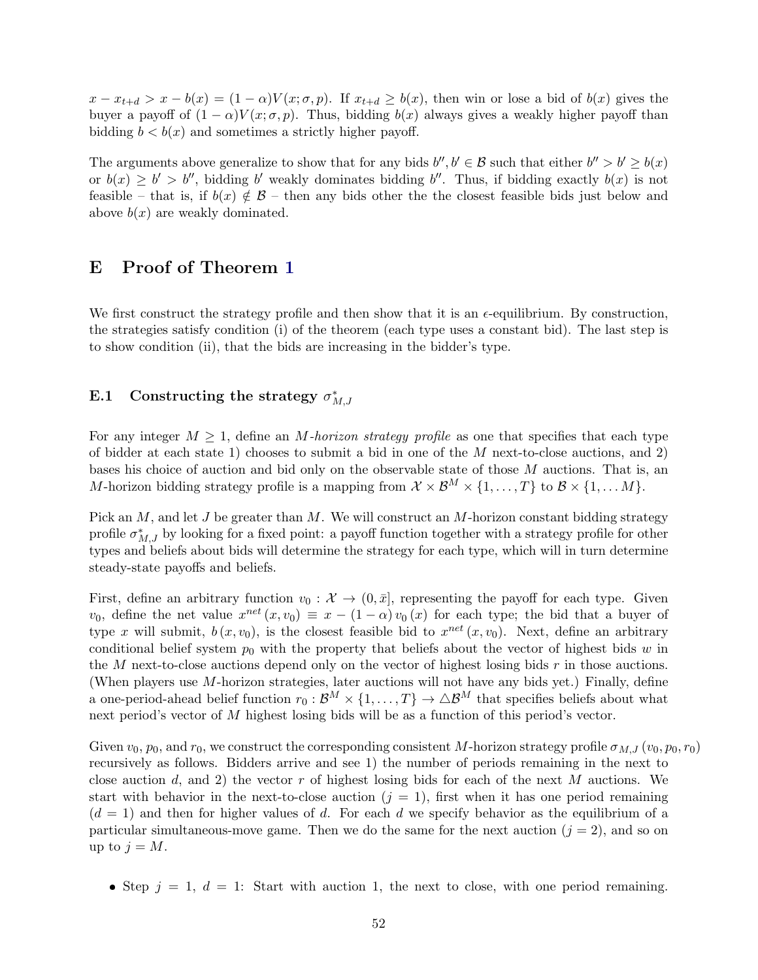$x - x_{t+d} > x - b(x) = (1 - \alpha)V(x; \sigma, p)$ . If  $x_{t+d} \geq b(x)$ , then win or lose a bid of  $b(x)$  gives the buyer a payoff of  $(1 - \alpha)V(x; \sigma, p)$ . Thus, bidding  $b(x)$  always gives a weakly higher payoff than bidding  $b < b(x)$  and sometimes a strictly higher payoff.

The arguments above generalize to show that for any bids  $b'', b' \in \mathcal{B}$  such that either  $b'' > b' \geq b(x)$ or  $b(x) \ge b' > b''$ , bidding b' weakly dominates bidding b''. Thus, if bidding exactly  $b(x)$  is not feasible – that is, if  $b(x) \notin \mathcal{B}$  – then any bids other the closest feasible bids just below and above  $b(x)$  are weakly dominated.

### E Proof of Theorem [1](#page-17-0)

We first construct the strategy profile and then show that it is an  $\epsilon$ -equilibrium. By construction, the strategies satisfy condition (i) of the theorem (each type uses a constant bid). The last step is to show condition (ii), that the bids are increasing in the bidder's type.

# E.1 Constructing the strategy  $\sigma_{M,J}^*$

For any integer  $M \geq 1$ , define an M-horizon strategy profile as one that specifies that each type of bidder at each state 1) chooses to submit a bid in one of the  $M$  next-to-close auctions, and 2) bases his choice of auction and bid only on the observable state of those M auctions. That is, an M-horizon bidding strategy profile is a mapping from  $\mathcal{X} \times \mathcal{B}^M \times \{1, \ldots, T\}$  to  $\mathcal{B} \times \{1, \ldots, M\}$ .

Pick an  $M$ , and let  $J$  be greater than  $M$ . We will construct an  $M$ -horizon constant bidding strategy profile  $\sigma_{M,J}^*$  by looking for a fixed point: a payoff function together with a strategy profile for other types and beliefs about bids will determine the strategy for each type, which will in turn determine steady-state payoffs and beliefs.

First, define an arbitrary function  $v_0 : \mathcal{X} \to (0, \bar{x}]$ , representing the payoff for each type. Given  $v_0$ , define the net value  $x^{net}(x, v_0) \equiv x - (1 - \alpha) v_0(x)$  for each type; the bid that a buyer of type x will submit,  $b(x, v_0)$ , is the closest feasible bid to  $x^{net}(x, v_0)$ . Next, define an arbitrary conditional belief system  $p_0$  with the property that beliefs about the vector of highest bids w in the  $M$  next-to-close auctions depend only on the vector of highest losing bids  $r$  in those auctions. (When players use M-horizon strategies, later auctions will not have any bids yet.) Finally, define a one-period-ahead belief function  $r_0 : \mathcal{B}^M \times \{1, ..., T\} \to \Delta \mathcal{B}^M$  that specifies beliefs about what next period's vector of M highest losing bids will be as a function of this period's vector.

Given  $v_0$ ,  $p_0$ , and  $r_0$ , we construct the corresponding consistent M-horizon strategy profile  $\sigma_{M,J} (v_0, p_0, r_0)$ recursively as follows. Bidders arrive and see 1) the number of periods remaining in the next to close auction d, and 2) the vector r of highest losing bids for each of the next M auctions. We start with behavior in the next-to-close auction  $(j = 1)$ , first when it has one period remaining  $(d = 1)$  and then for higher values of d. For each d we specify behavior as the equilibrium of a particular simultaneous-move game. Then we do the same for the next auction  $(j = 2)$ , and so on up to  $j = M$ .

• Step  $j = 1, d = 1$ : Start with auction 1, the next to close, with one period remaining.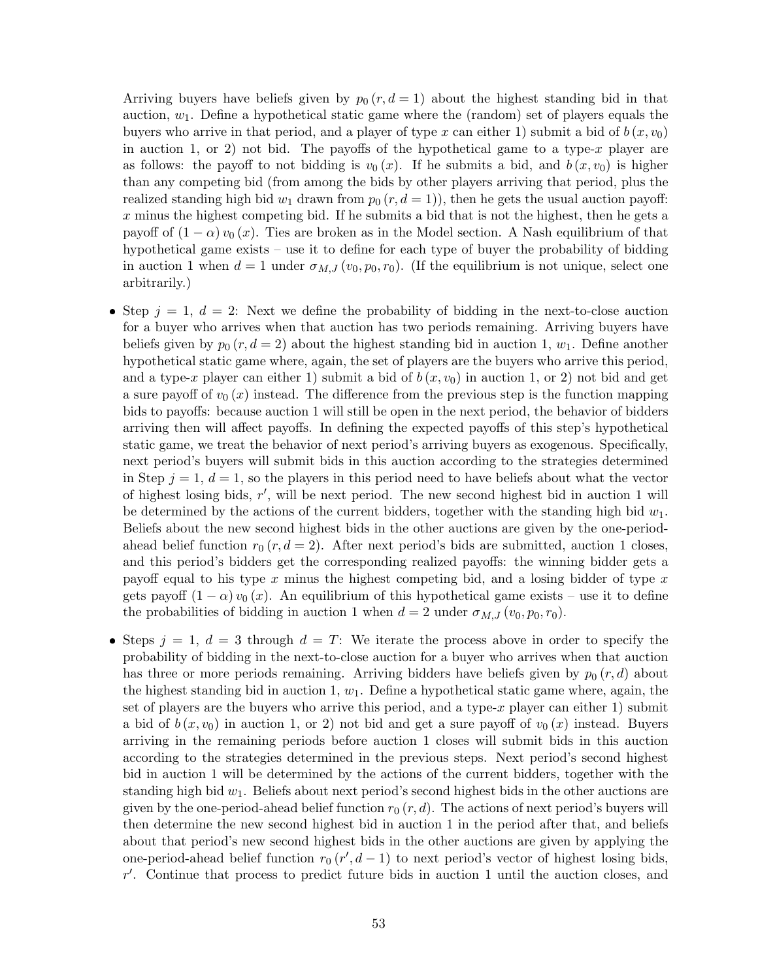Arriving buyers have beliefs given by  $p_0 (r, d = 1)$  about the highest standing bid in that auction,  $w_1$ . Define a hypothetical static game where the (random) set of players equals the buyers who arrive in that period, and a player of type x can either 1) submit a bid of  $b(x, v_0)$ in auction 1, or 2) not bid. The payoffs of the hypothetical game to a type-x player are as follows: the payoff to not bidding is  $v_0(x)$ . If he submits a bid, and  $b(x, v_0)$  is higher than any competing bid (from among the bids by other players arriving that period, plus the realized standing high bid  $w_1$  drawn from  $p_0 (r, d = 1)$ , then he gets the usual auction payoff: x minus the highest competing bid. If he submits a bid that is not the highest, then he gets a payoff of  $(1 - \alpha) v_0(x)$ . Ties are broken as in the Model section. A Nash equilibrium of that hypothetical game exists – use it to define for each type of buyer the probability of bidding in auction 1 when  $d = 1$  under  $\sigma_{M,J}(v_0, p_0, r_0)$ . (If the equilibrium is not unique, select one arbitrarily.)

- Step  $j = 1, d = 2$ : Next we define the probability of bidding in the next-to-close auction for a buyer who arrives when that auction has two periods remaining. Arriving buyers have beliefs given by  $p_0 (r, d = 2)$  about the highest standing bid in auction 1,  $w_1$ . Define another hypothetical static game where, again, the set of players are the buyers who arrive this period, and a type-x player can either 1) submit a bid of  $b(x, v_0)$  in auction 1, or 2) not bid and get a sure payoff of  $v_0(x)$  instead. The difference from the previous step is the function mapping bids to payoffs: because auction 1 will still be open in the next period, the behavior of bidders arriving then will affect payoffs. In defining the expected payoffs of this step's hypothetical static game, we treat the behavior of next period's arriving buyers as exogenous. Specifically, next period's buyers will submit bids in this auction according to the strategies determined in Step  $j = 1, d = 1$ , so the players in this period need to have beliefs about what the vector of highest losing bids,  $r'$ , will be next period. The new second highest bid in auction 1 will be determined by the actions of the current bidders, together with the standing high bid  $w_1$ . Beliefs about the new second highest bids in the other auctions are given by the one-periodahead belief function  $r_0 (r, d = 2)$ . After next period's bids are submitted, auction 1 closes, and this period's bidders get the corresponding realized payoffs: the winning bidder gets a payoff equal to his type x minus the highest competing bid, and a losing bidder of type  $x$ gets payoff  $(1 - \alpha) v_0(x)$ . An equilibrium of this hypothetical game exists – use it to define the probabilities of bidding in auction 1 when  $d = 2$  under  $\sigma_{M,J}(v_0, p_0, r_0)$ .
- Steps  $j = 1, d = 3$  through  $d = T$ : We iterate the process above in order to specify the probability of bidding in the next-to-close auction for a buyer who arrives when that auction has three or more periods remaining. Arriving bidders have beliefs given by  $p_0 (r, d)$  about the highest standing bid in auction 1,  $w_1$ . Define a hypothetical static game where, again, the set of players are the buyers who arrive this period, and a type-x player can either 1) submit a bid of  $b(x, v_0)$  in auction 1, or 2) not bid and get a sure payoff of  $v_0(x)$  instead. Buyers arriving in the remaining periods before auction 1 closes will submit bids in this auction according to the strategies determined in the previous steps. Next period's second highest bid in auction 1 will be determined by the actions of the current bidders, together with the standing high bid  $w_1$ . Beliefs about next period's second highest bids in the other auctions are given by the one-period-ahead belief function  $r_0 (r, d)$ . The actions of next period's buyers will then determine the new second highest bid in auction 1 in the period after that, and beliefs about that period's new second highest bids in the other auctions are given by applying the one-period-ahead belief function  $r_0 (r', d-1)$  to next period's vector of highest losing bids,  $r'$ . Continue that process to predict future bids in auction 1 until the auction closes, and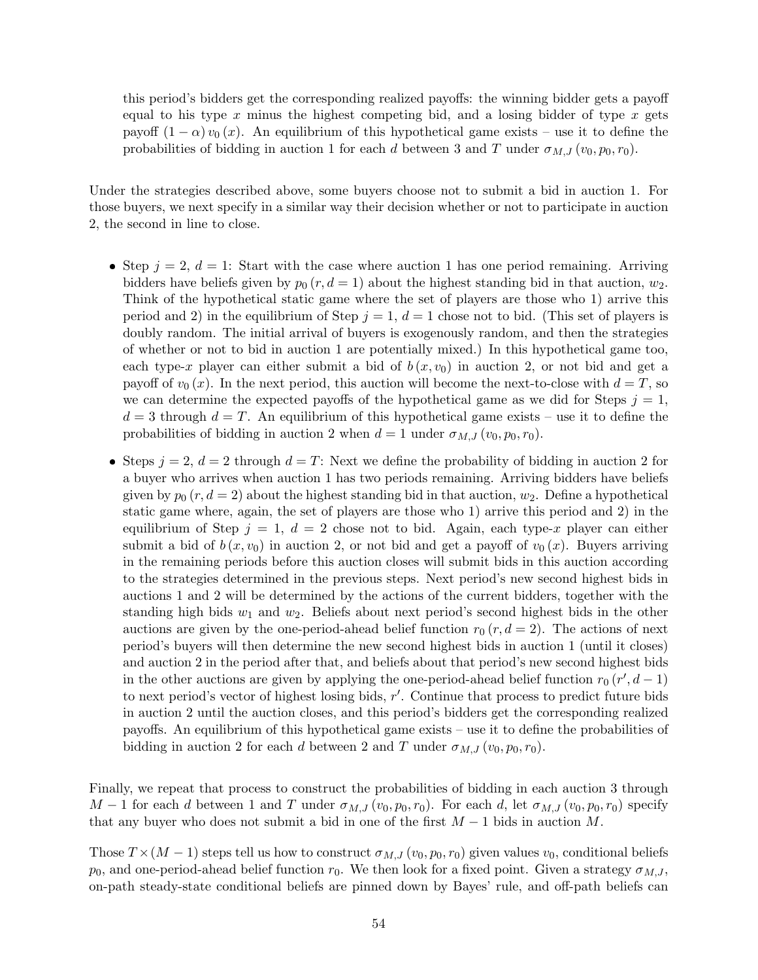this period's bidders get the corresponding realized payoffs: the winning bidder gets a payoff equal to his type  $x$  minus the highest competing bid, and a losing bidder of type  $x$  gets payoff  $(1 - \alpha) v_0(x)$ . An equilibrium of this hypothetical game exists – use it to define the probabilities of bidding in auction 1 for each d between 3 and T under  $\sigma_{M,J}(v_0, p_0, r_0)$ .

Under the strategies described above, some buyers choose not to submit a bid in auction 1. For those buyers, we next specify in a similar way their decision whether or not to participate in auction 2, the second in line to close.

- Step  $j = 2, d = 1$ : Start with the case where auction 1 has one period remaining. Arriving bidders have beliefs given by  $p_0 (r, d = 1)$  about the highest standing bid in that auction,  $w_2$ . Think of the hypothetical static game where the set of players are those who 1) arrive this period and 2) in the equilibrium of Step  $j = 1$ ,  $d = 1$  chose not to bid. (This set of players is doubly random. The initial arrival of buyers is exogenously random, and then the strategies of whether or not to bid in auction 1 are potentially mixed.) In this hypothetical game too, each type-x player can either submit a bid of  $b(x, v_0)$  in auction 2, or not bid and get a payoff of  $v_0(x)$ . In the next period, this auction will become the next-to-close with  $d=T$ , so we can determine the expected payoffs of the hypothetical game as we did for Steps  $j = 1$ ,  $d = 3$  through  $d = T$ . An equilibrium of this hypothetical game exists – use it to define the probabilities of bidding in auction 2 when  $d = 1$  under  $\sigma_{M,J}(v_0, p_0, r_0)$ .
- Steps  $j = 2$ ,  $d = 2$  through  $d = T$ : Next we define the probability of bidding in auction 2 for a buyer who arrives when auction 1 has two periods remaining. Arriving bidders have beliefs given by  $p_0 (r, d = 2)$  about the highest standing bid in that auction,  $w_2$ . Define a hypothetical static game where, again, the set of players are those who 1) arrive this period and 2) in the equilibrium of Step  $j = 1, d = 2$  chose not to bid. Again, each type-x player can either submit a bid of  $b(x, v_0)$  in auction 2, or not bid and get a payoff of  $v_0(x)$ . Buyers arriving in the remaining periods before this auction closes will submit bids in this auction according to the strategies determined in the previous steps. Next period's new second highest bids in auctions 1 and 2 will be determined by the actions of the current bidders, together with the standing high bids  $w_1$  and  $w_2$ . Beliefs about next period's second highest bids in the other auctions are given by the one-period-ahead belief function  $r_0 (r, d = 2)$ . The actions of next period's buyers will then determine the new second highest bids in auction 1 (until it closes) and auction 2 in the period after that, and beliefs about that period's new second highest bids in the other auctions are given by applying the one-period-ahead belief function  $r_0(r', d-1)$ to next period's vector of highest losing bids,  $r'$ . Continue that process to predict future bids in auction 2 until the auction closes, and this period's bidders get the corresponding realized payoffs. An equilibrium of this hypothetical game exists – use it to define the probabilities of bidding in auction 2 for each d between 2 and T under  $\sigma_{M,J}(v_0, p_0, r_0)$ .

Finally, we repeat that process to construct the probabilities of bidding in each auction 3 through M – 1 for each d between 1 and T under  $\sigma_{M,J}(v_0, p_0, r_0)$ . For each d, let  $\sigma_{M,J}(v_0, p_0, r_0)$  specify that any buyer who does not submit a bid in one of the first  $M-1$  bids in auction M.

Those  $T \times (M-1)$  steps tell us how to construct  $\sigma_{M,J}(v_0, p_0, r_0)$  given values  $v_0$ , conditional beliefs  $p_0$ , and one-period-ahead belief function  $r_0$ . We then look for a fixed point. Given a strategy  $\sigma_{M,J}$ , on-path steady-state conditional beliefs are pinned down by Bayes' rule, and off-path beliefs can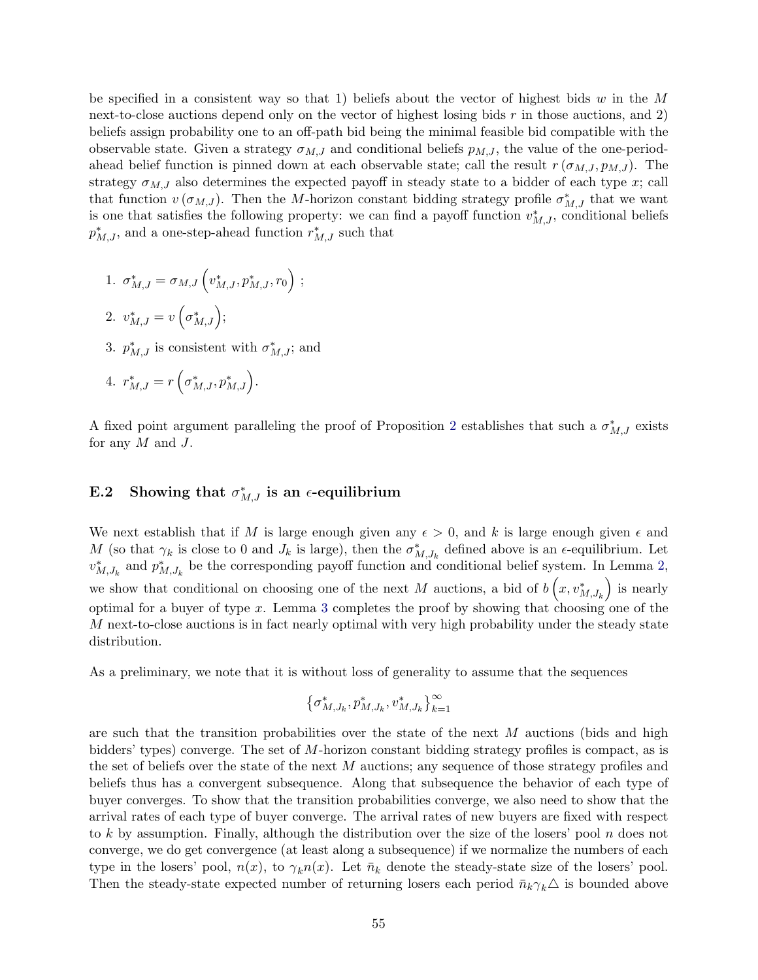be specified in a consistent way so that 1) beliefs about the vector of highest bids w in the  $M$ next-to-close auctions depend only on the vector of highest losing bids  $r$  in those auctions, and 2) beliefs assign probability one to an off-path bid being the minimal feasible bid compatible with the observable state. Given a strategy  $\sigma_{M,J}$  and conditional beliefs  $p_{M,J}$ , the value of the one-periodahead belief function is pinned down at each observable state; call the result  $r(\sigma_{M,J}, p_{M,J})$ . The strategy  $\sigma_{M,J}$  also determines the expected payoff in steady state to a bidder of each type x; call that function  $v(\sigma_{M,J})$ . Then the M-horizon constant bidding strategy profile  $\sigma_{M,J}^*$  that we want is one that satisfies the following property: we can find a payoff function  $v_{M,J}^*$ , conditional beliefs  $p_{M,J}^*$ , and a one-step-ahead function  $r_{M,J}^*$  such that

1. 
$$
\sigma_{M,J}^* = \sigma_{M,J} \left( v_{M,J}^*, p_{M,J}^*, r_0 \right)
$$
;

$$
2. v_{M,J}^* = v\left(\sigma_{M,J}^*\right);
$$

3.  $p_{M,J}^*$  is consistent with  $\sigma_{M,J}^*$ ; and

4. 
$$
r_{M,J}^* = r\left(\sigma_{M,J}^*, p_{M,J}^*\right)
$$
.

A fixed point argument paralleling the proof of Proposition [2](#page-14-0) establishes that such a  $\sigma_{M,J}^*$  exists for any  $M$  and  $J$ .

# E.2 Showing that  $\sigma_{M,J}^*$  is an  $\epsilon$ -equilibrium

We next establish that if M is large enough given any  $\epsilon > 0$ , and k is large enough given  $\epsilon$  and M (so that  $\gamma_k$  is close to 0 and  $J_k$  is large), then the  $\sigma_{M,J_k}^*$  defined above is an  $\epsilon$ -equilibrium. Let  $v_{M,J_k}^*$  and  $p_{M,J_k}^*$  be the corresponding payoff function and conditional belief system. In Lemma [2,](#page-55-0) we show that conditional on choosing one of the next M auctions, a bid of  $b\left(x, v_{M,J_k}^*\right)$  is nearly optimal for a buyer of type x. Lemma [3](#page-56-0) completes the proof by showing that choosing one of the M next-to-close auctions is in fact nearly optimal with very high probability under the steady state distribution.

As a preliminary, we note that it is without loss of generality to assume that the sequences

$$
\left\{\sigma_{M,J_k}^*,p_{M,J_k}^*,v_{M,J_k}^*\right\}_{k=1}^\infty
$$

are such that the transition probabilities over the state of the next  $M$  auctions (bids and high bidders' types) converge. The set of M-horizon constant bidding strategy profiles is compact, as is the set of beliefs over the state of the next M auctions; any sequence of those strategy profiles and beliefs thus has a convergent subsequence. Along that subsequence the behavior of each type of buyer converges. To show that the transition probabilities converge, we also need to show that the arrival rates of each type of buyer converge. The arrival rates of new buyers are fixed with respect to k by assumption. Finally, although the distribution over the size of the losers' pool  $n$  does not converge, we do get convergence (at least along a subsequence) if we normalize the numbers of each type in the losers' pool,  $n(x)$ , to  $\gamma_k n(x)$ . Let  $\bar{n}_k$  denote the steady-state size of the losers' pool. Then the steady-state expected number of returning losers each period  $\bar{n}_k \gamma_k \Delta$  is bounded above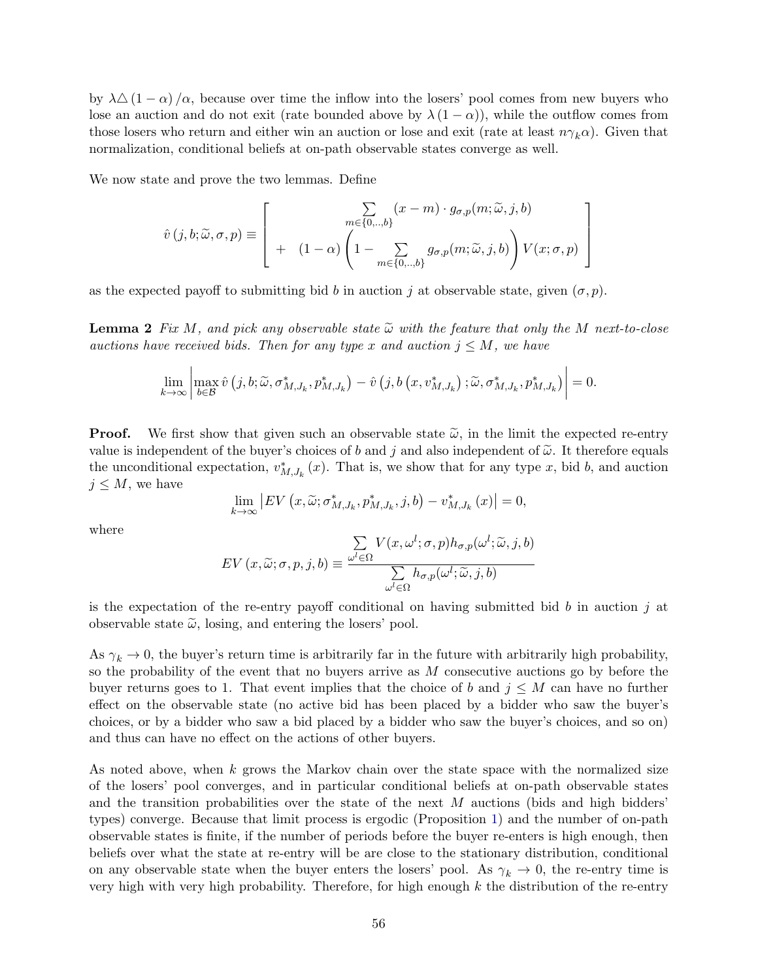by  $\lambda\Delta(1-\alpha)/\alpha$ , because over time the inflow into the losers' pool comes from new buyers who lose an auction and do not exit (rate bounded above by  $\lambda (1 - \alpha)$ ), while the outflow comes from those losers who return and either win an auction or lose and exit (rate at least  $n\gamma_k\alpha$ ). Given that normalization, conditional beliefs at on-path observable states converge as well.

We now state and prove the two lemmas. Define

$$
\hat{v}(j,b;\widetilde{\omega},\sigma,p) \equiv \left[ \begin{array}{cc} \sum_{m \in \{0,..,b\}} (x-m) \cdot g_{\sigma,p}(m;\widetilde{\omega},j,b) \\ + (1-\alpha) \left(1 - \sum_{m \in \{0,..,b\}} g_{\sigma,p}(m;\widetilde{\omega},j,b) \right) V(x;\sigma,p) \end{array} \right]
$$

as the expected payoff to submitting bid b in auction j at observable state, given  $(\sigma, p)$ .

**Lemma 2** Fix M, and pick any observable state  $\tilde{\omega}$  with the feature that only the M next-to-close auctions have received bids. Then for any type x and auction  $j \leq M$ , we have

$$
\lim_{k\to\infty}\left|\max_{b\in\mathcal{B}}\hat{v}\left(j,b;\widetilde{\omega},\sigma_{M,J_k}^*,p_{M,J_k}^*\right)-\hat{v}\left(j,b\left(x,v_{M,J_k}^*\right);\widetilde{\omega},\sigma_{M,J_k}^*,p_{M,J_k}^*\right)\right|=0.
$$

**Proof.** We first show that given such an observable state  $\tilde{\omega}$ , in the limit the expected re-entry value is independent of the buyer's choices of b and j and also independent of  $\tilde{\omega}$ . It therefore equals the unconditional expectation,  $v_{M,J_k}^*(x)$ . That is, we show that for any type x, bid b, and auction  $j \leq M$ , we have

<span id="page-55-0"></span>
$$
\lim_{k \to \infty} \left| EV\left(x, \widetilde{\omega}; \sigma^*_{M,J_k}, p^*_{M,J_k}, j, b\right) - v^*_{M,J_k}\left(x\right) \right| = 0,
$$

where

$$
EV(x, \widetilde{\omega}; \sigma, p, j, b) \equiv \frac{\sum\limits_{\omega^{l} \in \Omega} V(x, \omega^{l}; \sigma, p) h_{\sigma, p}(\omega^{l}; \widetilde{\omega}, j, b)}{\sum\limits_{\omega^{l} \in \Omega} h_{\sigma, p}(\omega^{l}; \widetilde{\omega}, j, b)}
$$

is the expectation of the re-entry payoff conditional on having submitted bid b in auction  $j$  at observable state  $\tilde{\omega}$ , losing, and entering the losers' pool.

As  $\gamma_k \to 0$ , the buyer's return time is arbitrarily far in the future with arbitrarily high probability, so the probability of the event that no buyers arrive as  $M$  consecutive auctions go by before the buyer returns goes to 1. That event implies that the choice of b and  $j \leq M$  can have no further effect on the observable state (no active bid has been placed by a bidder who saw the buyer's choices, or by a bidder who saw a bid placed by a bidder who saw the buyer's choices, and so on) and thus can have no effect on the actions of other buyers.

As noted above, when k grows the Markov chain over the state space with the normalized size of the losers' pool converges, and in particular conditional beliefs at on-path observable states and the transition probabilities over the state of the next M auctions (bids and high bidders' types) converge. Because that limit process is ergodic (Proposition [1\)](#page-11-0) and the number of on-path observable states is finite, if the number of periods before the buyer re-enters is high enough, then beliefs over what the state at re-entry will be are close to the stationary distribution, conditional on any observable state when the buyer enters the losers' pool. As  $\gamma_k \to 0$ , the re-entry time is very high with very high probability. Therefore, for high enough  $k$  the distribution of the re-entry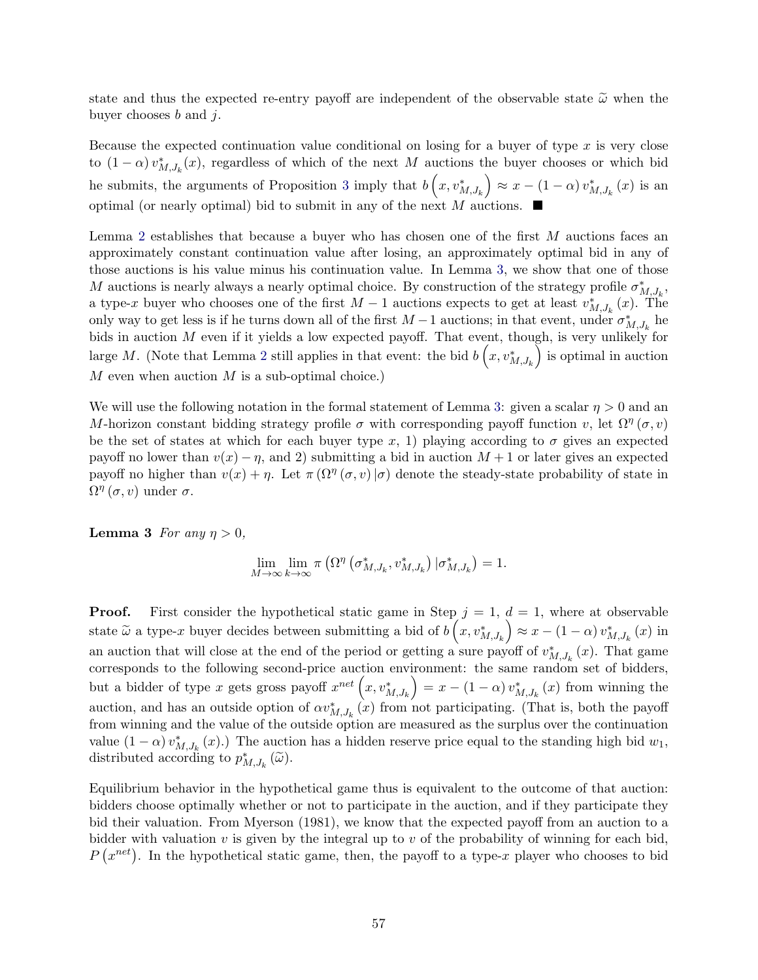state and thus the expected re-entry payoff are independent of the observable state  $\tilde{\omega}$  when the buyer chooses  $b$  and  $j$ .

Because the expected continuation value conditional on losing for a buyer of type  $x$  is very close to  $(1 - \alpha) v_{M,J_k}^*(x)$ , regardless of which of the next M auctions the buyer chooses or which bid he submits, the arguments of Proposition [3](#page-15-0) imply that  $b\left(x, v_{M,J_k}^*\right) \approx x - (1-\alpha)v_{M,J_k}^*(x)$  is an optimal (or nearly optimal) bid to submit in any of the next M auctions.

Lemma [2](#page-55-0) establishes that because a buyer who has chosen one of the first M auctions faces an approximately constant continuation value after losing, an approximately optimal bid in any of those auctions is his value minus his continuation value. In Lemma [3,](#page-56-0) we show that one of those M auctions is nearly always a nearly optimal choice. By construction of the strategy profile  $\sigma_{M,J_k}^*$ , a type-x buyer who chooses one of the first  $M-1$  auctions expects to get at least  $v_{M,J_k}^*(x)$ . The only way to get less is if he turns down all of the first  $M-1$  auctions; in that event, under  $\sigma_{M,J_k}^*$  he bids in auction M even if it yields a low expected payoff. That event, though, is very unlikely for large M. (Note that Lemma [2](#page-55-0) still applies in that event: the bid  $b\left(x, v_{M,J_k}^*\right)$  is optimal in auction  $M$  even when auction  $M$  is a sub-optimal choice.)

We will use the following notation in the formal statement of Lemma [3:](#page-56-0) given a scalar  $\eta > 0$  and an M-horizon constant bidding strategy profile  $\sigma$  with corresponding payoff function v, let  $\Omega^{\eta}(\sigma, v)$ be the set of states at which for each buyer type x, 1) playing according to  $\sigma$  gives an expected payoff no lower than  $v(x) - \eta$ , and 2) submitting a bid in auction  $M + 1$  or later gives an expected payoff no higher than  $v(x) + \eta$ . Let  $\pi(\Omega^{\eta}(\sigma, v)|\sigma)$  denote the steady-state probability of state in  $\Omega^{\eta}(\sigma, v)$  under  $\sigma$ .

**Lemma 3** For any  $\eta > 0$ ,

<span id="page-56-0"></span>
$$
\lim_{M \to \infty} \lim_{k \to \infty} \pi \left( \Omega^{\eta} \left( \sigma_{M,J_k}^*, v_{M,J_k}^* \right) | \sigma_{M,J_k}^* \right) = 1.
$$

**Proof.** First consider the hypothetical static game in Step  $j = 1, d = 1$ , where at observable state  $\tilde{\omega}$  a type-x buyer decides between submitting a bid of  $b(x, v_{M,J_k}^*) \approx x - (1 - \alpha) v_{M,J_k}^*(x)$  in an auction that will close at the end of the period or getting a sure payoff of  $v_{M,J_k}^*(x)$ . That game corresponds to the following second-price auction environment: the same random set of bidders, but a bidder of type x gets gross payoff  $x^{net}\left(x, v_{M,J_k}^*\right) = x - (1-\alpha)v_{M,J_k}^*(x)$  from winning the auction, and has an outside option of  $\alpha v_{M,J_k}^*$  (x) from not participating. (That is, both the payoff from winning and the value of the outside option are measured as the surplus over the continuation value  $(1 - \alpha) v_{M,J_k}^*(x)$ .) The auction has a hidden reserve price equal to the standing high bid  $w_1$ , distributed according to  $p_{M,J_k}^* (\tilde{\omega})$ .

Equilibrium behavior in the hypothetical game thus is equivalent to the outcome of that auction: bidders choose optimally whether or not to participate in the auction, and if they participate they bid their valuation. From Myerson (1981), we know that the expected payoff from an auction to a bidder with valuation  $v$  is given by the integral up to  $v$  of the probability of winning for each bid,  $P(x^{net})$ . In the hypothetical static game, then, the payoff to a type-x player who chooses to bid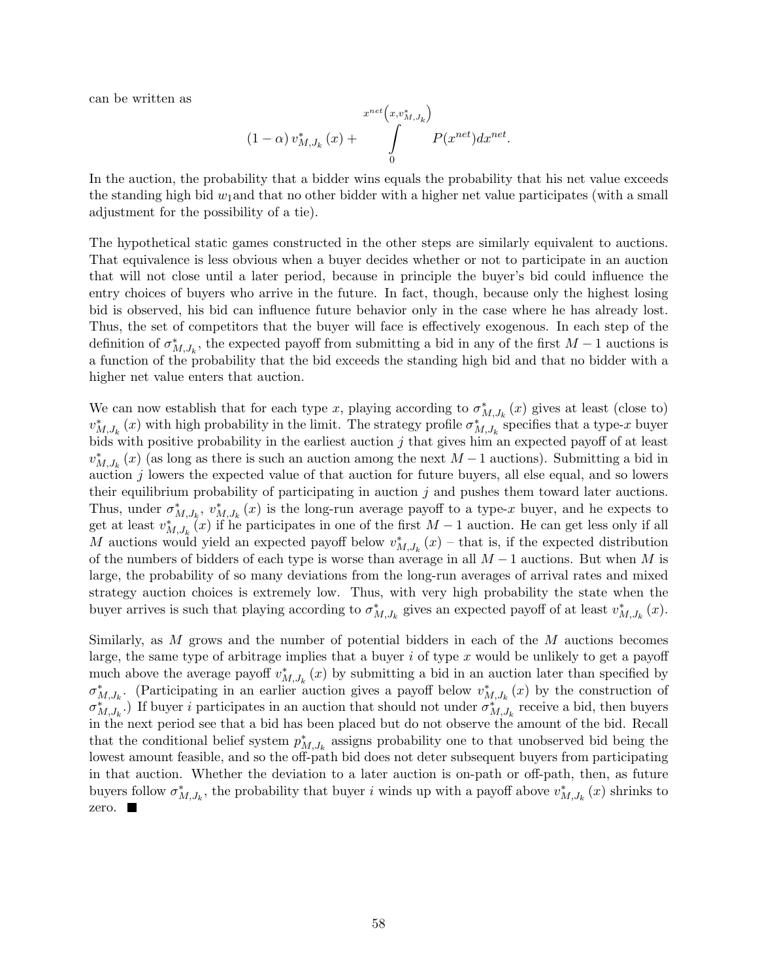can be written as

$$
(1 - \alpha) v_{M,J_k}^*(x) + \int\limits_0^{x^{net}(x, v_{M,J_k}^*)} P(x^{net}) dx^{net}.
$$

In the auction, the probability that a bidder wins equals the probability that his net value exceeds the standing high bid  $w_1$  and that no other bidder with a higher net value participates (with a small adjustment for the possibility of a tie).

The hypothetical static games constructed in the other steps are similarly equivalent to auctions. That equivalence is less obvious when a buyer decides whether or not to participate in an auction that will not close until a later period, because in principle the buyer's bid could influence the entry choices of buyers who arrive in the future. In fact, though, because only the highest losing bid is observed, his bid can influence future behavior only in the case where he has already lost. Thus, the set of competitors that the buyer will face is effectively exogenous. In each step of the definition of  $\sigma_{M,J_k}^*$ , the expected payoff from submitting a bid in any of the first  $M-1$  auctions is a function of the probability that the bid exceeds the standing high bid and that no bidder with a higher net value enters that auction.

We can now establish that for each type x, playing according to  $\sigma_{M,J_k}^*(x)$  gives at least (close to)  $v_{M,J_k}^*(x)$  with high probability in the limit. The strategy profile  $\sigma_{M,J_k}^*$  specifies that a type-x buyer bids with positive probability in the earliest auction  $j$  that gives him an expected payoff of at least  $v_{M,J_k}^*(x)$  (as long as there is such an auction among the next  $M-1$  auctions). Submitting a bid in auction  $j$  lowers the expected value of that auction for future buyers, all else equal, and so lowers their equilibrium probability of participating in auction  $j$  and pushes them toward later auctions. Thus, under  $\sigma_{M,J_k}^*$ ,  $v_{M,J_k}^*$  (x) is the long-run average payoff to a type-x buyer, and he expects to get at least  $v_{M,J_k}^*(x)$  if he participates in one of the first  $M-1$  auction. He can get less only if all M auctions would yield an expected payoff below  $v_{M,J_k}^*(x)$  – that is, if the expected distribution of the numbers of bidders of each type is worse than average in all  $M-1$  auctions. But when M is large, the probability of so many deviations from the long-run averages of arrival rates and mixed strategy auction choices is extremely low. Thus, with very high probability the state when the buyer arrives is such that playing according to  $\sigma_{M,J_k}^*$  gives an expected payoff of at least  $v_{M,J_k}^*(x)$ .

Similarly, as M grows and the number of potential bidders in each of the M auctions becomes large, the same type of arbitrage implies that a buyer i of type x would be unlikely to get a payoff much above the average payoff  $v_{M,J_k}^*(x)$  by submitting a bid in an auction later than specified by  $\sigma_{M,J_k}^*$ . (Participating in an earlier auction gives a payoff below  $v_{M,J_k}^*(x)$  by the construction of  $\sigma_{M,J_k}^{*,\dots}$ .) If buyer *i* participates in an auction that should not under  $\sigma_{M,J_k}^{*,\dots}$  receive a bid, then buyers in the next period see that a bid has been placed but do not observe the amount of the bid. Recall that the conditional belief system  $p_{M,J_k}^*$  assigns probability one to that unobserved bid being the lowest amount feasible, and so the off-path bid does not deter subsequent buyers from participating in that auction. Whether the deviation to a later auction is on-path or off-path, then, as future buyers follow  $\sigma_{M,J_k}^*$ , the probability that buyer i winds up with a payoff above  $v_{M,J_k}^*(x)$  shrinks to zero.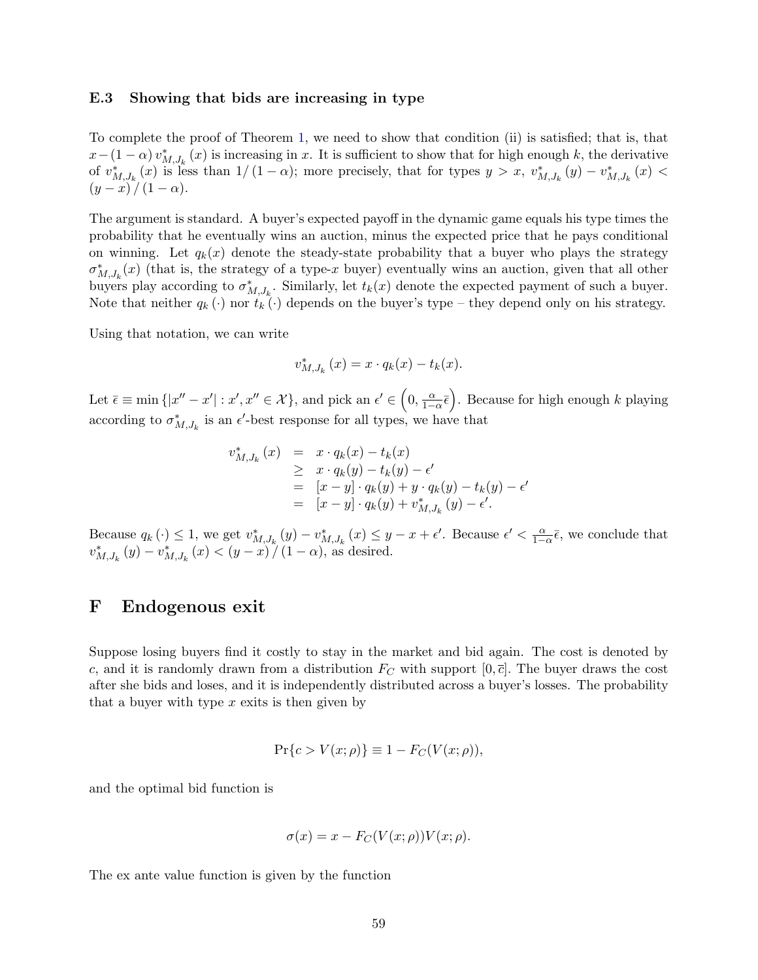#### E.3 Showing that bids are increasing in type

To complete the proof of Theorem [1,](#page-17-0) we need to show that condition (ii) is satisfied; that is, that  $x-(1-\alpha)v_{M,J_k}^*(x)$  is increasing in x. It is sufficient to show that for high enough k, the derivative of  $v_{M,J_k}^*(x)$  is less than  $1/(1-\alpha)$ ; more precisely, that for types  $y > x$ ,  $v_{M,J_k}^*(y) - v_{M,J_k}^*(x)$  $(y - x)/(1 - \alpha).$ 

The argument is standard. A buyer's expected payoff in the dynamic game equals his type times the probability that he eventually wins an auction, minus the expected price that he pays conditional on winning. Let  $q_k(x)$  denote the steady-state probability that a buyer who plays the strategy  $\sigma_{M,J_k}^*(x)$  (that is, the strategy of a type-x buyer) eventually wins an auction, given that all other buyers play according to  $\sigma_{M,J_k}^*$ . Similarly, let  $t_k(x)$  denote the expected payment of such a buyer. Note that neither  $q_k(\cdot)$  nor  $t_k(\cdot)$  depends on the buyer's type – they depend only on his strategy.

Using that notation, we can write

$$
v_{M,J_k}^*(x) = x \cdot q_k(x) - t_k(x).
$$

Let  $\bar{\epsilon} \equiv \min \{|x'' - x'| : x', x'' \in \mathcal{X}\}$ , and pick an  $\epsilon' \in (0, \frac{\alpha}{1-\alpha}\bar{\epsilon})$ . Because for high enough k playing according to  $\sigma_{M,J_k}^*$  is an  $\epsilon'$ -best response for all types, we have that

$$
v_{M,J_k}^*(x) = x \cdot q_k(x) - t_k(x)
$$
  
\n
$$
\geq x \cdot q_k(y) - t_k(y) - \epsilon'
$$
  
\n
$$
= [x - y] \cdot q_k(y) + y \cdot q_k(y) - t_k(y) - \epsilon'
$$
  
\n
$$
= [x - y] \cdot q_k(y) + v_{M,J_k}^*(y) - \epsilon'.
$$

Because  $q_k(\cdot) \leq 1$ , we get  $v_{M,J_k}^*(y) - v_{M,J_k}^*(x) \leq y - x + \epsilon'$ . Because  $\epsilon' < \frac{\alpha}{1-\alpha}\bar{\epsilon}$ , we conclude that  $v_{M,J_k}^*(y) - v_{M,J_k}^*(x) < (y - x) / (1 - \alpha)$ , as desired.

### <span id="page-58-0"></span>F Endogenous exit

Suppose losing buyers find it costly to stay in the market and bid again. The cost is denoted by c, and it is randomly drawn from a distribution  $F_C$  with support  $[0, \overline{c}]$ . The buyer draws the cost after she bids and loses, and it is independently distributed across a buyer's losses. The probability that a buyer with type  $x$  exits is then given by

$$
Pr{c > V(x; \rho)} \equiv 1 - F_C(V(x; \rho)),
$$

and the optimal bid function is

$$
\sigma(x) = x - F_C(V(x; \rho))V(x; \rho).
$$

The ex ante value function is given by the function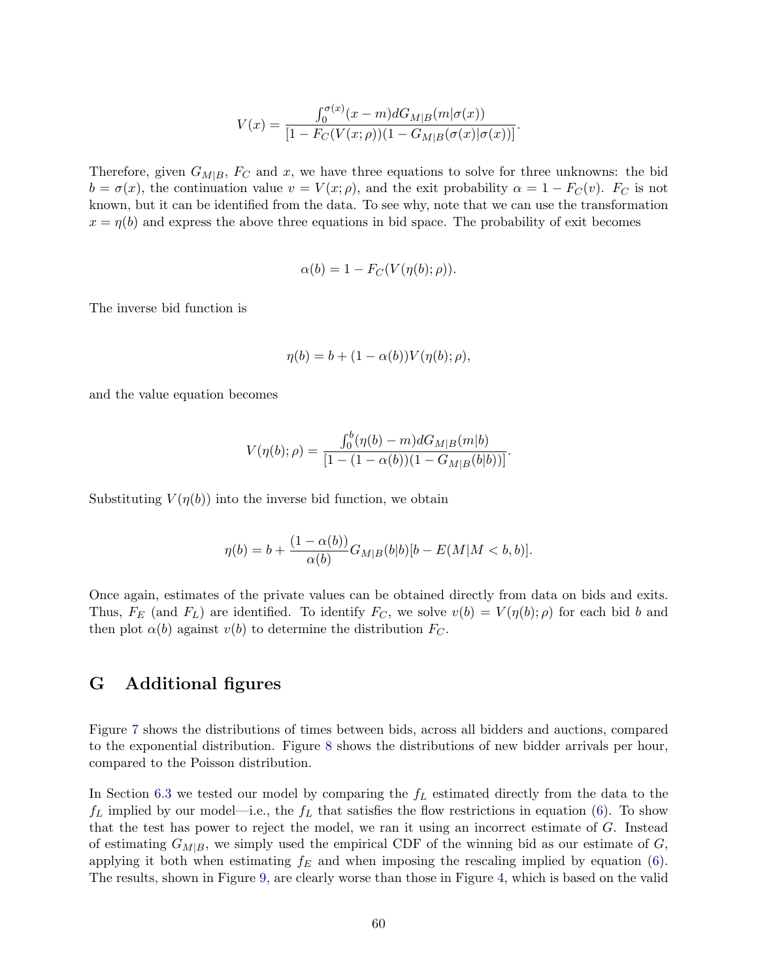$$
V(x) = \frac{\int_0^{\sigma(x)} (x - m) dG_{M|B}(m|\sigma(x))}{[1 - F_C(V(x; \rho))(1 - G_{M|B}(\sigma(x)|\sigma(x))]}.
$$

Therefore, given  $G_{M|B}$ ,  $F_C$  and x, we have three equations to solve for three unknowns: the bid  $b = \sigma(x)$ , the continuation value  $v = V(x; \rho)$ , and the exit probability  $\alpha = 1 - F_C(v)$ .  $F_C$  is not known, but it can be identified from the data. To see why, note that we can use the transformation  $x = \eta(b)$  and express the above three equations in bid space. The probability of exit becomes

$$
\alpha(b) = 1 - F_C(V(\eta(b); \rho)).
$$

The inverse bid function is

$$
\eta(b) = b + (1 - \alpha(b)) V(\eta(b); \rho),
$$

and the value equation becomes

$$
V(\eta(b); \rho) = \frac{\int_0^b (\eta(b) - m) dG_{M|B}(m|b)}{[1 - (1 - \alpha(b))(1 - G_{M|B}(b|b))]}.
$$

Substituting  $V(\eta(b))$  into the inverse bid function, we obtain

$$
\eta(b) = b + \frac{(1 - \alpha(b))}{\alpha(b)} G_{M|B}(b|b) [b - E(M|M < b, b)].
$$

Once again, estimates of the private values can be obtained directly from data on bids and exits. Thus,  $F_E$  (and  $F_L$ ) are identified. To identify  $F_C$ , we solve  $v(b) = V(\eta(b); \rho)$  for each bid b and then plot  $\alpha(b)$  against  $v(b)$  to determine the distribution  $F_C$ .

# <span id="page-59-0"></span>G Additional figures

Figure [7](#page-60-0) shows the distributions of times between bids, across all bidders and auctions, compared to the exponential distribution. Figure [8](#page-60-2) shows the distributions of new bidder arrivals per hour, compared to the Poisson distribution.

In Section [6.3](#page-30-1) we tested our model by comparing the  $f<sub>L</sub>$  estimated directly from the data to the  $f_L$  implied by our model—i.e., the  $f_L$  that satisfies the flow restrictions in equation [\(6\)](#page-22-1). To show that the test has power to reject the model, we ran it using an incorrect estimate of G. Instead of estimating  $G_{M|B}$ , we simply used the empirical CDF of the winning bid as our estimate of G, applying it both when estimating  $f_E$  and when imposing the rescaling implied by equation [\(6\)](#page-22-1). The results, shown in Figure [9,](#page-61-0) are clearly worse than those in Figure [4,](#page-31-0) which is based on the valid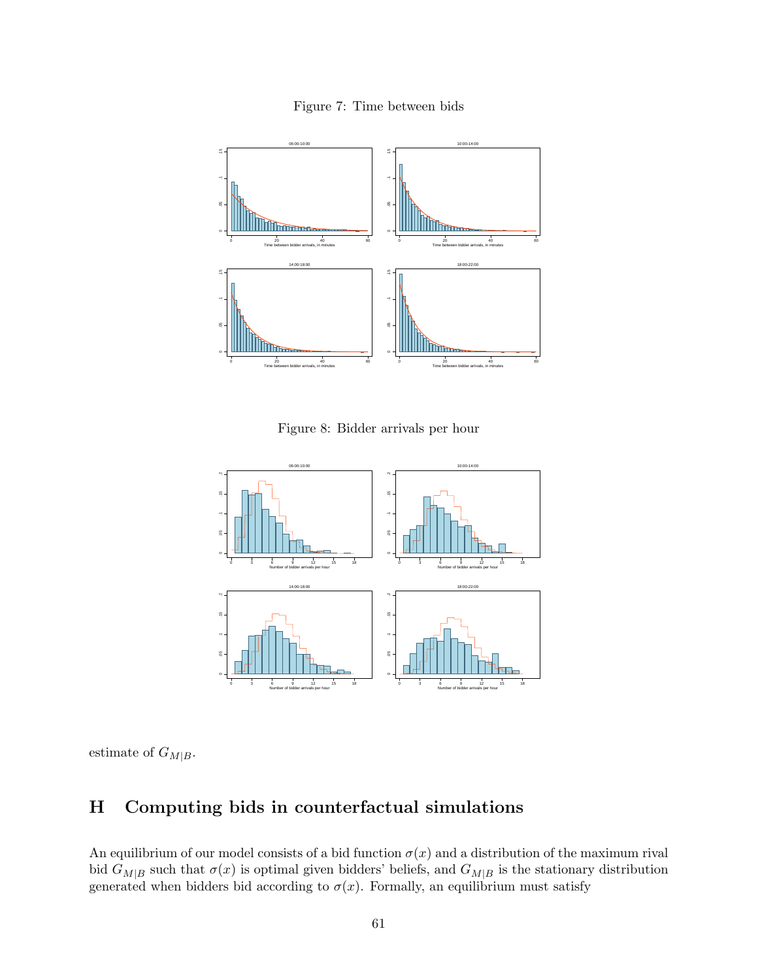<span id="page-60-0"></span>Figure 7: Time between bids



<span id="page-60-2"></span>Figure 8: Bidder arrivals per hour



estimate of  $G_{M|B}$ .

# <span id="page-60-1"></span>H Computing bids in counterfactual simulations

An equilibrium of our model consists of a bid function  $\sigma(x)$  and a distribution of the maximum rival bid  $G_{M|B}$  such that  $\sigma(x)$  is optimal given bidders' beliefs, and  $G_{M|B}$  is the stationary distribution generated when bidders bid according to  $\sigma(x)$ . Formally, an equilibrium must satisfy